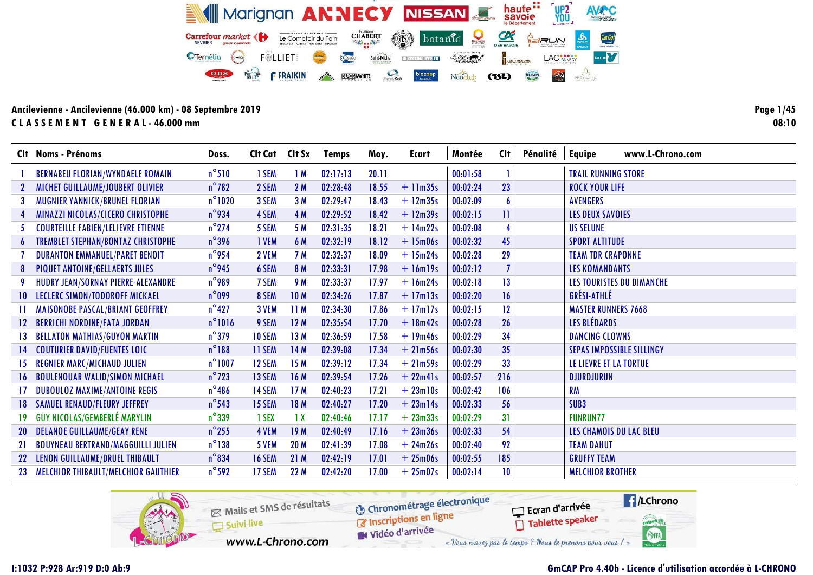|           | Clt Noms - Prénoms                        | Doss.            | Clt Cat       | Clt Sx          | <b>Temps</b> | Moy.  | Ecart         | Montée   | Cl <sub>t</sub> | Pénalité | www.L-Chrono.com<br><b>Equipe</b> |
|-----------|-------------------------------------------|------------------|---------------|-----------------|--------------|-------|---------------|----------|-----------------|----------|-----------------------------------|
|           | <b>BERNABEU FLORIAN/WYNDAELE ROMAIN</b>   | $n^{\circ}510$   | 1 SEM         | 1M              | 02:17:13     | 20.11 |               | 00:01:58 |                 |          | <b>TRAIL RUNNING STORE</b>        |
|           | MICHET GUILLAUME/JOUBERT OLIVIER          | $n^{\circ}$ 782  | 2 SEM         | 2M              | 02:28:48     | 18.55 | $+$ 11 $m35s$ | 00:02:24 | 23              |          | <b>ROCK YOUR LIFE</b>             |
|           | MUGNIER YANNICK/BRUNEL FLORIAN            | $n^{\circ}$ 1020 | 3 SEM         | 3M              | 02:29:47     | 18.43 | $+ 12m35s$    | 00:02:09 | 6               |          | <b>AVENGERS</b>                   |
|           | MINAZZI NICOLAS/CICERO CHRISTOPHE         | $n^{\circ}$ 934  | 4 SEM         | 4 M             | 02:29:52     | 18.42 | $+ 12m39s$    | 00:02:15 | П               |          | LES DEUX SAVOIES                  |
|           | <b>COURTEILLE FABIEN/LELIEVRE ETIENNE</b> | $n^{\circ}$ 274  | 5 SEM         | 5 M             | 02:31:35     | 18.21 | $+14m22s$     | 00:02:08 |                 |          | <b>US SELUNE</b>                  |
|           | <b>TREMBLET STEPHAN/BONTAZ CHRISTOPHE</b> | $n^{\circ}$ 396  | 1 VEM         | 6 M             | 02:32:19     | 18.12 | $+ 15m06s$    | 00:02:32 | 45              |          | <b>SPORT ALTITUDE</b>             |
|           | <b>DURANTON EMMANUEL/PARET BENOIT</b>     | $n^{\circ}$ 954  | 2 VEM         | 7 M             | 02:32:37     | 18.09 | $+ 15m24s$    | 00:02:28 | 29              |          | <b>TEAM TDR CRAPONNE</b>          |
|           | PIQUET ANTOINE/GELLAERTS JULES            | $n^{\circ}$ 945  | 6 SEM         | 8 M             | 02:33:31     | 17.98 | $+16m19s$     | 00:02:12 |                 |          | <b>LES KOMANDANTS</b>             |
|           | HUDRY JEAN/SORNAY PIERRE-ALEXANDRE        | $n^{\circ}$ 989  | 7 SEM         | 9 M             | 02:33:37     | 17.97 | $+ 16m24s$    | 00:02:18 | 13              |          | LES TOURISTES DU DIMANCHE         |
|           | LECLERC SIMON/TODOROFF MICKAEL            | $n^{\circ}$ 099  | 8 SEM         | <b>10 M</b>     | 02:34:26     | 17.87 | $+17m13s$     | 00:02:20 | 16              |          | <b>GRÉSI-ATHLÉ</b>                |
|           | MAISONOBE PASCAL/BRIANT GEOFFREY          | $n^{\circ}427$   | 3 VEM         | 11M             | 02:34:30     | 17.86 | $+17m17s$     | 00:02:15 | 12              |          | <b>MASTER RUNNERS 7668</b>        |
|           | <b>BERRICHI NORDINE/FATA JORDAN</b>       | $n^{\circ}1016$  | 9 SEM         | 12M             | 02:35:54     | 17.70 | $+ 18m42s$    | 00:02:28 | 26              |          | LES BLÉDARDS                      |
|           | <b>BELLATON MATHIAS/GUYON MARTIN</b>      | $n^{\circ}379$   | 10 SEM        | 13 M            | 02:36:59     | 17.58 | $+19m46s$     | 00:02:29 | 34              |          | <b>DANCING CLOWNS</b>             |
|           | <b>COUTURIER DAVID/FUENTES LOIC</b>       | $n^{\circ}188$   | <b>11 SEM</b> | 14 M            | 02:39:08     | 17.34 | $+21m56s$     | 00:02:30 | 35 <sub>5</sub> |          | <b>SEPAS IMPOSSIBLE SILLINGY</b>  |
|           | <b>REGNIER MARC/MICHAUD JULIEN</b>        | $n^{\circ}$ 1007 | 12 SEM        | 15 M            | 02:39:12     | 17.34 | $+21m59s$     | 00:02:29 | 33              |          | LE LIEVRE ET LA TORTUE            |
|           | <b>BOULENOUAR WALID/SIMON MICHAEL</b>     | $n^{\circ}$ 723  | 13 SEM        | 16 M            | 02:39:54     | 17.26 | $+22m41s$     | 00:02:57 | 216             |          | <b>DJURDJURUN</b>                 |
|           | <b>DUBOULOZ MAXIME/ANTOINE REGIS</b>      | $n^{\circ}$ 486  | 14 SEM        | 17M             | 02:40:23     | 17.21 | $+23$ ml0s    | 00:02:42 | 106             |          | <b>RM</b>                         |
|           | SAMUEL RENAUD/FLEURY JEFFREY              | $n^{\circ}$ 543  | 15 SEM        | 18 M            | 02:40:27     | 17.20 | $+ 23ml4s$    | 00:02:33 | 56              |          | SUB3                              |
|           | <b>GUY NICOLAS/GEMBERLÉ MARYLIN</b>       | $n^{\circ}$ 339  | 1 SEX         | $\overline{1}x$ | 02:40:46     | 17.17 | $+23m33s$     | 00:02:29 | 31              |          | <b>FUNRUN77</b>                   |
| <b>20</b> | <b>DELANOE GUILLAUME/GEAY RENE</b>        | $n^{\circ}$ 255  | 4 VEM         | 19 <sub>M</sub> | 02:40:49     | 17.16 | $+23m36s$     | 00:02:33 | 54              |          | LES CHAMOIS DU LAC BLEU           |
| 21        | <b>BOUYNEAU BERTRAND/MAGGUILLI JULIEN</b> | $n^{\circ}138$   | 5 VEM         | <b>20 M</b>     | 02:41:39     | 17.08 | $+24m26s$     | 00:02:40 | 92              |          | <b>TEAM DAHUT</b>                 |
| 22        | LENON GUILLAUME/DRUEL THIBAULT            | $n^{\circ}$ 834  | <b>16 SEM</b> | 21M             | 02:42:19     | 17.01 | $+25m06s$     | 00:02:55 | 185             |          | <b>GRUFFY TEAM</b>                |
| 23        | MELCHIOR THIBAULT/MELCHIOR GAUTHIER       | $n^{\circ}$ 592  | 17 SEM        | 22 M            | 02:42:20     | 17.00 | $+25m07s$     | 00:02:14 | 10              |          | <b>MELCHIOR BROTHER</b>           |



# I:1032 P:928 Ar:919 D:0 Ab:9 GmCAP Pro 4.40b - Licence d'utilisation accordée à L-CHRONO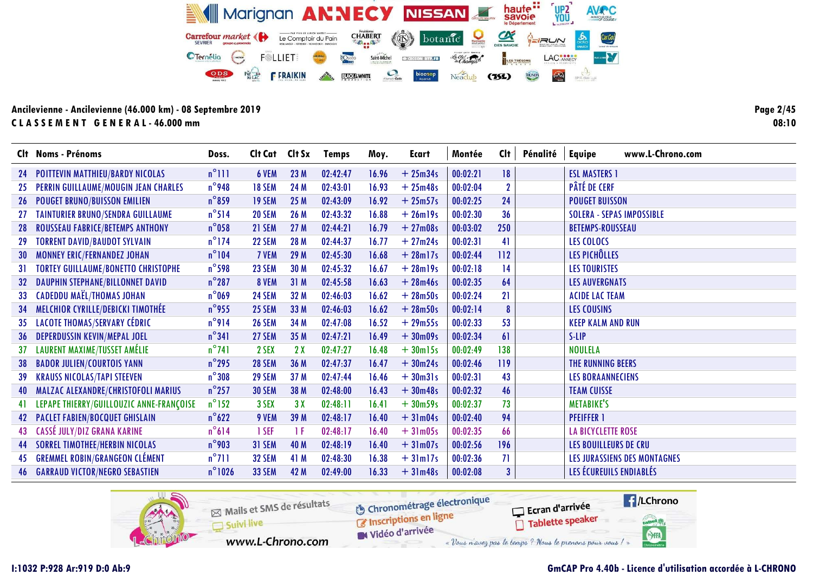Clt Noms - Prénoms Doss. Clt Cat Clt Sx Temps Moy. Ecart Montée Clt Pénalité Equipe www.L-Chrono.com 24 POITTEVIN MATTHIEU/BARDY NICOLAS n°111 6 VEM 23 M 02:42:47 16.96 + 25m34s 00:02:21 18 ESL MASTERS 1<br>25 PERRIN GUILLAUME/MOUGIN JEAN CHARLES n°948 18 SEM 24 M 02:43:01 16.93 + 25m48s 00:02:04 2 PÂTÉ DE CERF 25 PERRIN GUILLAUME/MOUGIN JEAN CHARLES  $n^{\circ}$ 948 18 SEM 24 M 02:43:01 16.93  $+$  25m48s 00:02:04 2 26 POUGET BRUNO/BUISSON EMILIEN n°859 19 SEM 25 M 02:43:09 16.92 + 25m57s 00:02:25 24 POUGET BUISSON 27 TAINTURIER BRUNO/SENDRA GUILLAUME n°514 20 SEM 26 M 02:43:32 16.88 28 ROUSSEAU FABRICE/BETEMPS ANTHONY n°058 21 SEM 27 M 02:44:21 16.79 + 27m08s 00:03:02 250 BETEMPS-ROUSSEAU 29 TORRENT DAVID/BAUDOT SYLVAIN n°174 22 SEM 28 M 02:44:37 16.77 + 27m24s 00:02:31 41 LES COLOCS 30 MONNEY ERIC/FERNANDEZ JOHAN n°104 7 VEM 29 M 02:45:30 16.68 + 28m17s 00:02:44 112 LES PICHÔLLES 31 TORTEY GUILLAUME/BONETTO CHRISTOPHE n°598 23 SEM 30 M 02:45:32 16.67 + 28m19s 00:02:18 14 LES TOURISTES 32 DAUPHIN STEPHANE/BILLONNET DAVID n°287 8 VEM 31 M 02:45:58 16.63 + 28m46s 00:02:35 64 LES AUVERGNATS  $\begin{array}{cccccccccccccccccccc} 33 & \text{CADEDDU MAE} \end{array}$  and the natural model of the new set of the new set of the new set of the new set of the new set of the new set of the new set of the new set of the new set of the new set of the new set o 34 MELCHIOR CYRILLE/DEBICKI TIMOTHÉE n°955 25 SEM 33 M 02:46:03 16.62 + 28m50s 00:02:14 8 LES COUSINS 35 LACOTE THOMAS/SERVARY CÉDRIC n°914 26 SEM 34 M 02:47:08 16.52 + 29m55s 00:02:33 53 KEEP KALM AND RUN 36 DEPERDUSSIN KEVIN/MEPAL JOEL  $n^{\circ}341$  27 SEM  $35$  M  $02:47:21$  16.49  $+30m09s$ 37 LAURENT MAXIME/TUSSET AMÉLIE n°741 2 SEX 2 X 02:47:27 16.48 + 30m15s 00:02:49 138 NOULELA<br>38 BADOR JULIEN/COURTOIS YANN 38 BADOR JULIEN/COURTOIS YANN n°295 28 SEM 36 M 02:47:37 16.47 + 30m24s 00:02:46 119 THE RUNNING BEERS 39 KRAUSS NICOLAS/TAPI STEEVEN n°308 29 SEM 37 M 02:47:44 16.46 + 30m31s 00:02:31 43 LES BORAANNECIENS 40 MALZAC ALEXANDRE/CHRISTOFOLI MARIUS n°257 30 SEM 38 M 02:48:00 16.43 + 30m48s 00:02:32 46 TEAM CUISSE 41 LEPAPE THIERRY/GUILLOUZIC ANNE-FRANÇOISE n°152 3 SEX 3 X 02:48:11 16.41 + 30m59s 00:02:37 73 METABIKE'S 42 PACLET FABIEN/BOCQUET GHISLAIN n°622 9 VEM 39 M 02:48:17 16.40 + 31m04s 00:02:40 94 PFEIFFER 1 43 CASSÉ JULY/DIZ GRANA KARINE n°614 1 SEF 1 F 02:48:17 16.40 + 31m05s 00:02:35 66 LA BICYCLETTE ROSE 44 SORREL TIMOTHEE/HERBIN NICOLAS n°903 31 SEM 40 M 02:48:19 16.40 + 31m07s 00:02:56 196 LES BOUILLEURS DE CRU 45 GREMMEL ROBIN/GRANGEON CLÉMENT n°711 32 SEM 41 M 02:48:30 16.38 + 31m17s 00:02:36 71 LES JURASSIENS DES MONTAGNES 46 GARRAUD VICTOR/NEGRO SEBASTIEN n°1026 33 SEM 42 M 02:49:00 16.33 + 31m48s 00:02:08 3



Page 2/45 08:10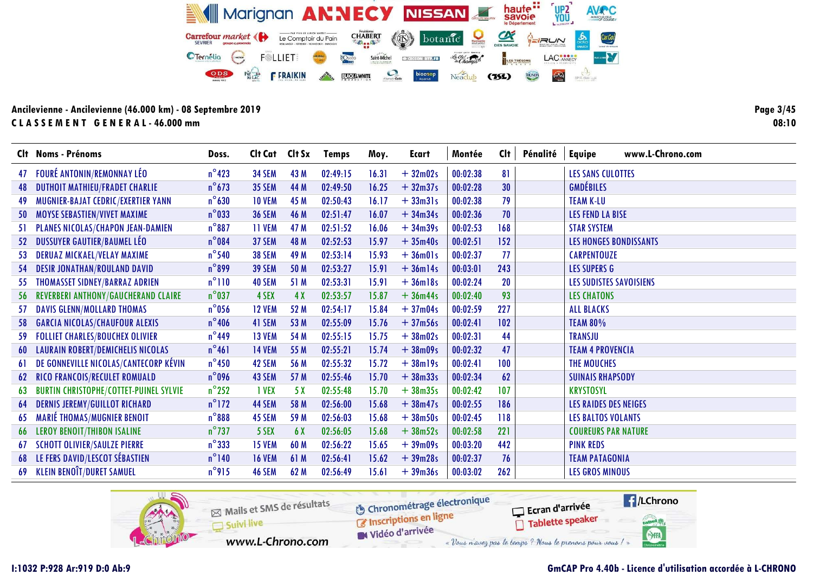Moy.

**Ecart** 

Clt Cat Clt Sx Temps

Doss.

## Ancilevienne - Ancilevienne (46.000 km) - 08 Septembre 2019 CLASSEMENT GENERAL-46.000 mm

Clt Noms - Prénoms

|    | 47 FOURÉ ANTONIN/REMONNAY LÉO                 | $n^{\circ}$ 423 | <b>34 SEM</b> | 43 M | 02:49:15 | 16.31 | $+32m02s$  | 00:02:38 | 81  | <b>LES SANS CULOTTES</b>       |
|----|-----------------------------------------------|-----------------|---------------|------|----------|-------|------------|----------|-----|--------------------------------|
|    | <b>48 DUTHOIT MATHIEU/FRADET CHARLIE</b>      | $n^{\circ}$ 673 | <b>35 SEM</b> | 44 M | 02:49:50 | 16.25 | $+32m37s$  | 00:02:28 | 30  | <b>GMDÉBILES</b>               |
| 49 | <b>MUGNIER-BAJAT CEDRIC/EXERTIER YANN</b>     | $n^{\circ}$ 630 | <b>10 VEM</b> | 45 M | 02:50:43 | 16.17 | $+33m31s$  | 00:02:38 | 79  | <b>TEAM K-LU</b>               |
|    | 50 MOYSE SEBASTIEN/VIVET MAXIME               | $n^{\circ}$ 033 | <b>36 SEM</b> | 46 M | 02:51:47 | 16.07 | $+34m34s$  | 00:02:36 | 70  | <b>LES FEND LA BISE</b>        |
|    | 51 PLANES NICOLAS/CHAPON JEAN-DAMIEN          | $n^{\circ}887$  | 11 VEM        | 47 M | 02:51:52 | 16.06 | $+34m39s$  | 00:02:53 | 168 | <b>STAR SYSTEM</b>             |
|    | 52 DUSSUYER GAUTIER/BAUMEL LÉO                | $n^{\circ}$ 084 | 37 SEM        | 48 M | 02:52:53 | 15.97 | $+35m40s$  | 00:02:51 | 152 | <b>LES HONGES BONDISSANTS</b>  |
|    | 53 DERUAZ MICKAEL/VELAY MAXIME                | $n^{\circ}$ 540 | <b>38 SEM</b> | 49 M | 02:53:14 | 15.93 | $+36m01s$  | 00:02:37 | 77  | <b>CARPENTOUZE</b>             |
|    | 54 DESIR JONATHAN/ROULAND DAVID               | $n^{\circ}$ 899 | <b>39 SEM</b> | 50 M | 02:53:27 | 15.91 | $+36m14s$  | 00:03:01 | 243 | <b>LES SUPERS G</b>            |
|    | 55 THOMASSET SIDNEY/BARRAZ ADRIEN             | $n^{\circ}110$  | <b>40 SEM</b> | 51 M | 02:53:31 | 15.91 | $+36$ ml8s | 00:02:24 | 20  | <b>LES SUDISTES SAVOISIENS</b> |
|    | 56 REVERBERI ANTHONY/GAUCHERAND CLAIRE        | $n^{\circ}$ 037 | 4 SEX         | 4X   | 02:53:57 | 15.87 | $+36m44s$  | 00:02:40 | 93  | <b>LES CHATONS</b>             |
|    | 57 DAVIS GLENN/MOLLARD THOMAS                 | $n^{\circ}$ 056 | <b>12 VEM</b> | 52 M | 02:54:17 | 15.84 | $+37m04s$  | 00:02:59 | 227 | <b>ALL BLACKS</b>              |
|    | 58 GARCIA NICOLAS/CHAUFOUR ALEXIS             | $n^{\circ}$ 406 | 41 SEM        | 53 M | 02:55:09 | 15.76 | $+37m56s$  | 00:02:41 | 102 | <b>TEAM 80%</b>                |
|    | 59 FOLLIET CHARLES/BOUCHEX OLIVIER            | $n^{\circ}$ 449 | <b>13 VEM</b> | 54 M | 02:55:15 | 15.75 | $+38m02s$  | 00:02:31 | 44  | TRANSJU                        |
|    | <b>60 LAURAIN ROBERT/DEMICHELIS NICOLAS</b>   | $n^{\circ}461$  | <b>14 VEM</b> | 55 M | 02:55:21 | 15.74 | $+38m09s$  | 00:02:32 | 47  | <b>TEAM 4 PROVENCIA</b>        |
|    | 61 DE GONNEVILLE NICOLAS/CANTECORP KÉVIN      | $n^{\circ}$ 450 | 42 SEM        | 56 M | 02:55:32 | 15.72 | $+38$ ml9s | 00:02:41 | 100 | THE MOUCHES                    |
|    | 62 RICO FRANCOIS/RECULET ROMUALD              | $n^{\circ}$ 096 | 43 SEM        | 57 M | 02:55:46 | 15.70 | $+38m33s$  | 00:02:34 | 62  | <b>SUINAIS RHAPSODY</b>        |
| 63 | <b>BURTIN CHRISTOPHE/COTTET-PUINEL SYLVIE</b> | $n^{\circ}$ 252 | 1 VEX         | 5X   | 02:55:48 | 15.70 | $+38m35s$  | 00:02:42 | 107 | <b>KRYSTOSYL</b>               |
|    | <b>64 DERNIS JEREMY/GUILLOT RICHARD</b>       | $n^{\circ}$ 172 | 44 SEM        | 58 M | 02:56:00 | 15.68 | $+38m47s$  | 00:02:55 | 186 | <b>LES RAIDES DES NEIGES</b>   |
|    | <b>65 MARIÉ THOMAS/MUGNIER BENOIT</b>         | $n^{\circ}888$  | 45 SEM        | 59 M | 02:56:03 | 15.68 | $+38m50s$  | 00:02:45 | 118 | <b>LES BALTOS VOLANTS</b>      |
|    | <b>66 LEROY BENOIT/THIBON ISALINE</b>         | $n^{\circ}$ 737 | 5 SEX         | 6 X  | 02:56:05 | 15.68 | $+38m52s$  | 00:02:58 | 221 | <b>COUREURS PAR NATURE</b>     |
|    | <b>67 SCHOTT OLIVIER/SAULZE PIERRE</b>        | $n^{\circ}$ 333 | <b>15 VEM</b> | 60 M | 02:56:22 | 15.65 | $+39m09s$  | 00:03:20 | 442 | <b>PINK REDS</b>               |
|    | <b>68 LE FERS DAVID/LESCOT SÉBASTIEN</b>      | $n^{\circ}$ 140 | <b>16 VEM</b> | 61 M | 02:56:41 | 15.62 | $+39m28s$  | 00:02:37 | 76  | <b>TEAM PATAGONIA</b>          |
|    | 69 KLEIN BENOÎT/DURET SAMUEL                  | $n^{\circ}$ 915 | <b>46 SEM</b> | 62 M | 02:56:49 | 15.61 | $+39m36s$  | 00:03:02 | 262 | <b>LES GROS MINOUS</b>         |

Montée

CIt Pénalité Equipe



Page 3/45  $08:10$ 

1:1032 P:928 Ar:919 D:0 Ab:9

#### **GmCAP Pro 4.40b - Licence d'utilisation accordée à L-CHRONO**

www.L-Chrono.com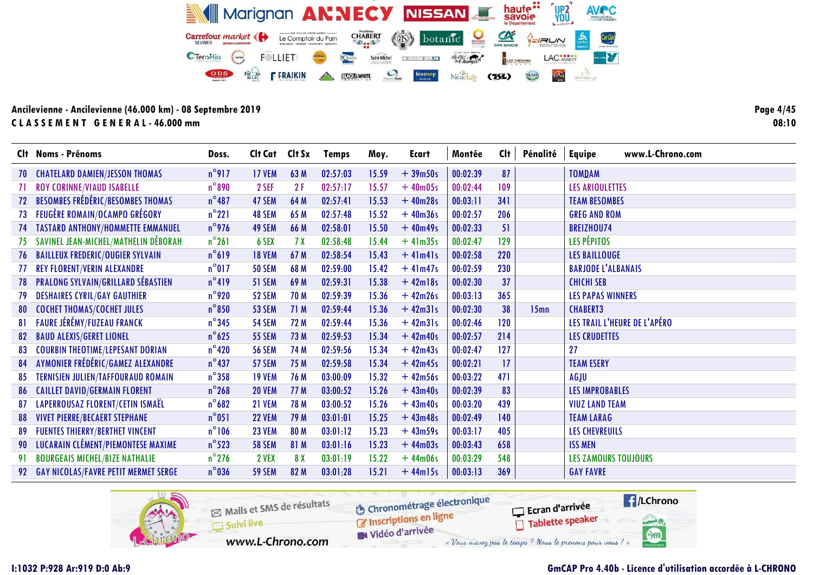|    | Clt Noms - Prénoms                          | Doss.           | Clt Cat       | Clt Sx      | <b>Temps</b> | Moy.  | <b>Ecart</b>   | Montée   | Clt | Pénalité         | www.L-Chrono.com<br><b>Equipe</b> |
|----|---------------------------------------------|-----------------|---------------|-------------|--------------|-------|----------------|----------|-----|------------------|-----------------------------------|
|    | <b>70 CHATELARD DAMIEN/JESSON THOMAS</b>    | $n^{\circ}$ 917 | <b>17 VEM</b> | 63 M        | 02:57:03     | 15.59 | $+39m50s$      | 00:02:39 | 87  |                  | <b>TOMDAM</b>                     |
| 71 | <b>ROY CORINNE/VIAUD ISABELLE</b>           | $n^{\circ}890$  | 2 SEF         | 2F          | 02:57:17     | 15.57 | $+40m05s$      | 00:02:44 | 109 |                  | <b>LES ARIOULETTES</b>            |
| 72 | <b>BESOMBES FRÉDÉRIC/BESOMBES THOMAS</b>    | $n^{\circ}487$  | 47 SEM        | 64 M        | 02:57:41     | 15.53 | $+40m28s$      | 00:03:11 | 341 |                  | <b>TEAM BESOMBES</b>              |
| 73 | <b>FEUGÈRE ROMAIN/OCAMPO GRÉGORY</b>        | $n^{\circ}221$  | 48 SEM        | 65 M        | 02:57:48     | 15.52 | $+40m36s$      | 00:02:57 | 206 |                  | <b>GREG AND ROM</b>               |
|    | <b>74 TASTARD ANTHONY/HOMMETTE EMMANUEL</b> | $n^{\circ}$ 976 | 49 SEM        | 66 M        | 02:58:01     | 15.50 | $+40m49s$      | 00:02:33 | 51  |                  | BREIZHOU74                        |
|    | 75 SAVINEL JEAN-MICHEL/MATHELIN DÉBORAH     | $n^{\circ}261$  | 6 SEX         | <b>7 X</b>  | 02:58:48     | 15.44 | $+41m35s$      | 00:02:47 | 129 |                  | LES PÉPITOS                       |
|    | 76 BAILLEUX FREDERIC/OUGIER SYLVAIN         | $n^{\circ}619$  | <b>18 VEM</b> | 67 M        | 02:58:54     | 15.43 | $+$ 41 $m$ 41s | 00:02:58 | 220 |                  | <b>LES BAILLOUGE</b>              |
| 77 | <b>REY FLORENT/VERIN ALEXANDRE</b>          | $n^{\circ}017$  | <b>50 SEM</b> | 68 M        | 02:59:00     | 15.42 | $+41m47s$      | 00:02:59 | 230 |                  | <b>BARJODE L'ALBANAIS</b>         |
| 78 | <b>PRALONG SYLVAIN/GRILLARD SÉBASTIEN</b>   | $n^{\circ}419$  | <b>51 SEM</b> | 69 M        | 02:59:31     | 15.38 | $+42$ ml8s     | 00:02:30 | 37  |                  | <b>CHICHI SEB</b>                 |
| 79 | <b>DESHAIRES CYRIL/GAY GAUTHIER</b>         | $n^{\circ}$ 920 | <b>52 SEM</b> | 70 M        | 02:59:39     | 15.36 | $+42m26s$      | 00:03:13 | 365 |                  | <b>LES PAPAS WINNERS</b>          |
| 80 | <b>COCHET THOMAS/COCHET JULES</b>           | $n^{\circ}850$  | <b>53 SEM</b> | 71M         | 02:59:44     | 15.36 | $+42m31s$      | 00:02:30 | 38  | 15 <sub>mn</sub> | <b>CHABERT3</b>                   |
| 81 | FAURE JÉRÉMY/FUZEAU FRANCK                  | $n^{\circ}345$  | <b>54 SEM</b> | 72 M        | 02:59:44     | 15.36 | $+42m31s$      | 00:02:46 | 120 |                  | LES TRAIL L'HEURE DE L'APÉRO      |
|    | 82 BAUD ALEXIS/GERET LIONEL                 | $n^{\circ}625$  | <b>55 SEM</b> | 73 M        | 02:59:53     | 15.34 | $+42m40s$      | 00:02:57 | 214 |                  | <b>LES CRUDETTES</b>              |
| 83 | <b>COURBIN THEOTIME/LEPESANT DORIAN</b>     | $n^{\circ}$ 420 | <b>56 SEM</b> | 74 M        | 02:59:56     | 15.34 | $+42m43s$      | 00:02:47 | 127 |                  | 27                                |
| 84 | AYMONIER FRÉDÉRIC/GAMEZ ALEXANDRE           | $n^{\circ}$ 437 | 57 SEM        | 75 M        | 02:59:58     | 15.34 | $+42m45s$      | 00:02:21 | 17  |                  | <b>TEAM ESERY</b>                 |
| 85 | <b>TERNISIEN JULIEN/TAFFOURAUD ROMAIN</b>   | $n^{\circ}358$  | <b>19 VEM</b> | 76 M        | 03:00:09     | 15.32 | $+42m56s$      | 00:03:22 | 471 |                  | AGJU                              |
|    | <b>86 CAILLET DAVID/GERMAIN FLORENT</b>     | $n^{\circ}$ 268 | <b>20 VEM</b> | 77 M        | 03:00:52     | 15.26 | $+43m40s$      | 00:02:39 | 83  |                  | <b>LES IMPROBABLES</b>            |
|    | 87 LAPERROUSAZ FLORENT/CETIN ISMAËL         | $n^{\circ}682$  | <b>21 VEM</b> | 78 M        | 03:00:52     | 15.26 | $+43m40s$      | 00:03:20 | 439 |                  | <b>VIUZ LAND TEAM</b>             |
|    | <b>88 VIVET PIERRE/BECAERT STEPHANE</b>     | $n^{\circ}051$  | <b>22 VEM</b> | 79 M        | 03:01:01     | 15.25 | $+43m48s$      | 00:02:49 | 140 |                  | <b>TEAM LARAG</b>                 |
|    | <b>89 FUENTES THIERRY/BERTHET VINCENT</b>   | $n^{\circ}106$  | <b>23 VEM</b> | <b>80 M</b> | 03:01:12     | 15.23 | $+43m59s$      | 00:03:17 | 405 |                  | <b>LES CHEVREUILS</b>             |
| 90 | LUCARAIN CLÉMENT/PIEMONTESE MAXIME          | $n^{\circ}$ 523 | <b>58 SEM</b> | 81 M        | 03:01:16     | 15.23 | $+44m03s$      | 00:03:43 | 658 |                  | <b>ISS MEN</b>                    |
| 91 | <b>BOURGEAIS MICHEL/BIZE NATHALIE</b>       | $n^{\circ}$ 276 | 2 VEX         | 8 X         | 03:01:19     | 15.22 | $+44m06s$      | 00:03:29 | 548 |                  | <b>LES ZAMOURS TOUJOURS</b>       |
|    | 92 GAY NICOLAS/FAVRE PETIT MERMET SERGE     | $n^{\circ}$ 036 | <b>59 SEM</b> | 82 M        | 03:01:28     | 15.21 | $+44$ ml5s     | 00:03:13 | 369 |                  | <b>GAY FAVRE</b>                  |
|    |                                             |                 |               |             |              |       |                |          |     |                  |                                   |



Page 4/45 08:10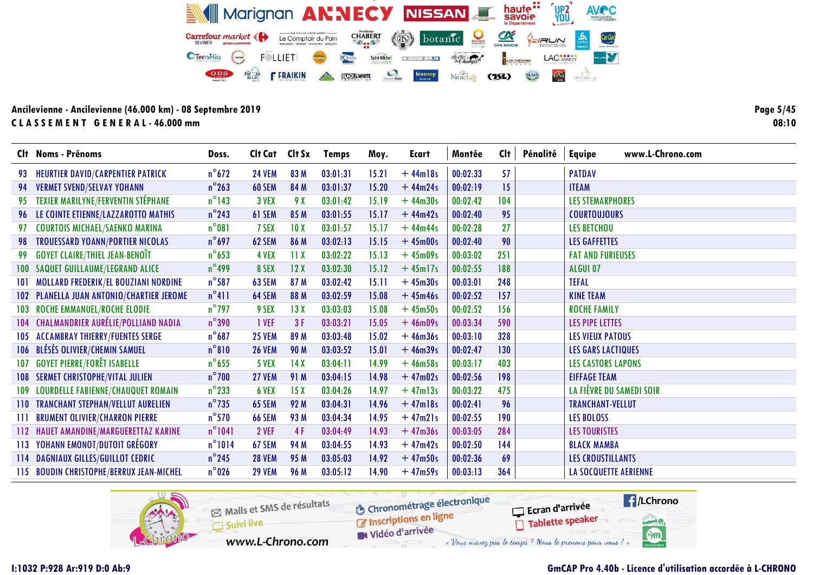|    | Clt Noms - Prénoms                           | Doss.           | Clt Cat Clt Sx |                 | <b>Temps</b> | Moy.  | Ecart      | Montée   | Clt | Pénalité | <b>Equipe</b><br>www.L-Chrono.com |
|----|----------------------------------------------|-----------------|----------------|-----------------|--------------|-------|------------|----------|-----|----------|-----------------------------------|
| 93 | <b>HEURTIER DAVID/CARPENTIER PATRICK</b>     | $n^{\circ}$ 672 | <b>24 VEM</b>  | 83 M            | 03:01:31     | 15.21 | $+44$ ml8s | 00:02:33 | 57  |          | <b>PATDAV</b>                     |
| 94 | <b>VERMET SVEND/SELVAY YOHANN</b>            | $n^{\circ}263$  | 60 SEM         | 84 M            | 03:01:37     | 15.20 | $+44m24s$  | 00:02:19 | 15  |          | <b>ITEAM</b>                      |
| 95 | <b>TEXIER MARILYNE/FERVENTIN STÉPHANE</b>    | $n^{\circ}$ 143 | 3 VEX          | 9 X             | 03:01:42     | 15.19 | $+44m30s$  | 00:02:42 | 104 |          | <b>LES STEMARPHORES</b>           |
|    | 96 LE COINTE ETIENNE/LAZZAROTTO MATHIS       | $n^{\circ}$ 243 | 61 SEM         | 85 M            | 03:01:55     | 15.17 | $+44m42s$  | 00:02:40 | 95  |          | <b>COURTOUJOURS</b>               |
| 97 | <b>COURTOIS MICHAEL/SAENKO MARINA</b>        | $n^{\circ}081$  | 7 SEX          | 10 <sub>X</sub> | 03:01:57     | 15.17 | $+44m44s$  | 00:02:28 | 27  |          | <b>LES BETCHOU</b>                |
|    | 98 TROUESSARD YOANN/PORTIER NICOLAS          | $n^{\circ}$ 697 | 62 SEM         | 86 M            | 03:02:13     | 15.15 | $+45m00s$  | 00:02:40 | 90  |          | <b>LES GAFFETTES</b>              |
| 99 | <b>GOYET CLAIRE/THIEL JEAN-BENOIT</b>        | $n^{\circ}$ 653 | 4 VEX          | 11X             | 03:02:22     | 15.13 | $+45m09s$  | 00:03:02 | 251 |          | <b>FAT AND FURIEUSES</b>          |
|    | 100 SAQUET GUILLAUME/LEGRAND ALICE           | $n^{\circ}$ 499 | 8 SEX          | 12X             | 03:02:30     | 15.12 | $+45$ ml7s | 00:02:55 | 188 |          | ALGUI 07                          |
|    | 101 MOLLARD FREDERIK/EL BOUZIANI NORDINE     | $n^{\circ}$ 587 | 63 SEM         | 87 M            | 03:02:42     | 15.11 | $+45m30s$  | 00:03:01 | 248 |          | <b>TEFAL</b>                      |
|    | 102 PLANELLA JUAN ANTONIO/CHARTIER JEROME    | $n^{\circ}411$  | 64 SEM         | 88 M            | 03:02:59     | 15.08 | $+45m46s$  | 00:02:52 | 157 |          | <b>KINE TEAM</b>                  |
|    | 103 ROCHE EMMANUEL/ROCHE ELODIE              | $n^{\circ}$ 797 | 9 SEX          | 13X             | 03:03:03     | 15.08 | $+45m50s$  | 00:02:52 | 156 |          | <b>ROCHE FAMILY</b>               |
|    | 104 CHALMANDRIER AURÉLIE/POLLIAND NADIA      | $n^{\circ}$ 390 | 1 VEF          | 3F              | 03:03:21     | 15.05 | $+46m09s$  | 00:03:34 | 590 |          | LES PIPE LETTES                   |
|    | <b>105 ACCAMBRAY THIERRY/FUENTES SERGE</b>   | $n^{\circ}687$  | <b>25 VEM</b>  | 89 M            | 03:03:48     | 15.02 | $+46m36s$  | 00:03:10 | 328 |          | <b>LES VIEUX PATOUS</b>           |
|    | 106 BLÉSÈS OLIVIER/CHEMIN SAMUEL             | $n^{\circ}810$  | <b>26 VEM</b>  | <b>90 M</b>     | 03:03:52     | 15.01 | $+46m39s$  | 00:02:47 | 130 |          | <b>LES GARS LACTIQUES</b>         |
|    | <b>107 GOYET PIERRE/FORÊT ISABELLE</b>       | $n^{\circ}$ 655 | 5 VEX          | 14X             | 03:04:11     | 14.99 | $+46m58s$  | 00:03:17 | 403 |          | <b>LES CASTORS LAPONS</b>         |
|    | <b>108 SERMET CHRISTOPHE/VITAL JULIEN</b>    | $n^{\circ}$ 700 | <b>27 VEM</b>  | 91 M            | 03:04:15     | 14.98 | $+47m02s$  | 00:02:56 | 198 |          | <b>EIFFAGE TEAM</b>               |
|    | 109 LOURDELLE FABIENNE/CHAUQUET ROMAIN       | $n^{\circ}$ 233 | 6 VEX          | 15X             | 03:04:26     | 14.97 | $+47m13s$  | 00:03:22 | 475 |          | LA FIÈVRE DU SAMEDI SOIR          |
|    | <b>110 TRANCHANT STEPHAN/VELLUT AURELIEN</b> | $n^{\circ}$ 735 | <b>65 SEM</b>  | 92 M            | 03:04:31     | 14.96 | $+47$ ml8s | 00:02:41 | 96  |          | <b>TRANCHANT-VELLUT</b>           |
|    | <b>111 BRUMENT OLIVIER/CHARRON PIERRE</b>    | $n^{\circ}$ 570 | <b>66 SEM</b>  | 93 M            | 03:04:34     | 14.95 | $+47m21s$  | 00:02:55 | 190 |          | <b>LES BOLOSS</b>                 |
|    | 112 HAUET AMANDINE/MARGUERETTAZ KARINE       | $n^{\circ}1041$ | 2 VEF          | 4F              | 03:04:49     | 14.93 | $+47m36s$  | 00:03:05 | 284 |          | <b>LES TOURISTES</b>              |
|    | 113 YOHANN EMONOT/DUTOIT GRÉGORY             | $n^{\circ}1014$ | 67 SEM         | 94 M            | 03:04:55     | 14.93 | $+47m42s$  | 00:02:50 | 144 |          | <b>BLACK MAMBA</b>                |
|    | 114 DAGNIAUX GILLES/GUILLOT CEDRIC           | $n^{\circ}$ 245 | <b>28 VEM</b>  | 95 M            | 03:05:03     | 14.92 | $+47m50s$  | 00:02:36 | 69  |          | <b>LES CROUSTILLANTS</b>          |
|    | 115 BOUDIN CHRISTOPHE/BERRUX JEAN-MICHEL     | $n^{\circ}$ 026 | <b>29 VEM</b>  | 96 M            | 03:05:12     | 14.90 | $+47m59s$  | 00:03:13 | 364 |          | <b>LA SOCQUETTE AERIENNE</b>      |

 $\mathbf{r}$ 



1:1032 P:928 Ar:919 D:0 Ab:9

#### **GmCAP Pro 4.40b - Licence d'utilisation accordée à L-CHRONO**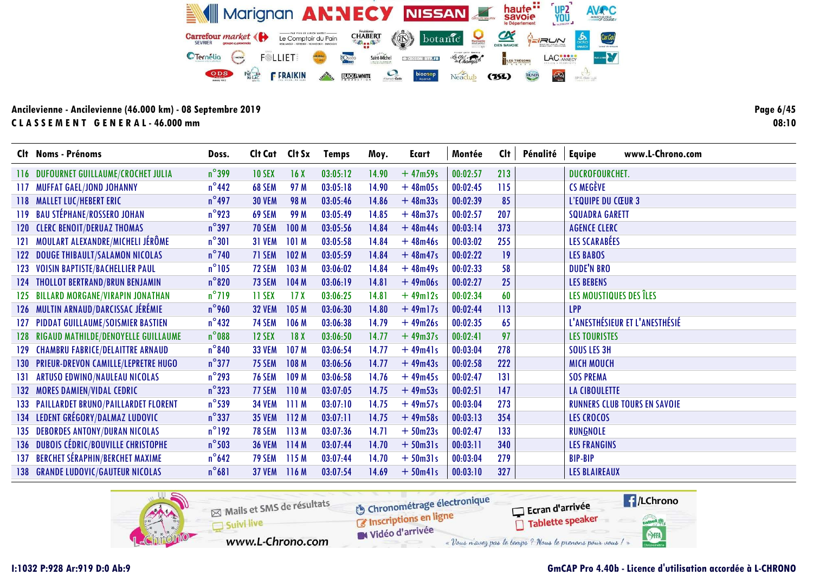|     | Clt Noms - Prénoms                       | Doss.           | Cit Cat Cit Sx |                  | <b>Temps</b> | Moy.  | Ecart      | Montée   | Cl <sub>t</sub> | Pénalité | www.L-Chrono.com<br><b>Equipe</b>   |
|-----|------------------------------------------|-----------------|----------------|------------------|--------------|-------|------------|----------|-----------------|----------|-------------------------------------|
|     | 116 DUFOURNET GUILLAUME/CROCHET JULIA    | $n^{\circ}$ 399 | <b>10 SEX</b>  | 16X              | 03:05:12     | 14.90 | $+47m59s$  | 00:02:57 | 213             |          | DUCROFOURCHET.                      |
| 117 | <b>MUFFAT GAEL/JOND JOHANNY</b>          | $n^{\circ}$ 442 | <b>68 SEM</b>  | 97 M             | 03:05:18     | 14.90 | $+48m05s$  | 00:02:45 | 115             |          | <b>CS MEGÈVE</b>                    |
|     | 118 MALLET LUC/HEBERT ERIC               | $n^{\circ}$ 497 | <b>30 VEM</b>  | 98 M             | 03:05:46     | 14.86 | $+48m33s$  | 00:02:39 | 85              |          | L'EQUIPE DU CŒUR 3                  |
|     | 119 BAU STÉPHANE/ROSSERO JOHAN           | $n^{\circ}$ 923 | <b>69 SEM</b>  | 99 M             | 03:05:49     | 14.85 | $+48m37s$  | 00:02:57 | 207             |          | <b>SQUADRA GARETT</b>               |
|     | 120 CLERC BENOIT/DERUAZ THOMAS           | $n^{\circ}$ 397 | <b>70 SEM</b>  | 100 <sub>M</sub> | 03:05:56     | 14.84 | $+48m44s$  | 00:03:14 | 373             |          | <b>AGENCE CLERC</b>                 |
|     | 121 MOULART ALEXANDRE/MICHELI JÉRÔME     | $n^{\circ}301$  | <b>31 VEM</b>  | 101 M            | 03:05:58     | 14.84 | $+48m46s$  | 00:03:02 | 255             |          | LES SCARABÉES                       |
|     | 122 DOUGE THIBAULT/SALAMON NICOLAS       | $n^{\circ}$ 740 | 71 SEM         | 102 M            | 03:05:59     | 14.84 | $+48m47s$  | 00:02:22 | 19              |          | LES BABOS                           |
|     | 123 VOISIN BAPTISTE/BACHELLIER PAUL      | $n^{\circ}105$  | <b>72 SEM</b>  | 103 M            | 03:06:02     | 14.84 | $+48m49s$  | 00:02:33 | 58              |          | <b>DUDE'N BRO</b>                   |
|     | 124 THOLLOT BERTRAND/BRUN BENJAMIN       | $n^{\circ}820$  | <b>73 SEM</b>  | 104 M            | 03:06:19     | 14.81 | $+49m06s$  | 00:02:27 | 25              |          | <b>LES BEBENS</b>                   |
|     | 125 BILLARD MORGANE/VIRAPIN JONATHAN     | $n^{\circ}$ 719 | 11 SEX         | 17 <sub>X</sub>  | 03:06:25     | 14.81 | $+49m12s$  | 00:02:34 | 60              |          | LES MOUSTIQUES DES ÎLES             |
|     | 126 MULTIN ARNAUD/DARCISSAC JÉRÉMIE      | $n^{\circ}$ 960 | <b>32 VEM</b>  | 105 M            | 03:06:30     | 14.80 | $+49$ ml7s | 00:02:44 | 113             |          | <b>LPP</b>                          |
|     | 127 PIDDAT GUILLAUME/SOISMIER BASTIEN    | $n^{\circ}$ 432 | <b>74 SEM</b>  | 106 M            | 03:06:38     | 14.79 | $+49m26s$  | 00:02:35 | 65              |          | L'ANESTHÉSIEUR ET L'ANESTHÉSIÉ      |
|     | 128 RIGAUD MATHILDE/DENOYELLE GUILLAUME  | $n^{\circ}$ 088 | <b>12 SEX</b>  | 18 <sub>X</sub>  | 03:06:50     | 14.77 | $+49m37s$  | 00:02:41 | 97              |          | <b>LES TOURISTES</b>                |
|     | 129 CHAMBRU FABRICE/DELAITTRE ARNAUD     | $n^{\circ}840$  | <b>33 VEM</b>  | 107 M            | 03:06:54     | 14.77 | $+49m41s$  | 00:03:04 | 278             |          | SOUS LES 3H                         |
|     | 130 PRIEUR-DREVON CAMILLE/LEPRETRE HUGO  | $n^{\circ}$ 377 | <b>75 SEM</b>  | 108 M            | 03:06:56     | 14.77 | $+49m43s$  | 00:02:58 | 222             |          | <b>MICH MOUCH</b>                   |
|     | 131 ARTUSO EDWINO/NAULEAU NICOLAS        | $n^{\circ}$ 293 | <b>76 SEM</b>  | 109 M            | 03:06:58     | 14.76 | $+49m45s$  | 00:02:47 | 131             |          | <b>SOS PREMA</b>                    |
|     | 132 MORES DAMIEN/VIDAL CEDRIC            | $n^{\circ}323$  | 77 SEM         | 110M             | 03:07:05     | 14.75 | $+49m53s$  | 00:02:51 | 147             |          | <b>LA CIBOULETTE</b>                |
|     | 133 PAILLARDET BRUNO/PAILLARDET FLORENT  | $n^{\circ}$ 539 | <b>34 VEM</b>  | 111M             | 03:07:10     | 14.75 | $+49m57s$  | 00:03:04 | 273             |          | <b>RUNNERS CLUB TOURS EN SAVOIE</b> |
|     | 134 LEDENT GRÉGORY/DALMAZ LUDOVIC        | $n^{\circ}$ 337 | <b>35 VEM</b>  | 112M             | 03:07:11     | 14.75 | $+49m58s$  | 00:03:13 | 354             |          | <b>LES CROCOS</b>                   |
|     | <b>135 DEBORDES ANTONY/DURAN NICOLAS</b> | $n^{\circ}$ 192 | <b>78 SEM</b>  | 113M             | 03:07:36     | 14.71 | $+50m23s$  | 00:02:47 | 133             |          | RUNGNOLE                            |
|     | 136 DUBOIS CÉDRIC/BOUVILLE CHRISTOPHE    | $n^{\circ}$ 503 | <b>36 VEM</b>  | 114M             | 03:07:44     | 14.70 | $+50m31s$  | 00:03:11 | 340             |          | <b>LES FRANGINS</b>                 |
|     | 137 BERCHET SÉRAPHIN/BERCHET MAXIME      | $n^{\circ}$ 642 | <b>79 SEM</b>  | 115M             | 03:07:44     | 14.70 | $+50m31s$  | 00:03:04 | 279             |          | <b>BIP-BIP</b>                      |
| 138 | <b>GRANDE LUDOVIC/GAUTEUR NICOLAS</b>    | $n^{\circ}681$  | <b>37 VEM</b>  | 116M             | 03:07:54     | 14.69 | $+50$ m4ls | 00:03:10 | 327             |          | <b>LES BLAIREAUX</b>                |



Page 6/45  $08:10$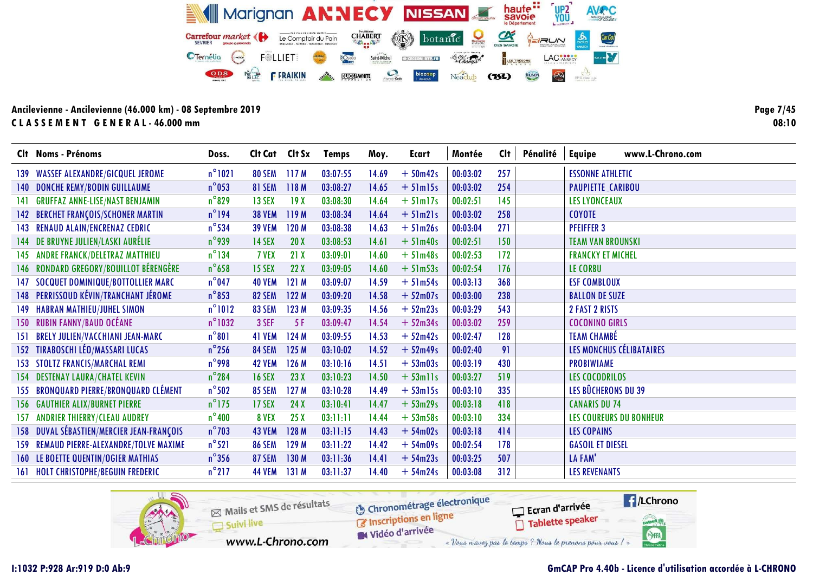| Clt Noms - Prénoms                          | Doss.            | Cit Cat Cit Sx |                  | <b>Temps</b> | Moy.  | Ecart                     | Montée   | <b>Clt</b> | Pénalité | www.L-Chrono.com<br><b>Equipe</b> |
|---------------------------------------------|------------------|----------------|------------------|--------------|-------|---------------------------|----------|------------|----------|-----------------------------------|
| 139 WASSEF ALEXANDRE/GICQUEL JEROME         | $n^{\circ}1021$  | 80 SEM 117 M   |                  | 03:07:55     | 14.69 | $+50m42s$                 | 00:03:02 | 257        |          | <b>ESSONNE ATHLETIC</b>           |
| 140 DONCHE REMY/BODIN GUILLAUME             | $n^{\circ}$ 053  | <b>81 SEM</b>  | 118M             | 03:08:27     | 14.65 | $+51$ m $15s$             | 00:03:02 | 254        |          | <b>PAUPIETTE_CARIBOU</b>          |
| 141 GRUFFAZ ANNE-LISE/NAST BENJAMIN         | $n^{\circ}$ 829  | 13 SEX         | 19X              | 03:08:30     | 14.64 | $+5$ lm $17s$             | 00:02:51 | 145        |          | <b>LES LYONCEAUX</b>              |
| <b>142 BERCHET FRANÇOIS/SCHONER MARTIN</b>  | $n^{\circ}$ 194  | <b>38 VEM</b>  | 119M             | 03:08:34     | 14.64 | $+5$ lm2 $\overline{1}$ s | 00:03:02 | 258        |          | <b>COYOTE</b>                     |
| 143 RENAUD ALAIN/ENCRENAZ CEDRIC            | $n^{\circ}$ 534  | <b>39 VEM</b>  | 120 M            | 03:08:38     | 14.63 | $+51m26s$                 | 00:03:04 | 271        |          | <b>PFEIFFER 3</b>                 |
| 144 DE BRUYNE JULIEN/LASKI AURÉLIE          | $n^{\circ}$ 939  | <b>14 SEX</b>  | 20X              | 03:08:53     | 14.61 | $+51m40s$                 | 00:02:51 | 150        |          | <b>TEAM VAN BROUNSKI</b>          |
| 145 ANDRE FRANCK/DELETRAZ MATTHIEU          | $n^{\circ}$ 134  | 7 VEX          | 21X              | 03:09:01     | 14.60 | $+51m48s$                 | 00:02:53 | 172        |          | <b>FRANCKY ET MICHEL</b>          |
| 146 RONDARD GREGORY/BOUILLOT BÉRENGÈRE      | $n^{\circ}$ 658  | <b>15 SEX</b>  | 22X              | 03:09:05     | 14.60 | $+51m53s$                 | 00:02:54 | 176        |          | LE CORBU                          |
| 147 SOCQUET DOMINIQUE/BOTTOLLIER MARC       | $n^{\circ}$ 047  | <b>40 VEM</b>  | 121M             | 03:09:07     | 14.59 | $+51m54s$                 | 00:03:13 | 368        |          | <b>ESF COMBLOUX</b>               |
| 148 PERRISSOUD KÉVIN/TRANCHANT JÉROME       | $n^{\circ}853$   | <b>82 SEM</b>  | 122M             | 03:09:20     | 14.58 | $+52m07s$                 | 00:03:00 | 238        |          | <b>BALLON DE SUZE</b>             |
| 149 HABRAN MATHIEU/JUHEL SIMON              | $n^{\circ}1012$  | <b>83 SEM</b>  | 123M             | 03:09:35     | 14.56 | $+52m23s$                 | 00:03:29 | 543        |          | <b>2 FAST 2 RISTS</b>             |
| 150 RUBIN FANNY/BAUD OCÉANE                 | $n^{\circ}$ 1032 | 3 SEF          | 5 F              | 03:09:47     | 14.54 | $+52m34s$                 | 00:03:02 | 259        |          | <b>COCONINO GIRLS</b>             |
| <b>151 BRELY JULIEN/VACCHIANI JEAN-MARC</b> | $n^{\circ}801$   | <b>41 VEM</b>  | 124M             | 03:09:55     | 14.53 | $+52m42s$                 | 00:02:47 | 128        |          | <b>TEAM CHAMBÉ</b>                |
| 152 TIRABOSCHI LÉO/MASSARI LUCAS            | $n^{\circ}$ 256  | <b>84 SEM</b>  | 125M             | 03:10:02     | 14.52 | $+52m49s$                 | 00:02:40 | 91         |          | LES MONCHUS CÉLIBATAIRES          |
| <b>153 STOLTZ FRANCIS/MARCHAL REMI</b>      | $n^{\circ}$ 998  | <b>42 VEM</b>  | 126M             | 03:10:16     | 14.51 | $+53m03s$                 | 00:03:19 | 430        |          | <b>PROBIWIAME</b>                 |
| <b>154 DESTENAY LAURA/CHATEL KEVIN</b>      | $n^{\circ}$ 284  | <b>16 SEX</b>  | 23X              | 03:10:23     | 14.50 | $+ 53$ mlls               | 00:03:27 | 519        |          | <b>LES COCODRILOS</b>             |
| 155 BRONQUARD PIERRE/BRONQUARD CLÉMENT      | $n^{\circ}$ 502  | <b>85 SEM</b>  | 127 <sub>M</sub> | 03:10:28     | 14.49 | $+ 53$ ml5s               | 00:03:10 | 335        |          | LES BÛCHERONS DU 39               |
| <b>156 GAUTHIER ALIX/BURNET PIERRE</b>      | $n^{\circ}$ 175  | 17 SEX         | 24X              | 03:10:41     | 14.47 | $+53m29s$                 | 00:03:18 | 418        |          | <b>CANARIS DU 74</b>              |
| <b>157 ANDRIER THIERRY/CLEAU AUDREY</b>     | $n^{\circ}$ 400  | 8 VEX          | 25X              | 03:11:11     | 14.44 | $+53m58s$                 | 00:03:10 | 334        |          | <b>LES COUREURS DU BONHEUR</b>    |
| 158 DUVAL SÉBASTIEN/MERCIER JEAN-FRANÇOIS   | $n^{\circ}$ 703  | <b>43 VEM</b>  | 128 M            | 03:11:15     | 14.43 | $+54m02s$                 | 00:03:18 | 414        |          | <b>LES COPAINS</b>                |
| 159 REMAUD PIERRE-ALEXANDRE/TOLVE MAXIME    | $n^{\circ}521$   | <b>86 SEM</b>  | 129M             | 03:11:22     | 14.42 | $+54m09s$                 | 00:02:54 | 178        |          | <b>GASOIL ET DIESEL</b>           |
| <b>160 LE BOETTE QUENTIN/OGIER MATHIAS</b>  | $n^{\circ}$ 356  | <b>87 SEM</b>  | 130 M            | 03:11:36     | 14.41 | $+54m23s$                 | 00:03:25 | 507        |          | LA FAM'                           |
| <b>161 HOLT CHRISTOPHE/BEGUIN FREDERIC</b>  | $n^{\circ}$ 217  | <b>44 VEM</b>  | 131M             | 03:11:37     | 14.40 | $+54m24s$                 | 00:03:08 | 312        |          | <b>LES REVENANTS</b>              |
|                                             |                  |                |                  |              |       |                           |          |            |          |                                   |



#### I:1032 P:928 Ar:919 D:0 Ab:9 GmCAP Pro 4.40b - Licence d'utilisation accordée à L-CHRONO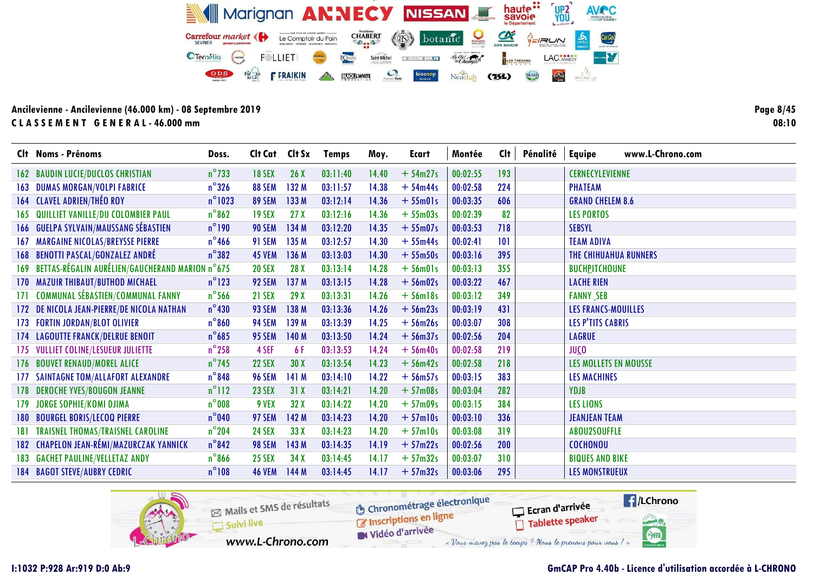|      | Clt Noms - Prénoms                                  | Doss.            | Clt Cat       | Clt Sx          | Temps    | Moy.  | Ecart      | Montée   | Clt | Pénalité | www.L-Chrono.com<br><b>Equipe</b> |
|------|-----------------------------------------------------|------------------|---------------|-----------------|----------|-------|------------|----------|-----|----------|-----------------------------------|
|      | <b>162 BAUDIN LUCIE/DUCLOS CHRISTIAN</b>            | $n^{\circ}$ 733  | <b>18 SEX</b> | 26X             | 03:11:40 | 14.40 | $+54m27s$  | 00:02:55 | 193 |          | <b>CERNECYLEVIENNE</b>            |
|      | <b>163 DUMAS MORGAN/VOLPI FABRICE</b>               | $n^{\circ}$ 326  | <b>88 SEM</b> | 132 M           | 03:11:57 | 14.38 | $+54m44s$  | 00:02:58 | 224 |          | <b>PHATEAM</b>                    |
|      | <b>164 CLAVEL ADRIEN/THÉO ROY</b>                   | $n^{\circ}$ 1023 | <b>89 SEM</b> | 133 M           | 03:12:14 | 14.36 | $+ 55m01s$ | 00:03:35 | 606 |          | <b>GRAND CHELEM 8.6</b>           |
| 165  | QUILLIET VANILLE/DU COLOMBIER PAUL                  | $n^{\circ}862$   | <b>19 SEX</b> | 27 <sub>X</sub> | 03:12:16 | 14.36 | $+55m03s$  | 00:02:39 | 82  |          | <b>LES PORTOS</b>                 |
|      | <b>166 GUELPA SYLVAIN/MAUSSANG SÉBASTIEN</b>        | $n^{\circ}$ 190  | <b>90 SEM</b> | 134 M           | 03:12:20 | 14.35 | $+55m07s$  | 00:03:53 | 718 |          | <b>SEBSYL</b>                     |
|      | <b>167 MARGAINE NICOLAS/BREYSSE PIERRE</b>          | $n^{\circ}$ 466  | <b>91 SEM</b> | 135 M           | 03:12:57 | 14.30 | $+55m44s$  | 00:02:41 | 101 |          | <b>TEAM ADIVA</b>                 |
|      | 168 BENOTTI PASCAL/GONZALEZ ANDRÉ                   | $n^{\circ}382$   | <b>45 VEM</b> | 136 M           | 03:13:03 | 14.30 | $+55m50s$  | 00:03:16 | 395 |          | THE CHIHUAHUA RUNNERS             |
|      | 169 BETTAS-RÉGALIN AURÉLIEN/GAUCHERAND MARION n°675 |                  | <b>20 SEX</b> | 28 X            | 03:13:14 | 14.28 | $+56m01s$  | 00:03:13 | 355 |          | <b>BUCHPITCHOUNE</b>              |
|      | 170 MAZUIR THIBAUT/BUTHOD MICHAEL                   | $n^{\circ}$ 123  | <b>92 SEM</b> | 137 M           | 03:13:15 | 14.28 | $+56m02s$  | 00:03:22 | 467 |          | <b>LACHE RIEN</b>                 |
|      | 171 COMMUNAL SÉBASTIEN/COMMUNAL FANNY               | $n^{\circ}$ 566  | 21 SEX        | 29X             | 03:13:31 | 14.26 | $+56$ ml8s | 00:03:12 | 349 |          | <b>FANNY SEB</b>                  |
|      | 172 DE NICOLA JEAN-PIERRE/DE NICOLA NATHAN          | $n^{\circ}$ 430  | 93 SEM        | 138 M           | 03:13:36 | 14.26 | $+56m23s$  | 00:03:19 | 431 |          | LES FRANCS-MOUILLES               |
|      | 173 FORTIN JORDAN/BLOT OLIVIER                      | $n^{\circ}860$   | <b>94 SEM</b> | 139 M           | 03:13:39 | 14.25 | $+56m26s$  | 00:03:07 | 308 |          | <b>LES P'TITS CABRIS</b>          |
|      | 174 LAGOUTTE FRANCK/DELRUE BENOIT                   | $n^{\circ}685$   | 95 SEM        | 140 M           | 03:13:50 | 14.24 | $+56m37s$  | 00:02:56 | 204 |          | <b>LAGRUE</b>                     |
|      | 175 VULLIET COLINE/LESUEUR JULIETTE                 | $n^{\circ}$ 258  | 4 SEF         | 6 F             | 03:13:53 | 14.24 | $+56m40s$  | 00:02:58 | 219 |          | JUCO                              |
|      | 176 BOUVET RENAUD/MOREL ALICE                       | $n^{\circ}$ 745  | <b>22 SEX</b> | 30X             | 03:13:54 | 14.23 | $+56m42s$  | 00:02:58 | 218 |          | LES MOLLETS EN MOUSSE             |
| 177. | <b>SAINTAGNE TOM/ALLAFORT ALEXANDRE</b>             | $n^{\circ}$ 848  | <b>96 SEM</b> | 141M            | 03:14:10 | 14.22 | $+56m57s$  | 00:03:15 | 383 |          | <b>LES MACHINES</b>               |
|      | 178 DEROCHE YVES/BOUGON JEANNE                      | $n^{\circ}112$   | <b>23 SEX</b> | 31X             | 03:14:21 | 14.20 | $+57m08s$  | 00:03:04 | 282 |          | YDJB                              |
|      | 179 JORGE SOPHIE/KOMI DJIMA                         | $n^{\circ}$ 008  | 9 VEX         | 32X             | 03:14:22 | 14.20 | $+57m09s$  | 00:03:15 | 384 |          | LES LIONS                         |
|      | <b>180 BOURGEL BORIS/LECOQ PIERRE</b>               | $n^{\circ}$ 040  | 97 SEM        | 142 M           | 03:14:23 | 14.20 | $+57$ ml0s | 00:03:10 | 336 |          | <b>JEANJEAN TEAM</b>              |
|      | <b>181 TRAISNEL THOMAS/TRAISNEL CAROLINE</b>        | $n^{\circ}$ 204  | <b>24 SEX</b> | 33X             | 03:14:23 | 14.20 | $+57$ ml0s | 00:03:08 | 319 |          | ABOU2SOUFFLE                      |
|      | 182 CHAPELON JEAN-RÉMI/MAZURCZAK YANNICK            | $n^{\circ}842$   | <b>98 SEM</b> | 143 M           | 03:14:35 | 14.19 | $+57m22s$  | 00:02:56 | 200 |          | <b>COCHONOU</b>                   |
|      | 183 GACHET PAULINE/VELLETAZ ANDY                    | $n^{\circ}$ 866  | <b>25 SEX</b> | 34X             | 03:14:45 | 14.17 | $+57m32s$  | 00:03:07 | 310 |          | <b>BIQUES AND BIKE</b>            |
| 184. | <b>BAGOT STEVE/AUBRY CEDRIC</b>                     | $n^{\circ}108$   | <b>46 VEM</b> | 144 M           | 03:14:45 | 14.17 | $+57m32s$  | 00:03:06 | 295 |          | LES MONSTRUEUX                    |



Page 8/45  $08:10$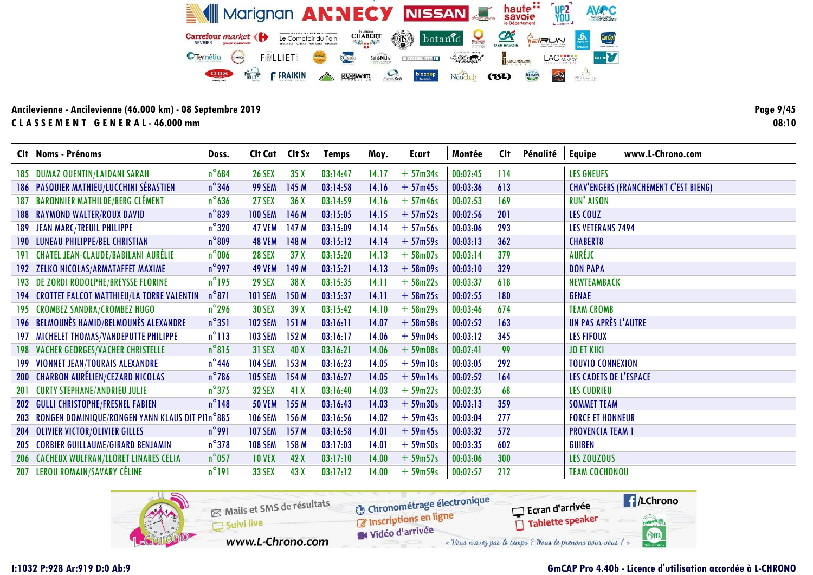| Clt Noms - Prénoms                                  | Doss.           | Clt Cat        | Clt Sx          | <b>Temps</b> | Moy.  | <b>Ecart</b> | Montée   | Clt | Pénalité | www.L-Chrono.com<br><b>Equipe</b>            |
|-----------------------------------------------------|-----------------|----------------|-----------------|--------------|-------|--------------|----------|-----|----------|----------------------------------------------|
| <b>185 DUMAZ QUENTIN/LAIDANI SARAH</b>              | $n^{\circ}$ 684 | <b>26 SEX</b>  | 35X             | 03:14:47     | 14.17 | $+57m34s$    | 00:02:45 | 114 |          | <b>LES GNEUFS</b>                            |
| 186 PASQUIER MATHIEU/LUCCHINI SÉBASTIEN             | $n^{\circ}$ 346 | <b>99 SEM</b>  | 145 M           | 03:14:58     | 14.16 | $+57m45s$    | 00:03:36 | 613 |          | <b>CHAV'ENGERS (FRANCHEMENT C'EST BIENG)</b> |
| 187 BARONNIER MATHILDE/BERG CLÉMENT                 | $n^{\circ}$ 636 | <b>27 SEX</b>  | 36X             | 03:14:59     | 14.16 | $+57m46s$    | 00:02:53 | 169 |          | <b>RUN' AISON</b>                            |
| <b>188 RAYMOND WALTER/ROUX DAVID</b>                | $n^{\circ}839$  | <b>100 SEM</b> | 146 M           | 03:15:05     | 14.15 | $+57m52s$    | 00:02:56 | 201 |          | LES COUZ                                     |
| 189 JEAN MARC/TREUIL PHILIPPE                       | $n^{\circ}320$  | <b>47 VEM</b>  | 147 M           | 03:15:09     | 14.14 | $+57m56s$    | 00:03:06 | 293 |          | <b>LES VETERANS 7494</b>                     |
| <b>190 LUNEAU PHILIPPE/BEL CHRISTIAN</b>            | $n^{\circ}809$  | <b>48 VEM</b>  | 148 M           | 03:15:12     | 14.14 | $+57m59s$    | 00:03:13 | 362 |          | <b>CHABERT8</b>                              |
| 191 CHATEL JEAN-CLAUDE/BABILANI AURÉLIE             | $n^{\circ}$ 006 | <b>28 SEX</b>  | 37 <sub>X</sub> | 03:15:20     | 14.13 | $+58m07s$    | 00:03:14 | 379 |          | AURÉJC                                       |
| 192 ZELKO NICOLAS/ARMATAFFET MAXIME                 | $n^{\circ}$ 997 | <b>49 VEM</b>  | 149 M           | 03:15:21     | 14.13 | $+58m09s$    | 00:03:10 | 329 |          | <b>DON PAPA</b>                              |
| 193 DE ZORDI RODOLPHE/BREYSSE FLORINE               | $n^{\circ}$ 195 | <b>29 SEX</b>  | 38 <sub>X</sub> | 03:15:35     | 14.11 | $+58m22s$    | 00:03:37 | 618 |          | NEWTEAMBACK                                  |
| 194 CROTTET FALCOT MATTHIEU/LA TORRE VALENTIN       | $n^{\circ}871$  | <b>101 SEM</b> | 150 M           | 03:15:37     | 14.11 | $+58m25s$    | 00:02:55 | 180 |          | <b>GENAE</b>                                 |
| 195 CROMBEZ SANDRA/CROMBEZ HUGO                     | $n^{\circ}$ 296 | <b>30 SEX</b>  | 39X             | 03:15:42     | 14.10 | $+58m29s$    | 00:03:46 | 674 |          | <b>TEAM CROMB</b>                            |
| 196 BELMOUNÈS HAMID/BELMOUNÈS ALEXANDRE             | $n^{\circ}351$  | <b>102 SEM</b> | 151 M           | 03:16:11     | 14.07 | $+58m58s$    | 00:02:52 | 163 |          | UN PAS APRÈS L'AUTRE                         |
| 197 MICHELET THOMAS/VANDEPUTTE PHILIPPE             | $n^{\circ}113$  | <b>103 SEM</b> | 152 M           | 03:16:17     | 14.06 | $+59m04s$    | 00:03:12 | 345 |          | <b>LES FIFOUX</b>                            |
| <b>198 VACHER GEORGES/VACHER CHRISTELLE</b>         | $n^{\circ}815$  | <b>31 SEX</b>  | 40X             | 03:16:21     | 14.06 | $+59m08s$    | 00:02:41 | 99  |          | <b>JO ET KIKI</b>                            |
| 199 VIONNET JEAN/TOURAIS ALEXANDRE                  | $n^{\circ}$ 446 | <b>104 SEM</b> | 153 M           | 03:16:23     | 14.05 | $+59$ ml0s   | 00:03:05 | 292 |          | <b>TOUVIO CONNEXION</b>                      |
| 200 CHARBON AURÉLIEN/CEZARD NICOLAS                 | $n^{\circ}$ 786 | <b>105 SEM</b> | 154 M           | 03:16:27     | 14.05 | $+ 59$ ml4s  | 00:02:52 | 164 |          | <b>LES CADETS DE L'ESPACE</b>                |
| 201 CURTY STEPHANE/ANDRIEU JULIE                    | $n^{\circ}375$  | <b>32 SEX</b>  | 41 X            | 03:16:40     | 14.03 | $+59m27s$    | 00:02:35 | 68  |          | <b>LES CUDRIEU</b>                           |
| 202 GULLI CHRISTOPHE/FRESNEL FABIEN                 | $n^{\circ}$ 148 | <b>50 VEM</b>  | 155M            | 03:16:43     | 14.03 | $+59m30s$    | 00:03:13 | 359 |          | <b>SOMMET TEAM</b>                           |
| 203 RONGEN DOMINIQUE/RONGEN YANN KLAUS DIT PIIn°885 |                 | <b>106 SEM</b> | 156 M           | 03:16:56     | 14.02 | $+59m43s$    | 00:03:04 | 277 |          | <b>FORCE ET HONNEUR</b>                      |
| 204 OLIVIER VICTOR/OLIVIER GILLES                   | $n^{\circ}$ 991 | <b>107 SEM</b> | 157M            | 03:16:58     | 14.01 | $+59m45s$    | 00:03:32 | 572 |          | <b>PROVENCIA TEAM 1</b>                      |
| 205 CORBIER GUILLAUME/GIRARD BENJAMIN               | $n^{\circ}$ 378 | <b>108 SEM</b> | 158 M           | 03:17:03     | 14.01 | $+59m50s$    | 00:03:35 | 602 |          | <b>GUIBEN</b>                                |
| 206 CACHEUX WULFRAN/LLORET LINARES CELIA            | $n^{\circ}$ 057 | <b>10 VEX</b>  | 42X             | 03:17:10     | 14.00 | $+ 59m57s$   | 00:03:06 | 300 |          | LES ZOUZOUS                                  |
| 207 LEROU ROMAIN/SAVARY CÉLINE                      | $n^{\circ}191$  | <b>33 SEX</b>  | 43X             | 03:17:12     | 14.00 | $+59m59s$    | 00:02:57 | 212 |          | <b>TEAM COCHONOU</b>                         |
|                                                     |                 |                |                 |              |       |              |          |     |          |                                              |

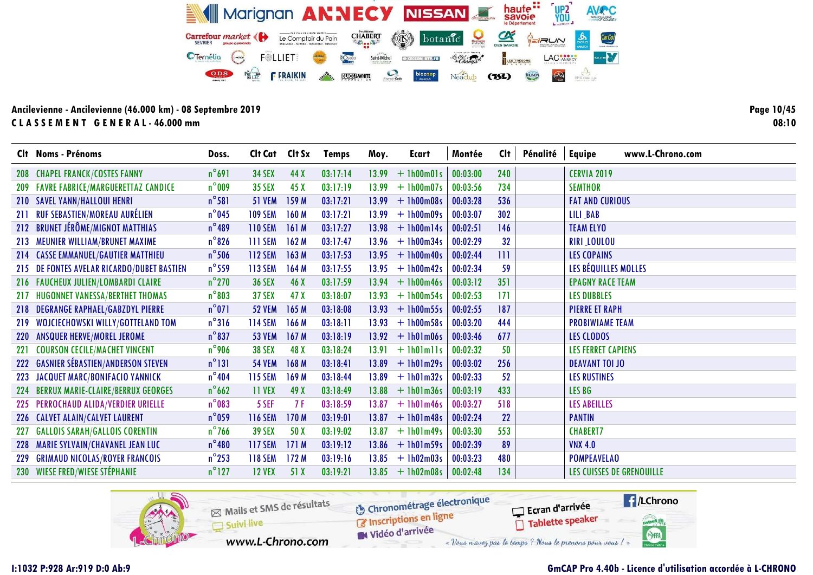| Clt Noms - Prénoms                         | Doss.           | Clt Cat        | Clt Sx          | <b>Temps</b> | Moy.  | Ecart              | Montée   | <b>Clt</b> | Pénalité | www.L-Chrono.com<br><b>Equipe</b> |
|--------------------------------------------|-----------------|----------------|-----------------|--------------|-------|--------------------|----------|------------|----------|-----------------------------------|
| 208 CHAPEL FRANCK/COSTES FANNY             | $n^{\circ}691$  | <b>34 SEX</b>  | 44 X            | 03:17:14     | 13.99 | $+1h00m01s$        | 00:03:00 | 240        |          | <b>CERVIA 2019</b>                |
| 209 FAVRE FABRICE/MARGUERETTAZ CANDICE     | $n^{\circ}$ 009 | <b>35 SEX</b>  | 45X             | 03:17:19     | 13.99 | $+ 1h00m07s$       | 00:03:56 | 734        |          | <b>SEMTHOR</b>                    |
| 210 SAVEL YANN/HALLOUI HENRI               | $n^{\circ}581$  | <b>51 VEM</b>  | 159 M           | 03:17:21     | 13.99 | $+1h00m08s$        | 00:03:28 | 536        |          | <b>FAT AND CURIOUS</b>            |
| 211 RUF SEBASTIEN/MOREAU AURÉLIEN          | $n^{\circ}$ 045 | <b>109 SEM</b> | 160 M           | 03:17:21     | 13.99 | $+1h00m09s$        | 00:03:07 | 302        |          | LILI_BAB                          |
| 212 BRUNET JÉRÔME/MIGNOT MATTHIAS          | $n^{\circ}489$  | <b>110 SEM</b> | 161 M           | 03:17:27     | 13.98 | $+1h00m14s$        | 00:02:51 | 146        |          | <b>TEAM ELYO</b>                  |
| 213 MEUNIER WILLIAM/BRUNET MAXIME          | $n^{\circ}$ 826 | <b>111 SEM</b> | 162M            | 03:17:47     |       | $13.96 + 1h00m34s$ | 00:02:29 | 32         |          | RIRI LOULOU                       |
| 214 CASSE EMMANUEL/GAUTIER MATTHIEU        | $n^{\circ}$ 506 | <b>112 SEM</b> | 163 M           | 03:17:53     |       | $13.95 + 1h00m40s$ | 00:02:44 | 111        |          | <b>LES COPAINS</b>                |
| 215 DE FONTES AVELAR RICARDO/DUBET BASTIEN | $n^{\circ}$ 559 | <b>113 SEM</b> | 164 M           | 03:17:55     |       | $13.95 + 1h00m42s$ | 00:02:34 | 59         |          | LES BÉQUILLES MOLLES              |
| 216 FAUCHEUX JULIEN/LOMBARDI CLAIRE        | $n^{\circ}$ 270 | <b>36 SEX</b>  | 46 X            | 03:17:59     |       | $13.94 + 1h00m46s$ | 00:03:12 | 351        |          | <b>EPAGNY RACE TEAM</b>           |
| 217 HUGONNET VANESSA/BERTHET THOMAS        | $n^{\circ}803$  | <b>37 SEX</b>  | 47 <sub>X</sub> | 03:18:07     | 13.93 | $+1h00m54s$        | 00:02:53 | 171        |          | <b>LES DUBBLES</b>                |
| 218 DEGRANGE RAPHAEL/GABZDYL PIERRE        | $n^{\circ}071$  | <b>52 VEM</b>  | 165 M           | 03:18:08     |       | $13.93 + 1h00m55s$ | 00:02:55 | 187        |          | <b>PIERRE ET RAPH</b>             |
| 219 WOJCIECHOWSKI WILLY/GOTTELAND TOM      | $n^{\circ}316$  | 114 SEM        | 166 M           | 03:18:11     |       | $13.93 + 1h00m58s$ | 00:03:20 | 444        |          | <b>PROBIWIAME TEAM</b>            |
| 220 ANSQUER HERVE/MOREL JEROME             | $n^{\circ}$ 837 | <b>53 VEM</b>  | 167 M           | 03:18:19     |       | $13.92 + 1h01m06s$ | 00:03:46 | 677        |          | <b>LES CLODOS</b>                 |
| 221 COURSON CECILE/MACHET VINCENT          | $n^{\circ}$ 906 | <b>38 SEX</b>  | 48 X            | 03:18:24     | 13.91 | $+$ lh01m11s       | 00:02:32 | 50         |          | <b>LES FERRET CAPIENS</b>         |
| 222 GASNIER SÉBASTIEN/ANDERSON STEVEN      | $n^{\circ}131$  | <b>54 VEM</b>  | 168 M           | 03:18:41     | 13.89 | $+1h01m29s$        | 00:03:02 | 256        |          | <b>DEAVANT TOI JO</b>             |
| 223 JACQUET MARC/BONIFACIO YANNICK         | $n^{\circ}$ 404 | <b>115 SEM</b> | 169 M           | 03:18:44     | 13.89 | $+1h01m32s$        | 00:02:33 | 52         |          | <b>LES RUSTINES</b>               |
| 224 BERRUX MARIE-CLAIRE/BERRUX GEORGES     | $n^{\circ}$ 662 | 11 VEX         | 49 X            | 03:18:49     | 13.88 | $+1h01m36s$        | 00:03:19 | 433        |          | LES BG                            |
| 225 PERROCHAUD ALIDA/VERDIER URIELLE       | $n^{\circ}083$  | 5 SEF          | 7 F             | 03:18:59     | 13.87 | $+1h01m46s$        | 00:03:27 | 518        |          | <b>LES ABEILLES</b>               |
| 226 CALVET ALAIN/CALVET LAURENT            | $n^{\circ}$ 059 | <b>116 SEM</b> | 170 M           | 03:19:01     | 13.87 | $+1h01m48s$        | 00:02:24 | 22         |          | <b>PANTIN</b>                     |
| 227 GALLOIS SARAH/GALLOIS CORENTIN         | $n^{\circ}$ 766 | <b>39 SEX</b>  | 50 X            | 03:19:02     | 13.87 | $+$ 1h01m49s       | 00:03:30 | 553        |          | <b>CHABERT7</b>                   |
| 228 MARIE SYLVAIN/CHAVANEL JEAN LUC        | $n^{\circ}480$  | <b>117 SEM</b> | 171 M           | 03:19:12     |       | $13.86 + 1h01m59s$ | 00:02:39 | 89         |          | <b>VNX 4.0</b>                    |
| 229 GRIMAUD NICOLAS/ROYER FRANCOIS         | $n^{\circ}$ 253 | <b>118 SEM</b> | 172M            | 03:19:16     | 13.85 | $+1h02m03s$        | 00:03:23 | 480        |          | <b>POMPEAVELAO</b>                |
| 230 WIESE FRED/WIESE STÉPHANIE             | $n^{\circ}$ 127 | <b>12 VEX</b>  | 51X             | 03:19:21     |       | $13.85 + 1h02m08s$ | 00:02:48 | 134        |          | LES CUISSES DE GRENOUILLE         |



1:1032 P:928 Ar:919 D:0 Ab:9

#### **GmCAP Pro 4.40b - Licence d'utilisation accordée à L-CHRONO**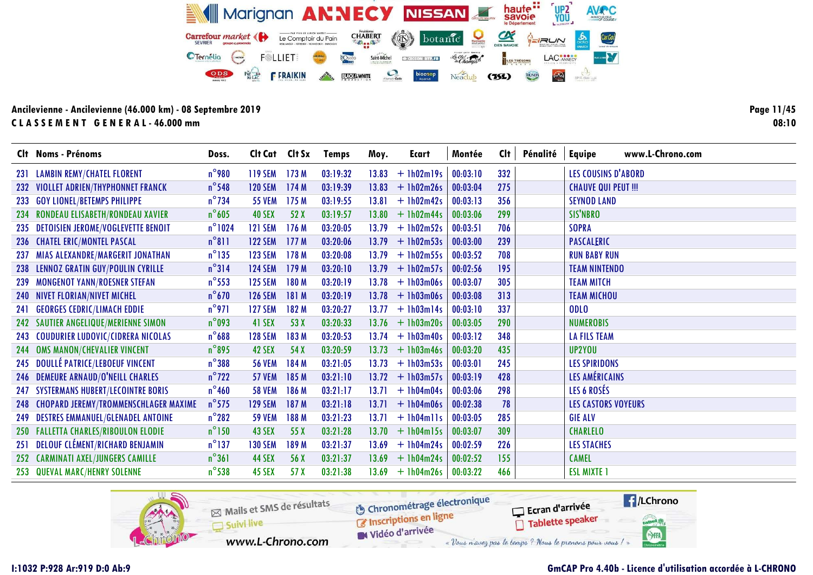| Clt Noms - Prénoms                        | Doss.           | Clt Cat Clt Sx |       | Temps    | Moy.  | Ecart        | Montée   | Cl <sub>t</sub> | Pénalité | www.L-Chrono.com<br><b>Equipe</b> |
|-------------------------------------------|-----------------|----------------|-------|----------|-------|--------------|----------|-----------------|----------|-----------------------------------|
| 231 LAMBIN REMY/CHATEL FLORENT            | $n^{\circ}$ 980 | <b>119 SEM</b> | 173M  | 03:19:32 | 13.83 | $+$ 1h02m19s | 00:03:10 | 332             |          | LES COUSINS D'ABORD               |
| 232 VIOLLET ADRIEN/THYPHONNET FRANCK      | $n^{\circ}$ 548 | <b>120 SEM</b> | 174M  | 03:19:39 | 13.83 | $+1h02m26s$  | 00:03:04 | 275             |          | <b>CHAUVE QUI PEUT !!!</b>        |
| 233 GOY LIONEL/BETEMPS PHILIPPE           | $n^{\circ}$ 734 | <b>55 VEM</b>  | 175M  | 03:19:55 | 13.81 | $+1h02m42s$  | 00:03:13 | 356             |          | <b>SEYNOD LAND</b>                |
| 234 RONDEAU ELISABETH/RONDEAU XAVIER      | $n^{\circ}$ 605 | <b>40 SEX</b>  | 52 X  | 03:19:57 | 13.80 | $+1h02m44s$  | 00:03:06 | 299             |          | SIS'NBRO                          |
| 235 DETOISIEN JEROME/VOGLEVETTE BENOIT    | $n^{\circ}1024$ | <b>121 SEM</b> | 176 M | 03:20:05 | 13.79 | $+1h02m52s$  | 00:03:51 | 706             |          | <b>SOPRA</b>                      |
| 236 CHATEL ERIC/MONTEL PASCAL             | $n^{\circ}811$  | <b>122 SEM</b> | 177M  | 03:20:06 | 13.79 | $+1h02m53s$  | 00:03:00 | 239             |          | <b>PASCALERIC</b>                 |
| 237 MIAS ALEXANDRE/MARGERIT JONATHAN      | $n^{\circ}$ 135 | <b>123 SEM</b> | 178 M | 03:20:08 | 13.79 | $+1h02m55s$  | 00:03:52 | 708             |          | <b>RUN BABY RUN</b>               |
| 238 LENNOZ GRATIN GUY/POULIN CYRILLE      | $n^{\circ}314$  | <b>124 SEM</b> | 179M  | 03:20:10 | 13.79 | $+1h02m57s$  | 00:02:56 | 195             |          | <b>TEAM NINTENDO</b>              |
| 239 MONGENOT YANN/ROESNER STEFAN          | $n^{\circ}$ 553 | <b>125 SEM</b> | 180 M | 03:20:19 | 13.78 | $+1h03m06s$  | 00:03:07 | 305             |          | <b>TEAM MITCH</b>                 |
| 240 NIVET FLORIAN/NIVET MICHEL            | $n^{\circ}$ 670 | <b>126 SEM</b> | 181 M | 03:20:19 | 13.78 | $+1h03m06s$  | 00:03:08 | 313             |          | <b>TEAM MICHOU</b>                |
| 241 GEORGES CEDRIC/LIMACH EDDIE           | $n^{\circ}$ 971 | <b>127 SEM</b> | 182 M | 03:20:27 | 13.77 | $+1h03m14s$  | 00:03:10 | 337             |          | <b>ODLO</b>                       |
| 242 SAUTIER ANGELIQUE/MERIENNE SIMON      | $n^{\circ}$ 093 | 41 SEX         | 53 X  | 03:20:33 | 13.76 | $+1h03m20s$  | 00:03:05 | 290             |          | <b>NUMEROBIS</b>                  |
| 243 COUDURIER LUDOVIC/CIDRERA NICOLAS     | $n^{\circ}688$  | <b>128 SEM</b> | 183 M | 03:20:53 | 13.74 | $+1h03m40s$  | 00:03:12 | 348             |          | <b>LA FILS TEAM</b>               |
| 244 OMS MANON/CHEVALIER VINCENT           | $n^{\circ}$ 895 | 42 SEX         | 54 X  | 03:20:59 | 13.73 | $+1h03m46s$  | 00:03:20 | 435             |          | UP2YOU                            |
| 245 DOULLÉ PATRICE/LEBOEUF VINCENT        | $n^{\circ}388$  | <b>56 VEM</b>  | 184 M | 03:21:05 | 13.73 | $+1h03m53s$  | 00:03:01 | 245             |          | <b>LES SPIRIDONS</b>              |
| 246 DEMEURE ARNAUD/O'NEILL CHARLES        | $n^{\circ}$ 722 | <b>57 VEM</b>  | 185 M | 03:21:10 | 13.72 | $+1h03m57s$  | 00:03:19 | 428             |          | LES AMÉRICAINS                    |
| 247 SYSTERMANS HUBERT/LECOINTRE BORIS     | $n^{\circ}$ 460 | <b>58 VEM</b>  | 186 M | 03:21:17 | 13.71 | $+$ 1h04m04s | 00:03:06 | 298             |          | LES 6 ROSÉS                       |
| 248 CHOPARD JEREMY/TROMMENSCHLAGER MAXIME | $n^{\circ}$ 575 | <b>129 SEM</b> | 187 M | 03:21:18 | 13.71 | $+1h04m06s$  | 00:02:38 | 78              |          | <b>LES CASTORS VOYEURS</b>        |
| 249 DESTRES EMMANUEL/GLENADEL ANTOINE     | $n^{\circ}282$  | <b>59 VEM</b>  | 188 M | 03:21:23 | 13.71 | $+$ lh04mlls | 00:03:05 | 285             |          | <b>GIE ALV</b>                    |
| 250 FALLETTA CHARLES/RIBOULON ELODIE      | $n^{\circ}$ 150 | 43 SEX         | 55X   | 03:21:28 | 13.70 | $+$ 1h04m15s | 00:03:07 | 309             |          | <b>CHARLELO</b>                   |
| 251 DELOUF CLÉMENT/RICHARD BENJAMIN       | $n^{\circ}$ 137 | <b>130 SEM</b> | 189 M | 03:21:37 | 13.69 | $+$ 1h04m24s | 00:02:59 | 226             |          | LES STACHES                       |
| 252 CARMINATI AXEL/JUNGERS CAMILLE        | $n^{\circ}361$  | 44 SEX         | 56 X  | 03:21:37 | 13.69 | $+1h04m24s$  | 00:02:52 | 155             |          | <b>CAMEL</b>                      |
| 253 QUEVAL MARC/HENRY SOLENNE             | $n^{\circ}$ 538 | 45 SEX         | 57 X  | 03:21:38 | 13.69 | $+1h04m26s$  | 00:03:22 | 466             |          | <b>ESL MIXTE 1</b>                |



Page 11/45  $08:10$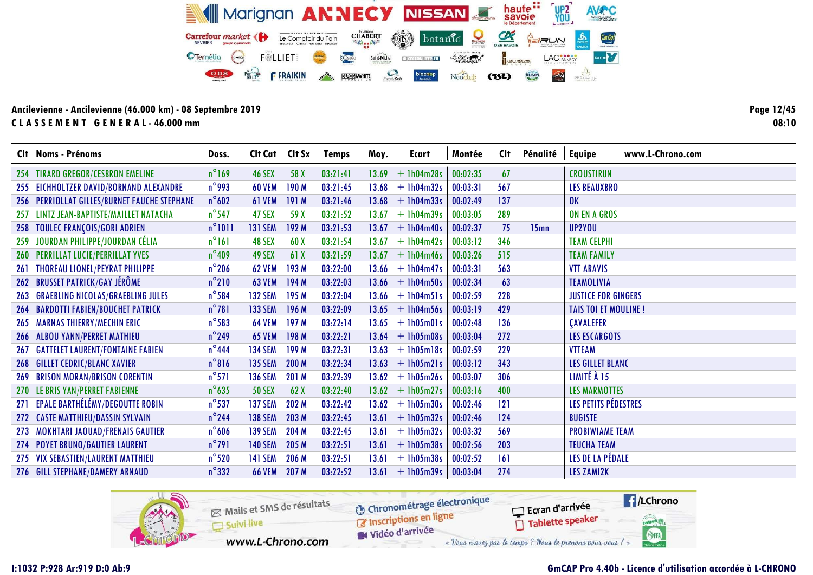Clt Noms - Prénoms Doss. Clt Cat Clt Sx Temps Moy. Ecart Montée Clt Pénalité Equipe www.L-Chrono.com 254 TIRARD GREGOR/CESBRON EMELINE n°169 46 SEX 58 X 03:21:41 13.69 + 1h04m28s 00:02:35 67 CROUSTIRUN 255 EICHHOLTZER DAVID/BORNAND ALEXANDRE n°993 60 VEM 190 M 03:21:45 13.68 + 1h04m32s 00:03:31 567 LES BEAUXBRO<br>256 PERRIOLLAT GILLES/BURNET FAUCHE STEPHANE n°602 61 VEM 191 M 03:21:46 13.68 + 1h04m33s 00:02:49 137 OK 256 PERRIOLLAT GILLES/BURNET FAUCHE STEPHANE n°602 61 VEM 191 M 03:21:46 13.68 + 1h04m33s 00:02:49 137 OK 257 LINTZ JEAN-BAPTISTE/MAILLET NATACHA n<sup>°547</sup> 47 SEX 59 X 03:21:52 13.67 + 1h04m39s 00:03:05 258 TOULEC FRANÇOIS/GORI ADRIEN n°1011 131 SEM 192 M 03:21:53 13.67 + 1h04m40s 00:02:37 75 15mn UP2YOU 259 JOURDAN PHILIPPE/JOURDAN CÉLIA n°161 48 SEX 60 X 03:21:54 13.67 + 1h04m42s 00:03:12 346 TEAM CELPHI 260 PERRILLAT LUCIE/PERRILLAT YVES n<sup>°409</sup> 49 SEX 61 X 03:21:59 13.67 + 1h04m46s 00:03:26 515 TEAM FAMILY<br>261 THOREAU LIONEL/PEYRAT PHILIPPE n°206 62 VEM 193 M 03:22:00 13.66 + 1h04m47s 00:03:31 563 VTT ARAVIS 261 THOREAU LIONEL/PEYRAT PHILIPPE n°206 62 VEM 193 M 03:22:00 13.66 + 1h04m47s 00:03:31 563 VTT ARAVIS 262 BRUSSET PATRICK/GAY JÉRÔME n°210 63 VEM 194 M 03:22:03 13.66 + 1h04m50s 00:02:34 63 TEAMOLIVIA 263 GRAEBLING NICOLAS/GRAEBLING JULES n°584 132 SEM 195 M 03:22:04 13.66 + 1h04m51s 00:02:59 228 JUSTICE FOR GINGERS 264 BARDOTTI FABIEN/BOUCHET PATRICK n°781 133 SEM 196 M 03:22:09 13.65 + 1h04m56s 00:03:19 429 TAIS TOI ET MOULINE !<br>265 MARNAS THIERRY/MECHIN ERIC n°583 64 VEM 197 M 03:22:14 13.65 + 1h05m01s 00:02:48 136 CAVALEFER 265 MARNAS THIERRY/MECHIN ERIC n°583 64 VEM 197 M 03:22:14 13.65 + 1h05m01s 00:02:48 136 ÇAVALEFER 266 ALBOU YANN/PERRET MATHIEU n°249 65 VEM 198 M 03:22:21 13.64 + 1h05m08s 00:03:04 272 LES ESCARGOTS 267 GATTELET LAURENT/FONTAINE FABIEN n°444 134 SEM 199 M 03:22:31 13.63 + 1h05m18s 00:02:59 229 VTTEAM 268 GILLET CEDRIC/BLANC XAVIER n°816 135 SEM 200 M 03:22:34 13.63 + 1h05m21s 00:03:12 343 LES GILLET BLANC 269 BRISON MORAN/BRISON CORENTIN 196571 136 SEM 201 M 03:22:39 13.62 + 1h05m26s 00:03:07 206<br>270 LE BRIS YAN/PERRET FABIENNE 100 m°635 50 SEX 62 X 03:22:40 13.62 + 1h05m27s 00:03:16 400 270 LE BRIS YAN/PERRET FABIENNE n°635 50 SEX 62 X 03:22:40 13.62 + 1h05m27s 00:03:16 400 LES MARMOTTES 271 EPALE BARTHÉLÉMY/DEGOUTTE ROBIN n°537 137 SEM 202 M 03:22:42 13.62 + 1h05m30s 00:02:46 121 LES PETITS PÉDESTRES 272 CASTE MATTHIEU/DASSIN SYLVAIN n°244 138 SEM 203 M 03:22:45 13.61 + 1h05m32s 00:02:46 124 BUGISTE 273 MOKHTARI JAOUAD/FRENAIS GAUTIER n°606 139 SEM 204 M 03:22:45 13.61 + 1h05m32s 00:03:32 569 PROBIWIAME TEAM 274 POYET BRUNO/GAUTIER LAURENT n°791 140 SEM 205 M 03:22:51 13.61 + 1h05m38s 00:02:56 203 TEUCHA TEAM 275 VIX SEBASTIEN/LAURENT MATTHIEU n°520 141 SEM 206 M 03:22:51 13.61 + 1h05m38s 00:02:52<br>276 GILL STEPHANE/DAMERY ARNAUD n°332 66 VEM 207 M 03:22:52 13.61 + 1h05m39s 00:03:04 276 GILL STEPHANE/DAMERY ARNAUD n°332 66 VEM 207 M 03:22:52 13.61 + 1h05m39s 00:03:04 274 LES ZAMI2K



Page 12/45 08:10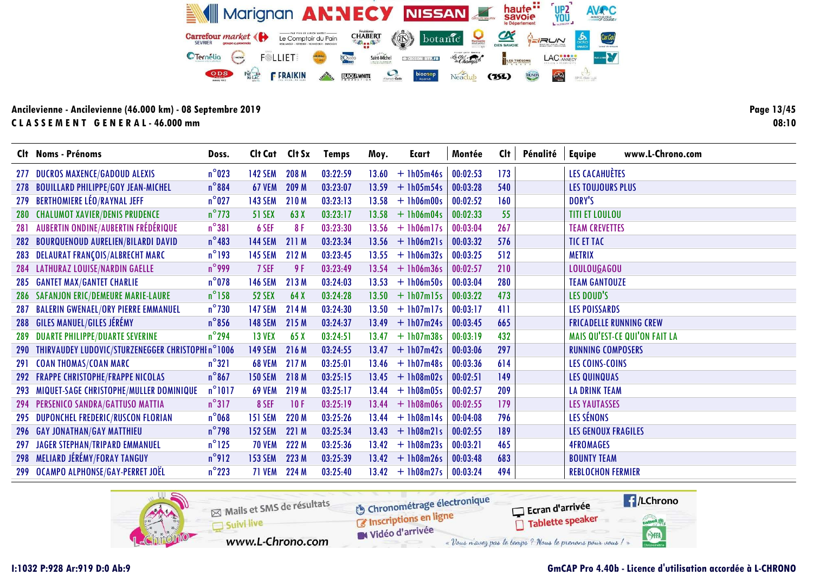| Clt Noms - Prénoms                                    | Doss.           | Cit Cat Cit Sx |       | Temps    | Moy.  | <b>Ecart</b>       | Montée   | Cl <sub>t</sub> | Pénalité | <b>Equipe</b><br>www.L-Chrono.com |
|-------------------------------------------------------|-----------------|----------------|-------|----------|-------|--------------------|----------|-----------------|----------|-----------------------------------|
| 277 DUCROS MAXENCE/GADOUD ALEXIS                      | $n^{\circ}$ 023 | <b>142 SEM</b> | 208 M | 03:22:59 |       | $13.60 + 1h05m46s$ | 00:02:53 | 173             |          | LES CACAHUÈTES                    |
| 278 BOUILLARD PHILIPPE/GOY JEAN-MICHEL                | $n^{\circ}884$  | <b>67 VEM</b>  | 209 M | 03:23:07 | 13.59 | $+1h05m54s$        | 00:03:28 | 540             |          | LES TOUJOURS PLUS                 |
| 279 BERTHOMIERE LÉO/RAYNAL JEFF                       | $n^{\circ}$ 027 | <b>143 SEM</b> | 210 M | 03:23:13 |       | $13.58 + 1h06m00s$ | 00:02:52 | 160             |          | DORY'S                            |
| 280 CHALUMOT XAVIER/DENIS PRUDENCE                    | $n^{\circ}$ 773 | <b>51 SEX</b>  | 63X   | 03:23:17 |       | $13.58 + 1h06m04s$ | 00:02:33 | 55              |          | <b>TITI ET LOULOU</b>             |
| 281 AUBERTIN ONDINE/AUBERTIN FRÉDÉRIQUE               | $n^{\circ}381$  | 6 SEF          | 8 F   | 03:23:30 |       | $13.56 + 1h06m17s$ | 00:03:04 | 267             |          | <b>TEAM CREVETTES</b>             |
| 282 BOURQUENOUD AURELIEN/BILARDI DAVID                | $n^{\circ}483$  | <b>144 SEM</b> | 211 M | 03:23:34 |       | $13.56 + 1h06m21s$ | 00:03:32 | 576             |          | <b>TIC ET TAC</b>                 |
| 283 DELAURAT FRANÇOIS/ALBRECHT MARC                   | $n^{\circ}$ 193 | <b>145 SEM</b> | 212 M | 03:23:45 |       | $13.55 + 1h06m32s$ | 00:03:25 | 512             |          | <b>METRIX</b>                     |
| 284 LATHURAZ LOUISE/NARDIN GAELLE                     | $n^{\circ}$ 999 | 7 SEF          | 9 F   | 03:23:49 |       | $13.54 + 1h06m36s$ | 00:02:57 | 210             |          | <b>LOULOUGAGOU</b>                |
| 285 GANTET MAX/GANTET CHARLIE                         | $n^{\circ}$ 078 | <b>146 SEM</b> | 213M  | 03:24:03 |       | $13.53 + 1h06m50s$ | 00:03:04 | 280             |          | <b>TEAM GANTOUZE</b>              |
| 286 SAFANJON ERIC/DEMEURE MARIE-LAURE                 | $n^{\circ}$ 158 | <b>52 SEX</b>  | 64X   | 03:24:28 |       | $13.50 + 1h07m15s$ | 00:03:22 | 473             |          | LES DOUD'S                        |
| 287 BALERIN GWENAEL/ORY PIERRE EMMANUEL               | $n^{\circ}$ 730 | <b>147 SEM</b> | 214 M | 03:24:30 |       | $13.50 + 1h07m17s$ | 00:03:17 | 411             |          | <b>LES POISSARDS</b>              |
| 288 GILES MANUEL/GILES JÉRÉMY                         | $n^{\circ}$ 856 | <b>148 SEM</b> | 215 M | 03:24:37 |       | $13.49 + 1h07m24s$ | 00:03:45 | 665             |          | <b>FRICADELLE RUNNING CREW</b>    |
| 289 DUARTE PHILIPPE/DUARTE SEVERINE                   | $n^{\circ}$ 294 | <b>13 VEX</b>  | 65X   | 03:24:51 |       | $13.47 + 1h07m38s$ | 00:03:19 | 432             |          | MAIS QU'EST-CE QUI'ON FAIT LA     |
| 290 THIRVAUDEY LUDOVIC/STURZENEGGER CHRISTOPHI n°1006 |                 | <b>149 SEM</b> | 216 M | 03:24:55 |       | $13.47 + 1h07m42s$ | 00:03:06 | 297             |          | <b>RUNNING COMPOSERS</b>          |
| 291 COAN THOMAS/COAN MARC                             | $n^{\circ}321$  | <b>68 VEM</b>  | 217 M | 03:25:01 |       | $13.46 + 1h07m48s$ | 00:03:36 | 614             |          | <b>LES COINS-COINS</b>            |
| <b>292 FRAPPE CHRISTOPHE/FRAPPE NICOLAS</b>           | $n^{\circ}867$  | <b>150 SEM</b> | 218 M | 03:25:15 |       | $13.45 + 1h08m02s$ | 00:02:51 | 149             |          | <b>LES QUINQUAS</b>               |
| 293 MIQUET-SAGE CHRISTOPHE/MULLER DOMINIQUE           | $n^{\circ}1017$ | <b>69 VEM</b>  | 219 M | 03:25:17 |       | $13.44 + 1h08m05s$ | 00:02:57 | 209             |          | <b>LA DRINK TEAM</b>              |
| 294 PERSENICO SANDRA/GATTUSO MATTIA                   | $n^{\circ}317$  | 8 SEF          | 10F   | 03:25:19 |       | $13.44 + 1h08m06s$ | 00:02:55 | 179             |          | <b>LES YAUTASSES</b>              |
| 295 DUPONCHEL FREDERIC/RUSCON FLORIAN                 | $n^{\circ}$ 068 | <b>151 SEM</b> | 220 M | 03:25:26 |       | $13.44 + 1h08m14s$ | 00:04:08 | 796             |          | LES SÉNONS                        |
| 296 GAY JONATHAN/GAY MATTHIEU                         | $n^{\circ}$ 798 | <b>152 SEM</b> | 221 M | 03:25:34 |       | $13.43 + 1h08m21s$ | 00:02:55 | 189             |          | LES GENOUX FRAGILES               |
| 297 JAGER STEPHAN/TRIPARD EMMANUEL                    | $n^{\circ}$ 125 | <b>70 VEM</b>  | 222 M | 03:25:36 |       | $13.42 + 1h08m23s$ | 00:03:21 | 465             |          | <b>4FROMAGES</b>                  |
| 298 MELIARD JÉRÉMY/FORAY TANGUY                       | $n^{\circ}912$  | <b>153 SEM</b> | 223 M | 03:25:39 |       | $13.42 + 1h08m26s$ | 00:03:48 | 683             |          | <b>BOUNTY TEAM</b>                |
| 299 OCAMPO ALPHONSE/GAY-PERRET JOËL                   | $n^{\circ}$ 223 | 71 VEM         | 224 M | 03:25:40 |       | $13.42 + 1h08m27s$ | 00:03:24 | 494             |          | <b>REBLOCHON FERMIER</b>          |



Page 13/45 08:10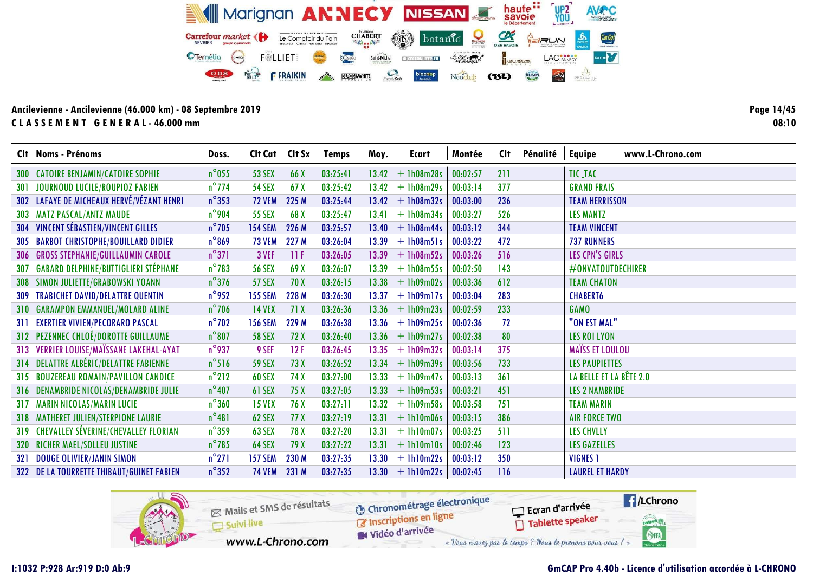Clt Noms - Prénoms Doss. Clt Cat Clt Sx Temps Moy. Ecart Montée Clt Pénalité Equipe www.L-Chrono.com 300 CATOIRE BENJAMIN/CATOIRE SOPHIE n°055 53 SEX 66 X 03:25:41 13.42 + 1h08m28s 00:02:57 211 TIC TAC<br>301 JOURNOUD LUCILE/ROUPIOZ FABIEN n°774 54 SEX 67 X 03:25:42 13.42 + 1h08m29s 00:03:14 377 GRAND FRAIS 301 JOURNOUD LUCILE/ROUPIOZ FABIEN n°774 54 SEX 67 X 03:25:42 13.42 + 1h08m29s 00:03:14 377<br>302 LAFAYE DE MICHEAUX HERVÉ/VÉZANT HENRI n°353 72 V 302 LAFAYE DE MICHEAUX HERVÉ/VÉZANT HENRI n°353 72 VEM 225 M 03:25:44 13.42 + 1h08m32s 00:03:00 236 TEAM HERRISSON 303 MATZ PASCAL/ANTZ MAUDE n°904 55 SEX 68 X 03:25:47 13.41 + 1h08m34s 00:03:27 526 LES MANTZ 304 VINCENT SÉBASTIEN/VINCENT GILLES n°705 154 SEM 226 M 03:25:57 13.40 + 1h08m44s 00:03:12 344 TEAM VINCENT 305 BARBOT CHRISTOPHE/BOUILLARD DIDIER  $\frac{n^{\circ}869}{n^3}$  73 VEM 227 M 03:26:04 13.39 + 1h08m51s 306 GROSS STEPHANIE/GUILLAUMIN CAROLE  $\frac{n^{\circ}371}{n^3}$  3 VEF 11 F 03:26:05 13.39 + 1h08m52s 306 GROSS STEPHANIE/GUILLAUMIN CAROLE n°371 3 VEF 11 F 03:26:05 13.39 + 1h08m52s 00:03:26 516 LES CPN'S GIRLS 307 GABARD DELPHINE/BUTTIGLIERI STÉPHANE n°783 56 SEX 69 X 03:26:07 13.39 + 1h08m55s 00:02:50 143 #ONVATOUTDECHIRER<br>308 SIMON JULIETTE/GRABOWSKI YOANN n°376 57 SEX 70 X 03:26:15 13.38 + 1h09m02s 00:03:36 612 308 SIMON JULIETTE/GRABOWSKI YOANN n°376 57 SEX 70 X 03:26:15 13.38 + 1h09m02s 00:03:36 612 TEAM CHATON 309 TRABICHET DAVID/DELATTRE QUENTIN n°952 155 SEM 228 M 03:26:30 13.37 + 1h09m17s 00:03:04 283 CHABERT6 310 GARAMPON EMMANUEL/MOLARD ALINE n°706 14 VEX 71 X 03:26:36 13.36 + 1h09m23s 00:02:59 233 GAMO 311 EXERTIER VIVIEN/PECORARO PASCAL n°702 156 SEM 229 M 03:26:38 13.36 + 1h09m25s 00:02:36 72 "ON EST MAL" 312 PEZENNEC CHLOÉ/DOROTTE GUILLAUME  $n^{\circ}807$  58 SEX 72 X 03:26:40 13.36 + 1h09m27s 00:02:38 80 LES ROI LYON 313 VERRIER LOUISE/MAÏSSANE LAKEHAL-AYAT n°937 9 SEF 12 F 03:26:45 13.35 + 1h09m32s 00:03:14 375 MAÏSS ET LOULOU 314 DELATTRE ALBÉRIC/DELATTRE FABIENNE n°516 59 SEX 73 X 03:26:52 13.34 + 1h09m39s 00:03:56 733<br>315 BOUZEREAU ROMAIN/PAVILLON CANDICE n°212 60 SEX 74 X 03:27:00 13.33 + 1h09m47s 00:03:13 361 315 BOUZEREAU ROMAIN/PAVILLON CANDICE n°212 60 SEX 74 X 03:27:00 13.33 + 1h09m47s 00:03:13 361 LA BELLE ET LA BÊTE 2.0<br>316 DENAMBRIDE NICOLAS/DENAMBRIDE JULIE n°407 61 SEX 75 X 03:27:05 13.33 + 1h09m53s 00:03:21 451 LES 2 316 DENAMBRIDE NICOLAS/DENAMBRIDE JULIE  $n^{\circ}407$  61 SEX 75 X 03:27:05 13.33 + 1h09m53s 00:03:21 317 MARIN NICOLAS/MARIN LUCIE n°360 15 VEX 76 X 03:27:11 13.32 + 1h09m58s 00:03:58 751 TEAM MARIN 318 MATHERET JULIEN/STERPIONE LAURIE n°481 62 SEX 77 X 03:27:19 13.31 + 1h10m06s 00:03:15 386 AIR FORCE TWO 319 CHEVALLEY SÉVERINE/CHEVALLEY FLORIAN n°359 63 SEX 78 X 03:27:20 13.31 + 1h10m07s 00:03:25 511 LES CHVLLY 320 RICHER MAEL/SOLLEU JUSTINE n°785 64 SEX 79 X 03:27:22 13.31 + 1h10m10s 00:02:46 123 LES GAZELLES 321 DOUGE OLIVIER/JANIN SIMON n°271 157 SEM 230 M 03:27:35 13.30 + 1h10m22s 00:03:12 350 VIGNES 1 322 DE LA TOURRETTE THIBAUT/GUINET FABIEN n°352 74 VEM 231 M 03:27:35 13.30 + 1h10m22s 00:02:45 116 LAUREL ET HARDY



Page 14/45 08:10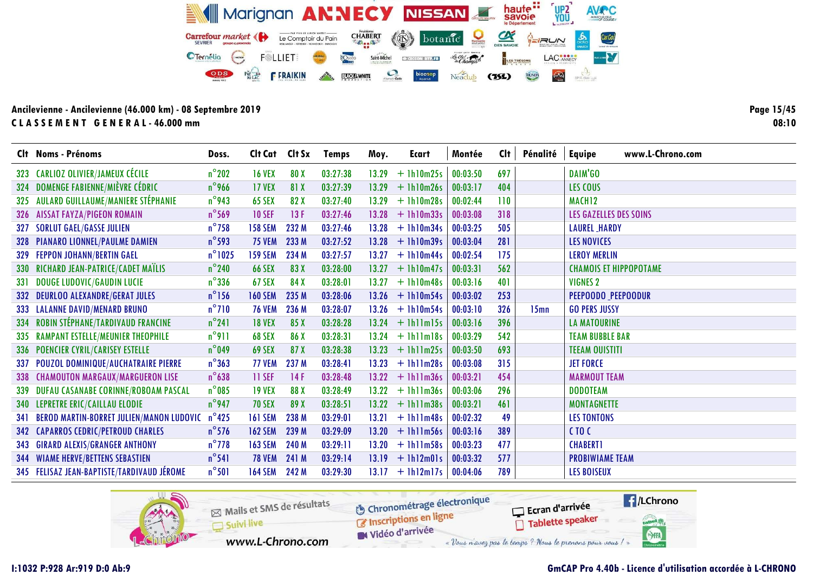|            | Clt Noms - Prénoms                              | Doss.            | Clt Cat        | Clt Sx | <b>Temps</b> | Moy.    | Ecart           | Montée   | Cl <sub>t</sub> | Pénalité         | <b>Equipe</b><br>www.L-Chrono.com |
|------------|-------------------------------------------------|------------------|----------------|--------|--------------|---------|-----------------|----------|-----------------|------------------|-----------------------------------|
|            | 323 CARLIOZ OLIVIER/JAMEUX CÉCILE               | $n^{\circ}$ 202  | <b>16 VEX</b>  | 80 X   | 03:27:38     | 13.29   | $+1h10m25s$     | 00:03:50 | 697             |                  | DAIM'GO                           |
| 324        | DOMENGE FABIENNE/MIÈVRE CÉDRIC                  | $n^{\circ}$ 966  | <b>17 VEX</b>  | 81 X   | 03:27:39     | 13.29   | $+ 1h10m26s$    | 00:03:17 | 404             |                  | LES COUS                          |
| 325        | AULARD GUILLAUME/MANIERE STÉPHANIE              | $n^{\circ}$ 943  | <b>65 SEX</b>  | 82 X   | 03:27:40     | 13.29   | $+ 1h10m28s$    | 00:02:44 | 110             |                  | MACH12                            |
| <b>326</b> | <b>AISSAT FAYZA/PIGEON ROMAIN</b>               | $n^{\circ}$ 569  | <b>10 SEF</b>  | 13F    | 03:27:46     | 13.28   | $+1h10m33s$     | 00:03:08 | 318             |                  | LES GAZELLES DES SOINS            |
| 327        | <b>SORLUT GAEL/GASSE JULIEN</b>                 | $n^{\circ}$ 758  | <b>158 SEM</b> | 232 M  | 03:27:46     | 13.28   | $+1h10m34s$     | 00:03:25 | 505             |                  | <b>LAUREL_HARDY</b>               |
|            | 328 PIANARO LIONNEL/PAULME DAMIEN               | $n^{\circ}$ 593  | <b>75 VEM</b>  | 233 M  | 03:27:52     | 13.28   | $+ 1h10m39s$    | 00:03:04 | 281             |                  | <b>LES NOVICES</b>                |
| 329        | <b>FEPPON JOHANN/BERTIN GAEL</b>                | $n^{\circ}$ 1025 | <b>159 SEM</b> | 234 M  | 03:27:57     | 13.27   | $+1h10m44s$     | 00:02:54 | 175             |                  | <b>LEROY MERLIN</b>               |
| <b>330</b> | RICHARD JEAN-PATRICE/CADET MAÏLIS               | $n^{\circ}$ 240  | <b>66 SEX</b>  | 83 X   | 03:28:00     | 13.27   | $+$ 1h10m47s    | 00:03:31 | 562             |                  | <b>CHAMOIS ET HIPPOPOTAME</b>     |
| 331        | <b>DOUGE LUDOVIC/GAUDIN LUCIE</b>               | $n^{\circ}$ 336  | 67 SEX         | 84 X   | 03:28:01     | 13.27   | $+ 1h10m48s$    | 00:03:16 | 401             |                  | <b>VIGNES 2</b>                   |
| 332        | <b>DEURLOO ALEXANDRE/GERAT JULES</b>            | $n^{\circ}$ 156  | <b>160 SEM</b> | 235 M  | 03:28:06     | 13.26   | $+1h10m54s$     | 00:03:02 | 253             |                  | PEEPOODO PEEPOODUR                |
|            | 333 LALANNE DAVID/MENARD BRUNO                  | $n^{\circ}$ 710  | <b>76 VEM</b>  | 236 M  | 03:28:07     | 13.26   | $+1h10m54s$     | 00:03:10 | 326             | 15 <sub>mn</sub> | <b>GO PERS JUSSY</b>              |
| 334        | <b>ROBIN STÉPHANE/TARDIVAUD FRANCINE</b>        | $n^{\circ}241$   | <b>18 VEX</b>  | 85 X   | 03:28:28     | 13.24   | $+$ 1h $11m15s$ | 00:03:16 | 396             |                  | <b>LA MATOURINE</b>               |
| 335        | <b>RAMPANT ESTELLE/MEUNIER THEOPHILE</b>        | $n^{\circ}911$   | <b>68 SEX</b>  | 86 X   | 03:28:31     | 13.24   | $+$ 1h $11m18s$ | 00:03:29 | 542             |                  | <b>TEAM BUBBLE BAR</b>            |
|            | 336 POENCIER CYRIL/CARISEY ESTELLE              | $n^{\circ}$ 049  | <b>69 SEX</b>  | 87 X   | 03:28:38     | 13.23   | $+$ 1h11m25s    | 00:03:50 | 693             |                  | <b>TEEAM OUISTITI</b>             |
| 337        | POUZOL DOMINIQUE/AUCHATRAIRE PIERRE             | $n^{\circ}363$   | <b>77 VEM</b>  | 237 M  | 03:28:41     | 13.23   | $+$ 1h11m28s    | 00:03:08 | 315             |                  | <b>JET FORCE</b>                  |
| 338        | <b>CHAMOUTON MARGAUX/MARGUERON LISE</b>         | $n^{\circ}$ 638  | 11 SEF         | 14F    | 03:28:48     | $13.22$ | $+ 1h11m36s$    | 00:03:21 | 454             |                  | <b>MARMOUT TEAM</b>               |
| 339        | DUFAU CASANABE CORINNE/ROBOAM PASCAL            | $n^{\circ}$ 085  | <b>19 VEX</b>  | 88 X   | 03:28:49     | 13.22   | $+$ 1h11 $m36s$ | 00:03:06 | 296             |                  | <b>DODOTEAM</b>                   |
|            | <b>340 LEPRETRE ERIC/CAILLAU ELODIE</b>         | $n^{\circ}$ 947  | <b>70 SEX</b>  | 89 X   | 03:28:51     | 13.22   | $+ 1h11m38s$    | 00:03:21 | 461             |                  | <b>MONTAGNETTE</b>                |
| 341        | <b>BEROD MARTIN-BORRET JULIEN/MANON LUDOVIC</b> | $n^{\circ}$ 425  | <b>161 SEM</b> | 238 M  | 03:29:01     | 13.21   | $+1$ hllm48s    | 00:02:32 | 49              |                  | <b>LES TONTONS</b>                |
| 342        | <b>CAPARROS CEDRIC/PETROUD CHARLES</b>          | $n^{\circ}$ 576  | <b>162 SEM</b> | 239 M  | 03:29:09     | 13.20   | $+$ 1h11m56s    | 00:03:16 | 389             |                  | C <sub>TO</sub> C                 |
| 343        | <b>GIRARD ALEXIS/GRANGER ANTHONY</b>            | $n^{\circ}$ 778  | <b>163 SEM</b> | 240 M  | 03:29:11     | 13.20   | $+ 1h11m58s$    | 00:03:23 | 477             |                  | <b>CHABERT1</b>                   |
|            | <b>344 WIAME HERVE/BETTENS SEBASTIEN</b>        | $n^{\circ}541$   | <b>78 VEM</b>  | 241 M  | 03:29:14     | 13.19   | $+$ 1h12m01s    | 00:03:32 | 577             |                  | <b>PROBIWIAME TEAM</b>            |
|            | 345 FELISAZ JEAN-BAPTISTE/TARDIVAUD JÉROME      | $n^{\circ}501$   | 164 SEM 242 M  |        | 03:29:30     | 13.17   | $+$ 1h12m17s    | 00:04:06 | 789             |                  | <b>LES BOISEUX</b>                |

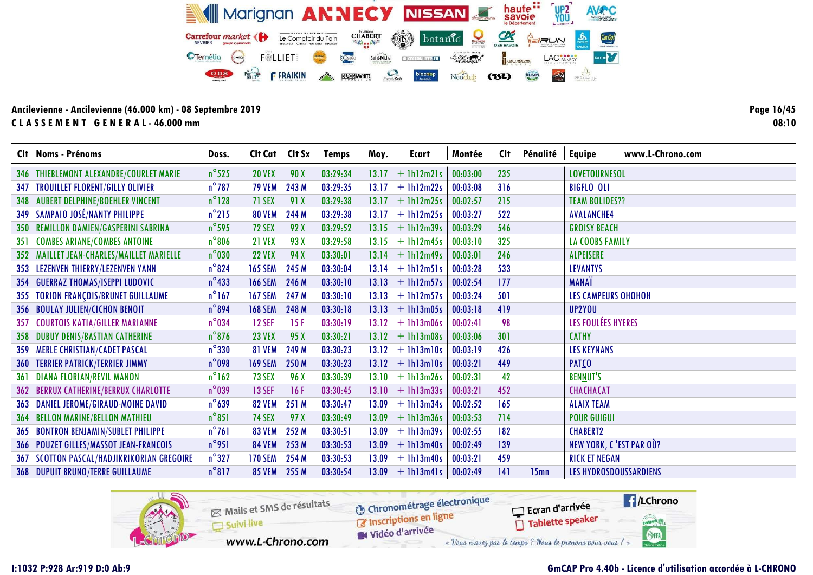|            | Clt Noms - Prénoms                            | Doss.           | Clt Cat Clt Sx |       | <b>Temps</b> | Moy.  | Ecart        | Montée   | Cl <sub>t</sub> | Pénalité         | www.L-Chrono.com<br><b>Equipe</b> |
|------------|-----------------------------------------------|-----------------|----------------|-------|--------------|-------|--------------|----------|-----------------|------------------|-----------------------------------|
|            | 346 THIEBLEMONT ALEXANDRE/COURLET MARIE       | $n^{\circ}$ 525 | <b>20 VEX</b>  | 90 X  | 03:29:34     | 13.17 | $+1h12m21s$  | 00:03:00 | 235             |                  | <b>LOVETOURNESOL</b>              |
| 347        | <b>TROUILLET FLORENT/GILLY OLIVIER</b>        | $n^{\circ}$ 787 | <b>79 VEM</b>  | 243 M | 03:29:35     | 13.17 | $+$ 1h12m22s | 00:03:08 | 316             |                  | <b>BIGFLO_OLI</b>                 |
| 348        | <b>AUBERT DELPHINE/BOEHLER VINCENT</b>        | $n^{\circ}128$  | 71 SEX         | 91X   | 03:29:38     | 13.17 | $+$ 1h12m25s | 00:02:57 | 215             |                  | <b>TEAM BOLIDES??</b>             |
|            | 349 SAMPAIO JOSÉ/NANTY PHILIPPE               | $n^{\circ}$ 215 | <b>80 VEM</b>  | 244 M | 03:29:38     | 13.17 | $+1h12m25s$  | 00:03:27 | 522             |                  | <b>AVALANCHE4</b>                 |
|            | 350 REMILLON DAMIEN/GASPERINI SABRINA         | $n^{\circ}$ 595 | <b>72 SEX</b>  | 92 X  | 03:29:52     | 13.15 | $+ 1h12m39s$ | 00:03:29 | 546             |                  | <b>GROISY BEACH</b>               |
| 351        | <b>COMBES ARIANE/COMBES ANTOINE</b>           | $n^{\circ}806$  | <b>21 VEX</b>  | 93 X  | 03:29:58     | 13.15 | $+$ 1h12m45s | 00:03:10 | 325             |                  | <b>LA COOBS FAMILY</b>            |
|            | 352 MAILLET JEAN-CHARLES/MAILLET MARIELLE     | $n^{\circ}$ 030 | <b>22 VEX</b>  | 94 X  | 03:30:01     | 13.14 | $+1h12m49s$  | 00:03:01 | 246             |                  | <b>ALPEISERE</b>                  |
|            | 353 LEZENVEN THIERRY/LEZENVEN YANN            | $n^{\circ}824$  | <b>165 SEM</b> | 245 M | 03:30:04     | 13.14 | $+$ 1h12m51s | 00:03:28 | 533             |                  | <b>LEVANTYS</b>                   |
|            | 354 GUERRAZ THOMAS/ISEPPI LUDOVIC             | $n^{\circ}$ 433 | <b>166 SEM</b> | 246 M | 03:30:10     | 13.13 | $+$ 1h12m57s | 00:02:54 | 177             |                  | <b>MANAÏ</b>                      |
| 355        | <b>TORION FRANÇOIS/BRUNET GUILLAUME</b>       | $n^{\circ}$ 167 | <b>167 SEM</b> | 247 M | 03:30:10     | 13.13 | $+$ 1h12m57s | 00:03:24 | 501             |                  | <b>LES CAMPEURS OHOHOH</b>        |
|            | 356 BOULAY JULIEN/CICHON BENOIT               | $n^{\circ}894$  | <b>168 SEM</b> | 248 M | 03:30:18     | 13.13 | $+$ 1h13m05s | 00:03:18 | 419             |                  | UP2YOU                            |
| 357        | <b>COURTOIS KATIA/GILLER MARIANNE</b>         | $n^{\circ}$ 034 | <b>12 SEF</b>  | 15F   | 03:30:19     | 13.12 | $+1h13m06s$  | 00:02:41 | 98              |                  | LES FOULÉES HYERES                |
| 358        | <b>DUBUY DENIS/BASTIAN CATHERINE</b>          | $n^{\circ}$ 876 | <b>23 VEX</b>  | 95X   | 03:30:21     | 13.12 | $+$ 1h13m08s | 00:03:06 | 301             |                  | <b>CATHY</b>                      |
| 359        | <b>MERLE CHRISTIAN/CADET PASCAL</b>           | $n^{\circ}330$  | <b>81 VEM</b>  | 249 M | 03:30:23     | 13.12 | $+$ 1h13m10s | 00:03:19 | 426             |                  | <b>LES KEYNANS</b>                |
| <b>360</b> | <b>TERRIER PATRICK/TERRIER JIMMY</b>          | $n^{\circ}$ 098 | <b>169 SEM</b> | 250 M | 03:30:23     | 13.12 | $+$ 1h13m10s | 00:03:21 | 449             |                  | <b>PATCO</b>                      |
| 361        | <b>DIANA FLORIAN/REVIL MANON</b>              | $n^{\circ}$ 162 | <b>73 SEX</b>  | 96 X  | 03:30:39     | 13.10 | $+1h13m26s$  | 00:02:31 | 42              |                  | <b>BENNUT'S</b>                   |
|            | <b>362 BERRUX CATHERINE/BERRUX CHARLOTTE</b>  | $n^{\circ}$ 039 | <b>13 SEF</b>  | 16F   | 03:30:45     | 13.10 | $+$ 1h13m33s | 00:03:21 | 452             |                  | <b>CHACHACAT</b>                  |
| 363        | DANIEL JEROME/GIRAUD-MOINE DAVID              | $n^{\circ}$ 639 | <b>82 VEM</b>  | 251 M | 03:30:47     | 13.09 | $+$ 1h13m34s | 00:02:52 | 165             |                  | <b>ALAIX TEAM</b>                 |
| -364       | <b>BELLON MARINE/BELLON MATHIEU</b>           | $n^{\circ}851$  | <b>74 SEX</b>  | 97 X  | 03:30:49     | 13.09 | $+ 1h13m36s$ | 00:03:53 | 714             |                  | <b>POUR GUIGUI</b>                |
|            | <b>365 BONTRON BENJAMIN/SUBLET PHILIPPE</b>   | $n^{\circ}761$  | <b>83 VEM</b>  | 252 M | 03:30:51     | 13.09 | $+$ 1h13m39s | 00:02:55 | 182             |                  | <b>CHABERT2</b>                   |
|            | <b>366 POUZET GILLES/MASSOT JEAN-FRANCOIS</b> | $n^{\circ}$ 951 | <b>84 VEM</b>  | 253 M | 03:30:53     | 13.09 | $+1h13m40s$  | 00:02:49 | 139             |                  | NEW YORK, C'EST PAR OÙ?           |
| 367        | <b>SCOTTON PASCAL/HADJIKRIKORIAN GREGOIRE</b> | $n^{\circ}327$  | <b>170 SEM</b> | 254 M | 03:30:53     | 13.09 | $+$ 1h13m40s | 00:03:21 | 459             |                  | <b>RICK ET NEGAN</b>              |
|            | <b>368 DUPUIT BRUNO/TERRE GUILLAUME</b>       | $n^{\circ}817$  | <b>85 VEM</b>  | 255 M | 03:30:54     | 13.09 | $+$ 1h13m41s | 00:02:49 | 141             | 15 <sub>mn</sub> | LES HYDROSDOUSSARDIENS            |

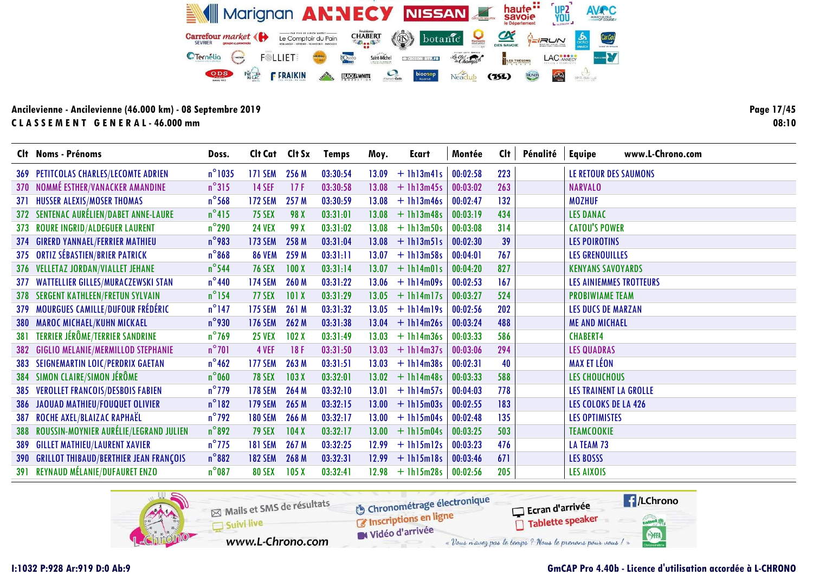|      | Clt Noms - Prénoms                                | Doss.            | Clt Cat Clt Sx |       | <b>Temps</b> | Moy.  | Ecart        | Montée   | Clt | Pénalité | www.L-Chrono.com<br><b>Equipe</b> |
|------|---------------------------------------------------|------------------|----------------|-------|--------------|-------|--------------|----------|-----|----------|-----------------------------------|
|      | <b>369 PETITCOLAS CHARLES/LECOMTE ADRIEN</b>      | $n^{\circ}$ 1035 | <b>171 SEM</b> | 256 M | 03:30:54     | 13.09 | $+$ 1h13m41s | 00:02:58 | 223 |          | LE RETOUR DES SAUMONS             |
| 370  | NOMMÉ ESTHER/VANACKER AMANDINE                    | $n^{\circ}315$   | <b>14 SEF</b>  | 17F   | 03:30:58     | 13.08 | $+$ 1h13m45s | 00:03:02 | 263 |          | <b>NARVALO</b>                    |
| -371 | <b>HUSSER ALEXIS/MOSER THOMAS</b>                 | $n^{\circ}$ 568  | <b>172 SEM</b> | 257 M | 03:30:59     | 13.08 | $+$ 1h13m46s | 00:02:47 | 132 |          | <b>MOZHUF</b>                     |
|      | 372 SENTENAC AURÉLIEN/DABET ANNE-LAURE            | $n^{\circ}415$   | <b>75 SEX</b>  | 98 X  | 03:31:01     | 13.08 | $+$ 1h13m48s | 00:03:19 | 434 |          | <b>LES DANAC</b>                  |
| 373  | <b>ROURE INGRID/ALDEGUER LAURENT</b>              | $n^{\circ}$ 290  | <b>24 VEX</b>  | 99 X  | 03:31:02     | 13.08 | $+$ 1h13m50s | 00:03:08 | 314 |          | <b>CATOU'S POWER</b>              |
|      | 374 GIRERD YANNAEL/FERRIER MATHIEU                | $n^{\circ}$ 983  | <b>173 SEM</b> | 258 M | 03:31:04     | 13.08 | $+$ 1h13m51s | 00:02:30 | 39  |          | <b>LES POIROTINS</b>              |
|      | 375 ORTIZ SÉBASTIEN/BRIER PATRICK                 | $n^{\circ}868$   | <b>86 VEM</b>  | 259 M | 03:31:11     | 13.07 | $+$ 1h13m58s | 00:04:01 | 767 |          | <b>LES GRENOUILLES</b>            |
|      | 376 VELLETAZ JORDAN/VIALLET JEHANE                | $n^{\circ}$ 544  | <b>76 SEX</b>  | 100X  | 03:31:14     | 13.07 | $+$ 1h14m01s | 00:04:20 | 827 |          | <b>KENYANS SAVOYARDS</b>          |
| 377  | <b>WATTELLIER GILLES/MURACZEWSKI STAN</b>         | $n^{\circ}$ 440  | <b>174 SEM</b> | 260 M | 03:31:22     | 13.06 | $+$ 1h14m09s | 00:02:53 | 167 |          | LES AINIEMMES TROTTEURS           |
| 378  | <b>SERGENT KATHLEEN/FRETUN SYLVAIN</b>            | $n^{\circ}$ 154  | 77 SEX         | 101X  | 03:31:29     | 13.05 | $+$ 1h14m17s | 00:03:27 | 524 |          | <b>PROBIWIAME TEAM</b>            |
| 379  | MOURGUES CAMILLE/DUFOUR FRÉDÉRIC                  | $n^{\circ}$ 147  | <b>175 SEM</b> | 261 M | 03:31:32     | 13.05 | $+$ 1h14m19s | 00:02:56 | 202 |          | <b>LES DUCS DE MARZAN</b>         |
| 380  | <b>MAROC MICHAEL/KUHN MICKAEL</b>                 | $n^{\circ}$ 930  | <b>176 SEM</b> | 262 M | 03:31:38     | 13.04 | $+$ 1h14m26s | 00:03:24 | 488 |          | <b>ME AND MICHAEL</b>             |
| 381  | TERRIER JÉRÔME/TERRIER SANDRINE                   | $n^{\circ}$ 769  | <b>25 VEX</b>  | 102X  | 03:31:49     | 13.03 | $+ 1h14m36s$ | 00:03:33 | 586 |          | <b>CHABERT4</b>                   |
| 382  | <b>GIGLIO MELANIE/MERMILLOD STEPHANIE</b>         | $n^{\circ}$ 701  | 4 VEF          | 18F   | 03:31:50     | 13.03 | $+$ 1h14m37s | 00:03:06 | 294 |          | <b>LES QUADRAS</b>                |
| 383  | SEIGNEMARTIN LOIC/PERDRIX GAETAN                  | $n^{\circ}$ 462  | <b>177 SEM</b> | 263 M | 03:31:51     | 13.03 | $+$ 1h14m38s | 00:02:31 | 40  |          | <b>MAX ET LÉON</b>                |
| 384  | SIMON CLAIRE/SIMON JÉRÔME                         | $n^{\circ}$ 060  | <b>78 SEX</b>  | 103X  | 03:32:01     | 13.02 | $+$ 1h14m48s | 00:03:33 | 588 |          | <b>LES CHOUCHOUS</b>              |
| 385  | <b>VEROLLET FRANCOIS/DESBOIS FABIEN</b>           | $n^{\circ}$ 779  | <b>178 SEM</b> | 264 M | 03:32:10     | 13.01 | $+$ 1h14m57s | 00:04:03 | 778 |          | LES TRAINENT LA GROLLE            |
| -386 | JAOUAD MATHIEU/FOUQUET OLIVIER                    | $n^{\circ}182$   | <b>179 SEM</b> | 265 M | 03:32:15     | 13.00 | $+$ 1h15m03s | 00:02:55 | 183 |          | LES COLOKS DE LA 426              |
| 387  | ROCHE AXEL/BLAIZAC RAPHAËL                        | $n^{\circ}$ 792  | <b>180 SEM</b> | 266 M | 03:32:17     | 13.00 | $+$ 1h15m04s | 00:02:48 | 135 |          | <b>LES OPTIMISTES</b>             |
| 388  | ROUSSIN-MOYNIER AURÉLIE/LEGRAND JULIEN            | $n^{\circ}892$   | <b>79 SEX</b>  | 104X  | 03:32:17     | 13.00 | $+$ 1h15m04s | 00:03:25 | 503 |          | <b>TEAMCOOKIE</b>                 |
| 389  | <b>GILLET MATHIEU/LAURENT XAVIER</b>              | $n^{\circ}$ 775  | <b>181 SEM</b> | 267 M | 03:32:25     | 12.99 | $+$ 1h15m12s | 00:03:23 | 476 |          | <b>LA TEAM 73</b>                 |
|      | <b>390 GRILLOT THIBAUD/BERTHIER JEAN FRANÇOIS</b> | $n^{\circ}882$   | <b>182 SEM</b> | 268 M | 03:32:31     | 12.99 | $+$ 1h15m18s | 00:03:46 | 671 |          | <b>LES BOSSS</b>                  |
| 391  | REYNAUD MÉLANIE/DUFAURET ENZO                     | $n^{\circ}087$   | <b>80 SEX</b>  | 105X  | 03:32:41     | 12.98 | $+$ 1h15m28s | 00:02:56 | 205 |          | <b>LES AIXOIS</b>                 |

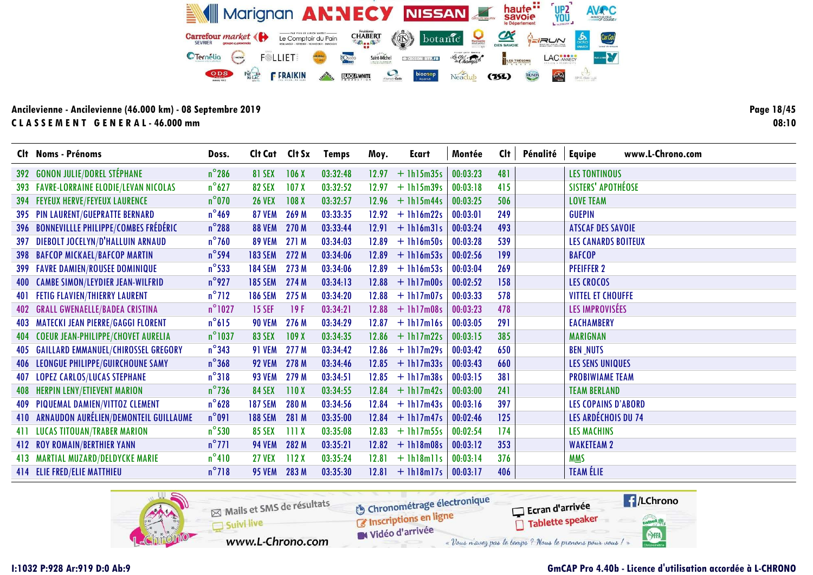| Clt Noms - Prénoms                        | Doss.            | Cit Cat Cit Sx |       | <b>Temps</b> | Moy.  | <b>Ecart</b> | Montée   | <b>Clt</b> | <b>Pénalité</b> | Equipe<br>www.L-Chrono.com |
|-------------------------------------------|------------------|----------------|-------|--------------|-------|--------------|----------|------------|-----------------|----------------------------|
| 392 GONON JULIE/DOREL STÉPHANE            | $n^{\circ}$ 286  | <b>81 SEX</b>  | 106X  | 03:32:48     | 12.97 | $+1h15m35s$  | 00:03:23 | 481        |                 | <b>LES TONTINOUS</b>       |
| 393 FAVRE-LORRAINE ELODIE/LEVAN NICOLAS   | $n^{\circ}$ 627  | <b>82 SEX</b>  | 107X  | 03:32:52     | 12.97 | $+1h15m39s$  | 00:03:18 | 415        |                 | SISTERS' APOTHÉOSE         |
| <b>394 FEYEUX HERVE/FEYEUX LAURENCE</b>   | $n^{\circ}$ 070  | <b>26 VEX</b>  | 108X  | 03:32:57     | 12.96 | $+$ 1h15m44s | 00:03:25 | 506        |                 | <b>LOVE TEAM</b>           |
| <b>395 PIN LAURENT/GUEPRATTE BERNARD</b>  | $n^{\circ}$ 469  | <b>87 VEM</b>  | 269 M | 03:33:35     | 12.92 | $+1h16m22s$  | 00:03:01 | 249        |                 | <b>GUEPIN</b>              |
| 396 BONNEVILLLE PHILIPPE/COMBES FRÉDÉRIC  | $n^{\circ}$ 288  | 88 VEM 270 M   |       | 03:33:44     | 12.91 | $+$ 1h16m31s | 00:03:24 | 493        |                 | <b>ATSCAF DES SAVOIE</b>   |
| 397 DIEBOLT JOCELYN/D'HALLUIN ARNAUD      | $n^{\circ}$ 760  | <b>89 VEM</b>  | 271 M | 03:34:03     | 12.89 | $+$ 1h16m50s | 00:03:28 | 539        |                 | <b>LES CANARDS BOITEUX</b> |
| 398 BAFCOP MICKAEL/BAFCOP MARTIN          | $n^{\circ}$ 594  | 183 SEM 272 M  |       | 03:34:06     | 12.89 | $+$ 1h16m53s | 00:02:56 | 199        |                 | <b>BAFCOP</b>              |
| <b>399 FAVRE DAMIEN/ROUSEE DOMINIQUE</b>  | $n^{\circ}$ 533  | 184 SEM 273 M  |       | 03:34:06     | 12.89 | $+$ 1h16m53s | 00:03:04 | 269        |                 | <b>PFEIFFER 2</b>          |
| 400 CAMBE SIMON/LEYDIER JEAN-WILFRID      | $n^{\circ}$ 927  | 185 SEM 274 M  |       | 03:34:13     | 12.88 | $+1h17m00s$  | 00:02:52 | 158        |                 | <b>LES CROCOS</b>          |
| <b>401 FETIG FLAVIEN/THIERRY LAURENT</b>  | $n^{\circ}$ 712  | <b>186 SEM</b> | 275 M | 03:34:20     | 12.88 | $+1h17m07s$  | 00:03:33 | 578        |                 | <b>VITTEL ET CHOUFFE</b>   |
| 402 GRALL GWENAELLE/BADEA CRISTINA        | $n^{\circ}$ 1027 | <b>15 SEF</b>  | 19F   | 03:34:21     | 12.88 | $+ 1h17m08s$ | 00:03:23 | 478        |                 | LES IMPROVISÉES            |
| 403 MATECKI JEAN PIERRE/GAGGI FLORENT     | $n^{\circ}615$   | <b>90 VEM</b>  | 276 M | 03:34:29     | 12.87 | $+$ 1h17m16s | 00:03:05 | 291        |                 | <b>EACHAMBERY</b>          |
| 404 COEUR JEAN-PHILIPPE/CHOVET AURELIA    | $n^{\circ}$ 1037 | <b>83 SEX</b>  | 109X  | 03:34:35     | 12.86 | $+$ 1h17m22s | 00:03:15 | 385        |                 | <b>MARIGNAN</b>            |
| 405 GAILLARD EMMANUEL/CHIROSSEL GREGORY   | $n^{\circ}$ 343  | <b>91 VEM</b>  | 277 M | 03:34:42     | 12.86 | $+1h17m29s$  | 00:03:42 | 650        |                 | <b>BEN_NUTS</b>            |
| 406 LEONGUE PHILIPPE/GUIRCHOUNE SAMY      | $n^{\circ}$ 368  | <b>92 VEM</b>  | 278 M | 03:34:46     | 12.85 | $+$ 1h17m33s | 00:03:43 | 660        |                 | LES SENS UNIQUES           |
| <b>407 LOPEZ CARLOS/LUCAS STEPHANE</b>    | $n^{\circ}318$   | <b>93 VEM</b>  | 279 M | 03:34:51     | 12.85 | $+1h17m38s$  | 00:03:15 | 381        |                 | <b>PROBIWIAME TEAM</b>     |
| 408 HERPIN LENY/ETIEVENT MARION           | $n^{\circ}$ 736  | <b>84 SEX</b>  | 110X  | 03:34:55     | 12.84 | $+1h17m42s$  | 00:03:00 | 241        |                 | <b>TEAM BERLAND</b>        |
| 409 PIQUEMAL DAMIEN/VITTOZ CLEMENT        | $n^{\circ}$ 628  | <b>187 SEM</b> | 280 M | 03:34:56     | 12.84 | $+1h17m43s$  | 00:03:16 | 397        |                 | LES COPAINS D'ABORD        |
| 410 ARNAUDON AURÉLIEN/DEMONTEIL GUILLAUME | $n^{\circ}091$   | <b>188 SEM</b> | 281 M | 03:35:00     | 12.84 | $+$ 1h17m47s | 00:02:46 | 125        |                 | LES ARDÉCHOIS DU 74        |
| <b>411 LUCAS TITOUAN/TRABER MARION</b>    | $n^{\circ}$ 530  | <b>85 SEX</b>  | 111 X | 03:35:08     | 12.83 | $+1h17m55s$  | 00:02:54 | 174        |                 | <b>LES MACHINS</b>         |
| 412 ROY ROMAIN/BERTHIER YANN              | $n^{\circ}$ 771  | <b>94 VEM</b>  | 282 M | 03:35:21     | 12.82 | $+1h18m08s$  | 00:03:12 | 353        |                 | <b>WAKETEAM 2</b>          |
| 413 MARTIAL MUZARD/DELDYCKE MARIE         | $n^{\circ}410$   | <b>27 VEX</b>  | 112X  | 03:35:24     | 12.81 | $+$ 1h18m11s | 00:03:14 | 376        |                 | <b>MMS</b>                 |
| 414 ELIE FRED/ELIE MATTHIEU               | $n^{\circ}718$   | <b>95 VEM</b>  | 283 M | 03:35:30     | 12.81 | $+$ 1h18m17s | 00:03:17 | 406        |                 | TEAM ÉLIE                  |



Page 18/45  $08:10$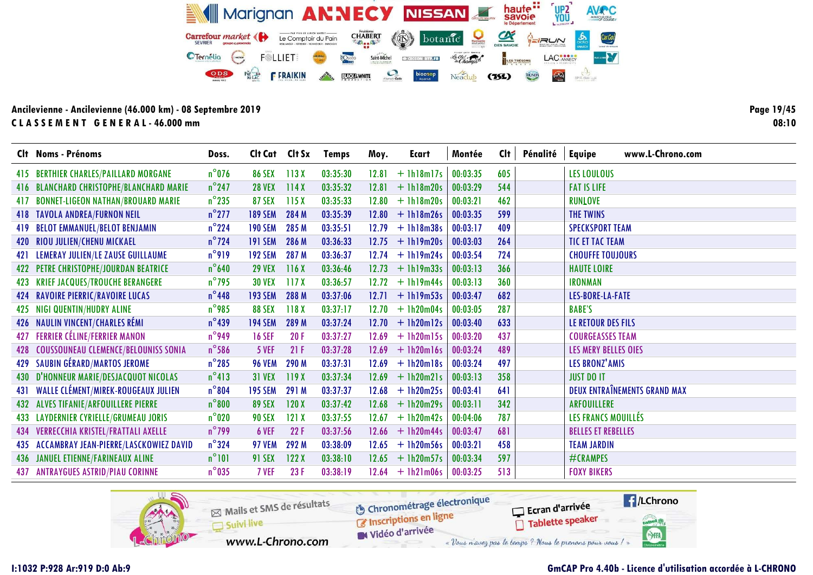|     | Clt Noms - Prénoms                          | Doss.           | Clt Cat Clt Sx |       | Temps    | Moy.  | Ecart              | Montée   | Clt | Pénalité | www.L-Chrono.com<br><b>Equipe</b>   |
|-----|---------------------------------------------|-----------------|----------------|-------|----------|-------|--------------------|----------|-----|----------|-------------------------------------|
|     | 415 BERTHIER CHARLES/PAILLARD MORGANE       | $n^{\circ}$ 076 | <b>86 SEX</b>  | 113X  | 03:35:30 | 12.81 | $+$ 1h18m17s       | 00:03:35 | 605 |          | <b>LES LOULOUS</b>                  |
|     | 416 BLANCHARD CHRISTOPHE/BLANCHARD MARIE    | $n^{\circ}$ 247 | <b>28 VEX</b>  | 114X  | 03:35:32 | 12.81 | $+ 1h18m20s$       | 00:03:29 | 544 |          | <b>FAT IS LIFE</b>                  |
| 417 | <b>BONNET-LIGEON NATHAN/BROUARD MARIE</b>   | $n^{\circ}$ 235 | <b>87 SEX</b>  | 115X  | 03:35:33 | 12.80 | $+1h18m20s$        | 00:03:21 | 462 |          | <b>RUNLOVE</b>                      |
|     | 418 TAVOLA ANDREA/FURNON NEIL               | $n^{\circ}$ 277 | <b>189 SEM</b> | 284 M | 03:35:39 | 12.80 | $+$ 1h18m26s       | 00:03:35 | 599 |          | <b>THE TWINS</b>                    |
| 419 | <b>BELOT EMMANUEL/BELOT BENJAMIN</b>        | $n^{\circ}$ 224 | <b>190 SEM</b> | 285 M | 03:35:51 | 12.79 | $+$ 1h18m38s       | 00:03:17 | 409 |          | <b>SPECKSPORT TEAM</b>              |
|     | 420 RIOU JULIEN/CHENU MICKAEL               | $n^{\circ}$ 724 | <b>191 SEM</b> | 286 M | 03:36:33 | 12.75 | $+1h19m20s$        | 00:03:03 | 264 |          | <b>TIC ET TAC TEAM</b>              |
| 421 | LEMERAY JULIEN/LE ZAUSE GUILLAUME           | $n^{\circ}$ 919 | <b>192 SEM</b> | 287 M | 03:36:37 | 12.74 | $+$ 1h19m24s       | 00:03:54 | 724 |          | <b>CHOUFFE TOUJOURS</b>             |
| 422 | PETRE CHRISTOPHE/JOURDAN BEATRICE           | $n^{\circ}$ 640 | <b>29 VEX</b>  | 116X  | 03:36:46 | 12.73 | $+1h19m33s$        | 00:03:13 | 366 |          | <b>HAUTE LOIRE</b>                  |
| 423 | <b>KRIEF JACQUES/TROUCHE BERANGERE</b>      | $n^{\circ}$ 795 | <b>30 VEX</b>  | 117X  | 03:36:57 | 12.72 | $+1h19m44s$        | 00:03:13 | 360 |          | <b>IRONMAN</b>                      |
| 424 | <b>RAVOIRE PIERRIC/RAVOIRE LUCAS</b>        | $n^{\circ}$ 448 | <b>193 SEM</b> | 288 M | 03:37:06 | 12.71 | $+1h19m53s$        | 00:03:47 | 682 |          | LES-BORE-LA-FATE                    |
| 425 | NIGI QUENTIN/HUDRY ALINE                    | $n^{\circ}$ 985 | <b>88 SEX</b>  | 118X  | 03:37:17 | 12.70 | $+1h20m04s$        | 00:03:05 | 287 |          | <b>BABE'S</b>                       |
|     | 426 NAULIN VINCENT/CHARLES RÉMI             | $n^{\circ}$ 439 | <b>194 SEM</b> | 289 M | 03:37:24 | 12.70 | $+$ 1h20m12s       | 00:03:40 | 633 |          | LE RETOUR DES FILS                  |
| 427 | <b>FERRIER CÉLINE/FERRIER MANON</b>         | $n^{\circ}$ 949 | <b>16 SEF</b>  | 20F   | 03:37:27 | 12.69 | $+$ 1h20m15s       | 00:03:20 | 437 |          | <b>COURGEASSES TEAM</b>             |
| 428 | <b>COUSSOUNEAU CLEMENCE/BELOUNISS SONIA</b> | $n^{\circ}$ 586 | 5 VEF          | 21F   | 03:37:28 | 12.69 | $+$ 1h20m16s       | 00:03:24 | 489 |          | LES MERY BELLES OIES                |
| 429 | <b>SAUBIN GÉRARD/MARTOS JEROME</b>          | $n^{\circ}285$  | <b>96 VEM</b>  | 290 M | 03:37:31 | 12.69 | $+$ 1h20m18s       | 00:03:24 | 497 |          | <b>LES BRONZ'AMIS</b>               |
| 430 | D'HONNEUR MARIE/DESJACQUOT NICOLAS          | $n^{\circ}413$  | <b>31 VEX</b>  | 119X  | 03:37:34 | 12.69 | $+$ 1h20m21s       | 00:03:13 | 358 |          | <b>JUST DO IT</b>                   |
|     | 431 WALLE CLÉMENT/MIREK-ROUGEAUX JULIEN     | $n^{\circ}804$  | <b>195 SEM</b> | 291 M | 03:37:37 | 12.68 | $+1h20m25s$        | 00:03:41 | 641 |          | <b>DEUX ENTRAÎNEMENTS GRAND MAX</b> |
| 432 | ALVES TIFANIE/ARFOUILLERE PIERRE            | $n^{\circ}800$  | <b>89 SEX</b>  | 120X  | 03:37:42 | 12.68 | $+$ 1h20m29s       | 00:03:11 | 342 |          | ARFOUILLERE                         |
| 433 | LAYDERNIER CYRIELLE/GRUMEAU JORIS           | $n^{\circ}$ 020 | <b>90 SEX</b>  | 121X  | 03:37:55 | 12.67 | $+$ 1h20m42s       | 00:04:06 | 787 |          | LES FRANCS MOUILLÉS                 |
|     | 434 VERRECCHIA KRISTEL/FRATTALI AXELLE      | $n^{\circ}$ 799 | 6 VEF          | 22 F  | 03:37:56 | 12.66 | $+1h20m44s$        | 00:03:47 | 681 |          | <b>BELLES ET REBELLES</b>           |
|     | 435 ACCAMBRAY JEAN-PIERRE/LASCKOWIEZ DAVID  | $n^{\circ}324$  | <b>97 VEM</b>  | 292 M | 03:38:09 | 12.65 | $+$ 1h20m56s       | 00:03:21 | 458 |          | <b>TEAM JARDIN</b>                  |
|     | 436 JANUEL ETIENNE/FARINEAUX ALINE          | $n^{\circ}101$  | <b>91 SEX</b>  | 122X  | 03:38:10 | 12.65 | $+$ 1h20m57s       | 00:03:34 | 597 |          | #CRAMPES                            |
|     | <b>437 ANTRAYGUES ASTRID/PIAU CORINNE</b>   | $n^{\circ}$ 035 | 7 VEF          | 23F   | 03:38:19 |       | $12.64 + 1h21m06s$ | 00:03:25 | 513 |          | <b>FOXY BIKERS</b>                  |

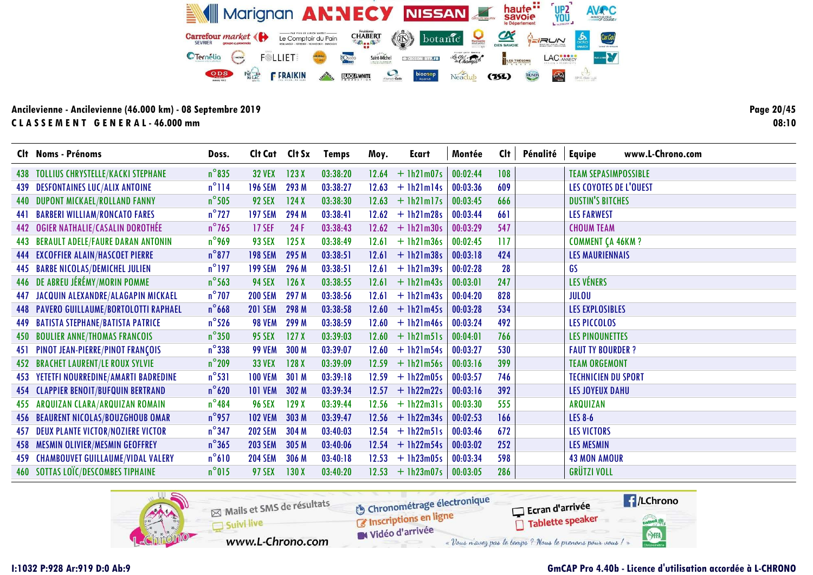|     | Clt Noms - Prénoms                        | Doss.           | Cit Cat Cit Sx |       | <b>Temps</b> | Moy.  | Ecart              | Montée   | Clt | Pénalité | www.L-Chrono.com<br><b>Equipe</b> |
|-----|-------------------------------------------|-----------------|----------------|-------|--------------|-------|--------------------|----------|-----|----------|-----------------------------------|
|     | 438 TOLLIUS CHRYSTELLE/KACKI STEPHANE     | $n^{\circ}$ 835 | <b>32 VEX</b>  | 123X  | 03:38:20     |       | $12.64 + 1h21m07s$ | 00:02:44 | 108 |          | <b>TEAM SEPASIMPOSSIBLE</b>       |
|     | 439 DESFONTAINES LUC/ALIX ANTOINE         | $n^{\circ}$ 114 | <b>196 SEM</b> | 293 M | 03:38:27     | 12.63 | $+$ lh2lm14s       | 00:03:36 | 609 |          | LES COYOTES DE L'OUEST            |
|     | 440 DUPONT MICKAEL/ROLLAND FANNY          | $n^{\circ}$ 505 | <b>92 SEX</b>  | 124X  | 03:38:30     |       | $12.63 + 1h21m17s$ | 00:03:45 | 666 |          | <b>DUSTIN'S BITCHES</b>           |
|     | <b>441 BARBERI WILLIAM/RONCATO FARES</b>  | $n^{\circ}$ 727 | <b>197 SEM</b> | 294 M | 03:38:41     | 12.62 | $+$ 1h21m28s       | 00:03:44 | 661 |          | <b>LES FARWEST</b>                |
|     | 442 OGIER NATHALIE/CASALIN DOROTHÉE       | $n^{\circ}$ 765 | 17 SEF         | 24 F  | 03:38:43     |       | $12.62 + 1h21m30s$ | 00:03:29 | 547 |          | <b>CHOUM TEAM</b>                 |
|     | 443 BERAULT ADELE/FAURE DARAN ANTONIN     | $n^{\circ}$ 969 | <b>93 SEX</b>  | 125X  | 03:38:49     | 12.61 | $+$ 1h21m36s       | 00:02:45 | 117 |          | <b>COMMENT ÇA 46KM ?</b>          |
|     | <b>444 EXCOFFIER ALAIN/HASCOET PIERRE</b> | $n^{\circ}$ 877 | <b>198 SEM</b> | 295 M | 03:38:51     |       | $12.61 + 1h21m38s$ | 00:03:18 | 424 |          | <b>LES MAURIENNAIS</b>            |
|     | 445 BARBE NICOLAS/DEMICHEL JULIEN         | $n^{\circ}$ 197 | <b>199 SEM</b> | 296 M | 03:38:51     | 12.61 | $+$ 1h21m39s       | 00:02:28 | 28  |          | GS                                |
|     | 446 DE ABREU JÉRÉMY/MORIN POMME           | $n^{\circ}$ 563 | <b>94 SEX</b>  | 126X  | 03:38:55     |       | $12.61 + 1h21m43s$ | 00:03:01 | 247 |          | LES VÉNERS                        |
|     | 447 JACQUIN ALEXANDRE/ALAGAPIN MICKAEL    | $n^{\circ}$ 707 | <b>200 SEM</b> | 297 M | 03:38:56     | 12.61 | $+1h21m43s$        | 00:04:20 | 828 |          | <b>JULOU</b>                      |
|     | 448 PAVERO GUILLAUME/BORTOLOTTI RAPHAEL   | $n^{\circ}$ 668 | <b>201 SEM</b> | 298 M | 03:38:58     | 12.60 | $+$ 1h21m45s       | 00:03:28 | 534 |          | LES EXPLOSIBLES                   |
|     | 449 BATISTA STEPHANE/BATISTA PATRICE      | $n^{\circ}$ 526 | <b>98 VEM</b>  | 299 M | 03:38:59     | 12.60 | $+$ 1h21m46s       | 00:03:24 | 492 |          | <b>LES PICCOLOS</b>               |
| 450 | <b>BOULIER ANNE/THOMAS FRANCOIS</b>       | $n^{\circ}350$  | <b>95 SEX</b>  | 127X  | 03:39:03     | 12.60 | $+$ lh2lm5ls       | 00:04:01 | 766 |          | LES PINOUNETTES                   |
|     | 451 PINOT JEAN-PIERRE/PINOT FRANÇOIS      | $n^{\circ}$ 338 | <b>99 VEM</b>  | 300 M | 03:39:07     | 12.60 | $+1h21m54s$        | 00:03:27 | 530 |          | <b>FAUT TY BOURDER?</b>           |
|     | 452 BRACHET LAURENT/LE ROUX SYLVIE        | $n^{\circ}$ 209 | <b>33 VEX</b>  | 128X  | 03:39:09     | 12.59 | $+$ 1h21m56s       | 00:03:16 | 399 |          | <b>TEAM ORGEMONT</b>              |
|     | 453 YETETFI NOURREDINE/AMARTI BADREDINE   | $n^{\circ}531$  | <b>100 VEM</b> | 301 M | 03:39:18     | 12.59 | $+1h22m05s$        | 00:03:57 | 746 |          | <b>TECHNICIEN DU SPORT</b>        |
|     | 454 CLAPPIER BENOIT/BUFQUIN BERTRAND      | $n^{\circ}$ 620 | <b>101 VEM</b> | 302 M | 03:39:34     | 12.57 | $+$ 1h22m22s       | 00:03:16 | 392 |          | <b>LES JOYEUX DAHU</b>            |
| 455 | ARQUIZAN CLARA/ARQUIZAN ROMAIN            | $n^{\circ}$ 484 | <b>96 SEX</b>  | 129X  | 03:39:44     | 12.56 | $+$ 1h22m31s       | 00:03:30 | 555 |          | <b>ARQUIZAN</b>                   |
|     | 456 BEAURENT NICOLAS/BOUZGHOUB OMAR       | $n^{\circ}$ 957 | <b>102 VEM</b> | 303 M | 03:39:47     | 12.56 | $+$ 1h22m34s       | 00:02:53 | 166 |          | LES 8-6                           |
|     | 457 DEUX PLANTE VICTOR/NOZIERE VICTOR     | $n^{\circ}$ 347 | <b>202 SEM</b> | 304 M | 03:40:03     | 12.54 | $+$ 1h22m51s       | 00:03:46 | 672 |          | <b>LES VICTORS</b>                |
| 458 | <b>MESMIN OLIVIER/MESMIN GEOFFREY</b>     | $n^{\circ}365$  | <b>203 SEM</b> | 305 M | 03:40:06     | 12.54 | $+$ 1h22m54s       | 00:03:02 | 252 |          | <b>LES MESMIN</b>                 |
|     | 459 CHAMBOUVET GUILLAUME/VIDAL VALERY     | $n^{\circ}610$  | <b>204 SEM</b> | 306 M | 03:40:18     | 12.53 | $+$ 1h23m05s       | 00:03:34 | 598 |          | <b>43 MON AMOUR</b>               |
|     | <b>460 SOTTAS LOÏC/DESCOMBES TIPHAINE</b> | $n^{\circ}015$  | <b>97 SEX</b>  | 130X  | 03:40:20     | 12.53 | $+1h23m07s$        | 00:03:05 | 286 |          | <b>GRÜTZI VOLL</b>                |



Page 20/45  $08:10$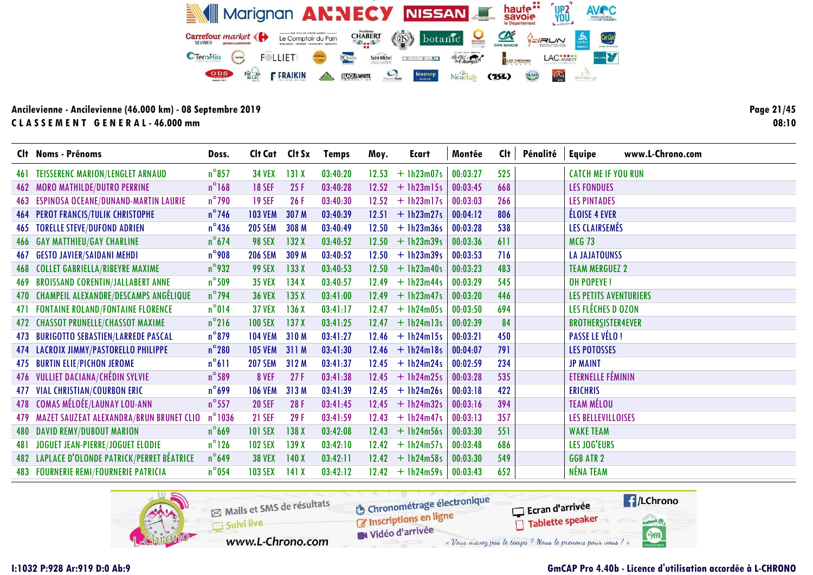Clt Noms - Prénoms Doss. Clt Cat Clt Sx Temps Moy. Ecart Montée Clt Pénalité Equipe www.L-Chrono.com 461 TEISSERENC MARION/LENGLET ARNAUD n°857 34 VEX 131 X 03:40:20 12.53 + 1h23m07s 00:03:27 525 CATCH ME IF YOU RUN 462 MORO MATHILDE/DUTRO PERRINE n°168 18 SEF 25 F 03:40:28 12.52 + 1h23m15s 00:03:45 668 LES FONDUES 463 ESPINOSA OCEANE/DUNAND-MARTIN LAURIE n°790 19 SEF 26 F 03:40:30 12.52 + 1h23m17s 00:03:03 266 LES PINTADES<br>464 PEROT FRANCIS/TULIK CHRISTOPHE n°746 103 VEM 307 M 03:40:39 12.51 + 1h23m27s 00:04:12 806 464 PEROT FRANCIS/TULIK CHRISTOPHE n°746 103 VEM 307 M 03:40:39 12.51 + 1h23m27s | 00:04:12 465 TORELLE STEVE/DUFOND ADRIEN n°436 205 SEM 308 M 03:40:49 12.50 + 1h23m36s 00:03:28 538 LES CLAIRSEMÉS 166 GAY MATTHIEU/GAY CHARLINE 11 1267 132 X 03:40:52 12.50 + 1h23m39s 00:03:36 611<br>167 GESTO JAVIER/SAIDANI MEHDI 116 1208 1206 SEM 309 M 03:40:52 12.50 + 1h23m39s 00:03:53 716 467 GESTO JAVIER/SAIDANI MEHDI n°908 206 SEM 309 M 03:40:52 12.50 + 1h23m39s 00:03:53 716 LA JAJATOUNSS 468 COLLET GABRIELLA/RIBEYRE MAXIME 19932 99 SEX 133 X 03:40:53 12.50 + 1h23m40s 00:03:23 483<br>469 BROISSAND CORENTIN/JALLABERT ANNE 1990 35 VEX 134 X 03:40:57 12.49 + 1h23m44s 00:03:29 545 469 BROISSAND CORENTIN/JALLABERT ANNE n°509 35 VEX 134 X 03:40:57 12.49 + 1h23m44s 00:03:29 545 OH POPEYE !<br>470 CHAMPEIL ALEXANDRE/DESCAMPS ANGÉLIQUE n°794 36 VEX 135 X 03:41:00 12.49 + 1h23m47s 00:03:20 446 LES PETITS 470 CHAMPEIL ALEXANDRE/DESCAMPS ANGÉLIQUE n°794 36 VEX 135 X 03:41:00 12.49 + 1h23m47s 00:03:20 446 LES PETITS AVENTURIERS<br>471 FONTAINE ROLAND/FONTAINE FLORENCE n°014 37 VEX 136 X 03:41:17 12.47 + 1h24m05s 00:03:50 694 LES 471 FONTAINE ROLAND/FONTAINE FLORENCE n°014 37 VEX 136 X 03:41:17 12.47 + 1h24m05s 00:03:50 694 LES FLÉCHES D OZON<br>472 CHASSOT PRUNELLE/CHASSOT MAXIME n°216 100 SEX 137 X 03:41:25 12.47 + 1h24m13s 00:02:39 84 BROTHERSISTER 472 CHASSOT PRUNELLE/CHASSOT MAXIME n°216 100 SEX 137 X 03:41:25 12.47 + 1h24m13s 00:02:39 84 BROTHERSISTER4EVER<br>473 BURIGOTTO SEBASTIEN/LARREDE PASCAL n°879 104 VEM 310 M 03:41:27 12.46 + 1h24m15s 00:03:21 450 PASSE LE VÉ 473 BURIGOTTO SEBASTIEN/LARREDE PASCAL n°879 104 VEM 310 M 03:41:27 12.46 + 1h24m15s 00:03:21 450<br>474 LACROIX JIMMY/PASTORELLO PHILIPPE n°280 105 VEM 311 M 03:41:30 12.46 + 1h24m18s 00:04:07 791 474 LACROIX JIMMY/PASTORELLO PHILIPPE n°280 105 VEM 311 M 03:41:30 12.46 + 1h24m18s 00:04:07 791 LES POTOSSES 475 BURTIN ELIE/PICHON JEROME n°611 207 SEM 312 M 03:41:37 12.45 + 1h24m24s 00:02:59 234 JP MAINT 476 VULLIET DACIANA/CHÉDIN SYLVIE n°589 8 VEF 27 F 03:41:38 12.45 + 1h24m25s 00:03:28 535 ETERNELLE FÉMININ 477 VIAL CHRISTIAN/COURBON ERIC n°699 106 VEM 313 M 03:41:39 12.45 + 1h24m26s 00:03:18 422 ERICHRIS 478 COMAS MÉLOÉE/LAUNAY LOU-ANN n°557 20 SEF 28 F 03:41:45 12.45 + 1h24m32s 00:03:16 394 TEAM MÉLOU 479 MAZET SAUZEAT ALEXANDRA/BRUN BRUNET CLIO n°1036 21 SEF 29 F 03:41:59 12.43 + 1h24m47s 00:03:13 357<br>480 DAVID REMY/DUBOUT MARION n°669 101 SEX 138 X 03:42:08 12.43 + 1h24m56s 00:03:30 551 480 DAVID REMY/DUBOUT MARION n°669 101 SEX 138 X 03:42:08 12.43 + 1h24m56s 00:03:30 551 WAKE TEAM 481 JOGUET JEAN-PIERRE/JOGUET ELODIE n°126 102 SEX 139 X 03:42:10 12.42 + 1h24m57s 00:03:48 686 LES JOG'EURS 482 LAPLACE D'OLONDE PATRICK/PERRET BÉATRICE n°649 38 VEX 140 X 03:42:11 12.42 + 1h24m58s 00:03:30<br>483 FOURNERIE REMI/FOURNERIE PATRICIA n°054 103 SEX 141 X 03:42:12 12.42 + 1h24m59s 00:03:43 483 FOURNERIE REMI/FOURNERIE PATRICIA n°054 103 SEX 141 X 03:42:12 12.42 + 1h24m59s 00:03:43 652 NÉNA TEAM



Page 21/45 08:10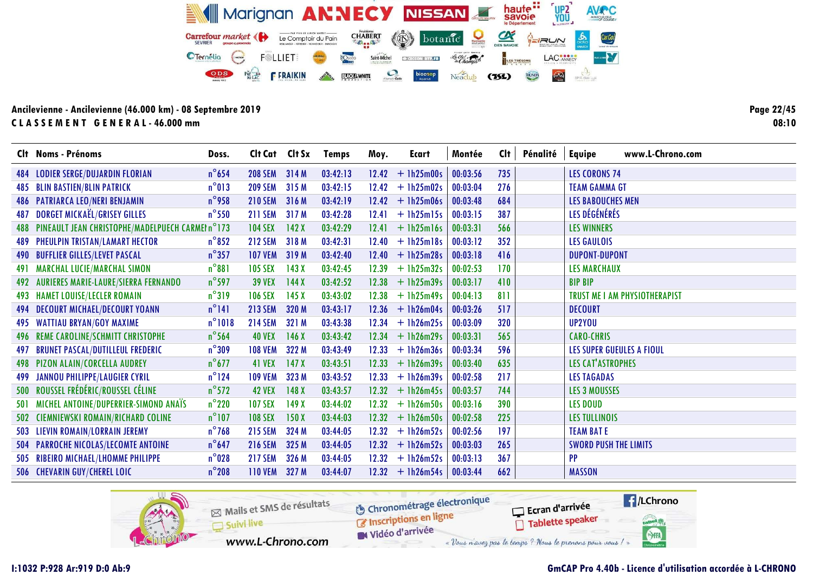Clt Noms - Prénoms Doss. Clt Cat Clt Sx Temps Moy. Ecart Montée Clt Pénalité Equipe www.L-Chrono.com 484 LODIER SERGE/DUJARDIN FLORIAN n°654 208 SEM 314 M 03:42:13 12.42 + 1h25m00s 00:03:56 735 LES CORONS 74 485 BLIN BASTIEN/BLIN PATRICK n°013 209 SEM 315 M 03:42:15 12.42 + 1h25m02s 00:03:04 276 TEAM GAMMA GT 486 PATRIARCA LEO/NERI BENJAMIN n°958 210 SEM 316 M 03:42:19 12.42 + 1h25m06s 00:03:48 684 LES BABOUCHES MEN 487 DORGET MICKAËL/GRISEY GILLES n°550 211 SEM 317 M 03:42:28 12.41 + 1h25m15s 00:03:15 387 LES DÉGÉNÉRÉS 488 PINEAULT JEAN CHRISTOPHE/MADELPUECH CARMEI n°173 104 SEX 142 X 03:42:29 12.41 + 1h25m16s 00:03:31 566 LES WINNERS<br>489 PHEULPIN TRISTAN/LAMART HECTOR n°852 212 SEM 318 M 03:42:31 12.40 + 1h25m18s 00:03:12 352 LES GAULOI 489 PHEULPIN TRISTAN/LAMART HECTOR n°852 212 SEM 318 M 03:42:31 12.40 + 1h25m18s 00:03:12 352 LES GAULOIS 490 BUFFLIER GILLES/LEVET PASCAL n°357 107 VEM 319 M 03:42:40 12.40 + 1h25m28s 00:03:18 416 DUPONT-DUPONT 491 MARCHAL LUCIE/MARCHAL SIMON n°881 105 SEX 143 X 03:42:45 12.39 + 1h25m32s 00:02:53 170<br>492 AURIERES MARIE-LAURE/SIERRA FERNANDO n°597 39 VEX 492 AURIERES MARIE-LAURE/SIERRA FERNANDO n°597 39 VEX 144 X 03:42:52 12.38 + 1h25m39s 00:03:17 410 BIP BIP BIP<br>493 HAMET LOUISE/LECLER ROMAIN n°319 106 SEX 145 X 03:43:02 12.38 + 1h25m49s 00:04:13 811 TRUST / 493 HAMET LOUISE/LECLER ROMAIN n°319 106 SEX 145 X 03:43:02 12.38 + 1h25m49s 00:04:13 811 TRUST ME I AM PHYSIOTHERAPIST 494 DECOURT MICHAEL/DECOURT YOANN n°141 213 SEM 320 M 03:43:17 12.36 + 1h26m04s 00:03:26 517 DECOURT 495 WATTIAU BRYAN/GOY MAXIME n°1018 214 SEM 321 M 03:43:38 12.34 + 1h26m25s 00:03:09 320 UP2YOU 496 REME CAROLINE/SCHMITT CHRISTOPHE 1999 108 VEX 146 X 03:43:42 12.34 + 1h26m29s 00:03:31 565 CARO-CHRIS (ARO-CHRIS<br>197 BRUNET PASCAL/DUTILLEUL FREDERIC 1999 108 VEM 322 M 03:43:49 12.33 + 1h26m36s 00:03:34 596 LES SUPER 497 BRUNET PASCAL/DUTILLEUL FREDERIC n°309 108 VEM 322 M 03:43:49 12.33 + 1h26m36s 00:03:34 596 LES SUPER GUEULES A FIOUL 498 PIZON ALAIN/CORCELLA AUDREY n°677 41 VEX 147 X 03:43:51 12.33 + 1h26m39s 00:03:40 635 LES CAT'ASTROPHES 499 JANNOU PHILIPPE/LAUGIER CYRIL n°124 109 VEM 323 M 03:43:52 12.33 + 1h26m39s 00:02:58 217 LES TAGADAS 500 ROUSSEL FRÉDÉRIC/ROUSSEL CÉLINE n°572 42 VEX 148 X 03:43:57 12.32 + 1h26m45s 00:03:57 744 LES 3 MOUSSES 501 MICHEL ANTOINE/DUPERRIER-SIMOND ANAÏS n°220 107 SEX 149 X 03:44:02 12.32 + 1h26m50s 00:03:16 390 LES DOUD 502 CIEMNIEWSKI ROMAIN/RICHARD COLINE n°107 108 SEX 150 X 03:44:03 12.32 + 1h26m50s 00:02:58 225 LES TULLINOIS 503 LIEVIN ROMAIN/LORRAIN JEREMY n°768 215 SEM 324 M 03:44:05 12.32 + 1h26m52s 00:02:56 197 TEAM BAT E 504 PARROCHE NICOLAS/LECOMTE ANTOINE n°647 216 SEM 325 M 03:44:05 12.32 + 1h26m52s 00:03:03 265 SWORD PUSH THE LIMITS<br>505 RIBEIRO MICHAEL/LHOMME PHILIPPE n°028 217 SEM 326 M 03:44:05 12.32 + 1h26m52s 00:03:13 367 PP 505 RIBEIRO MICHAEL/LHOMME PHILIPPE n°028 217 SEM 326 M 03:44:05 12.32 + 1h26m52s 00:03:13 367 PP 506 CHEVARIN GUY/CHEREL LOIC n°208 110 VEM 327 M 03:44:07 12.32 + 1h26m54s 00:03:44 662 MASSON



Page 22/45 08:10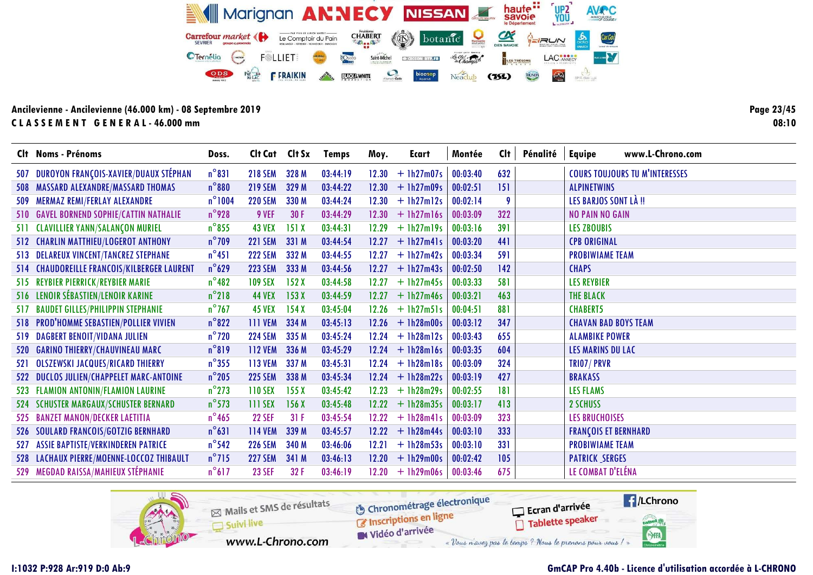|     | Clt Noms - Prénoms                          | Doss.           | Clt Cat        | Clt Sx | Temps    | Moy.  | Ecart        | Montée   | Cl <sub>t</sub> | Pénalité | <b>Equipe</b><br>www.L-Chrono.com     |
|-----|---------------------------------------------|-----------------|----------------|--------|----------|-------|--------------|----------|-----------------|----------|---------------------------------------|
|     | 507 DUROYON FRANÇOIS-XAVIER/DUAUX STÉPHAN   | $n^{\circ}831$  | <b>218 SEM</b> | 328 M  | 03:44:19 | 12.30 | $+ 1h27m07s$ | 00:03:40 | 632             |          | <b>COURS TOUJOURS TU M'INTERESSES</b> |
|     | 508 MASSARD ALEXANDRE/MASSARD THOMAS        | $n^{\circ}880$  | <b>219 SEM</b> | 329 M  | 03:44:22 | 12.30 | $+ 1h27m09s$ | 00:02:51 | 151             |          | <b>ALPINETWINS</b>                    |
|     | 509 MERMAZ REMI/FERLAY ALEXANDRE            | $n^{\circ}1004$ | <b>220 SEM</b> | 330 M  | 03:44:24 | 12.30 | $+$ 1h27m12s | 00:02:14 | 9               |          | LES BARJOS SONT LÀ !!                 |
|     | 510 GAVEL BORNEND SOPHIE/CATTIN NATHALIE    | $n^{\circ}$ 928 | 9 VEF          | 30 F   | 03:44:29 | 12.30 | $+$ 1h27m16s | 00:03:09 | 322             |          | <b>NO PAIN NO GAIN</b>                |
|     | 511 CLAVILLIER YANN/SALANÇON MURIEL         | $n^{\circ}$ 855 | <b>43 VEX</b>  | 151X   | 03:44:31 | 12.29 | $+$ 1h27m19s | 00:03:16 | 391             |          | <b>LES ZBOUBIS</b>                    |
|     | 512 CHARLIN MATTHIEU/LOGEROT ANTHONY        | $n^{\circ}$ 709 | <b>221 SEM</b> | 331 M  | 03:44:54 | 12.27 | $+$ lh27m41s | 00:03:20 | 441             |          | <b>CPB ORIGINAL</b>                   |
|     | 513 DELAREUX VINCENT/TANCREZ STEPHANE       | $n^{\circ}451$  | <b>222 SEM</b> | 332 M  | 03:44:55 | 12.27 | $+1h27m42s$  | 00:03:34 | 591             |          | <b>PROBIWIAME TEAM</b>                |
|     | 514 CHAUDOREILLE FRANCOIS/KILBERGER LAURENT | $n^{\circ}629$  | <b>223 SEM</b> | 333 M  | 03:44:56 | 12.27 | $+1h27m43s$  | 00:02:50 | 142             |          | <b>CHAPS</b>                          |
|     | 515 REYBIER PIERRICK/REYBIER MARIE          | $n^{\circ}$ 482 | <b>109 SEX</b> | 152X   | 03:44:58 | 12.27 | $+1h27m45s$  | 00:03:33 | 581             |          | <b>LES REYBIER</b>                    |
|     | 516 LENOIR SÉBASTIEN/LENOIR KARINE          | $n^{\circ}$ 218 | <b>44 VEX</b>  | 153X   | 03:44:59 | 12.27 | $+1h27m46s$  | 00:03:21 | 463             |          | THE BLACK                             |
|     | 517 BAUDET GILLES/PHILIPPIN STEPHANIE       | $n^{\circ}$ 767 | <b>45 VEX</b>  | 154X   | 03:45:04 | 12.26 | $+$ 1h27m51s | 00:04:51 | 881             |          | <b>CHABERT5</b>                       |
|     | 518 PROD'HOMME SEBASTIEN/POLLIER VIVIEN     | $n^{\circ}822$  | <b>111 VEM</b> | 334 M  | 03:45:13 | 12.26 | $+1h28m00s$  | 00:03:12 | 347             |          | <b>CHAVAN BAD BOYS TEAM</b>           |
|     | 519 DAGBERT BENOIT/VIDANA JULIEN            | $n^{\circ}$ 720 | <b>224 SEM</b> | 335 M  | 03:45:24 | 12.24 | $+$ 1h28m12s | 00:03:43 | 655             |          | <b>ALAMBIKE POWER</b>                 |
|     | 520 GARINO THIERRY/CHAUVINEAU MARC          | $n^{\circ}819$  | <b>112 VEM</b> | 336 M  | 03:45:29 | 12.24 | $+1h28m16s$  | 00:03:35 | 604             |          | LES MARINS DU LAC                     |
|     | 521 OLSZEWSKI JACQUES/RICARD THIERRY        | $n^{\circ}355$  | <b>113 VEM</b> | 337 M  | 03:45:31 | 12.24 | $+1h28m18s$  | 00:03:09 | 324             |          | TRIO7/PRVR                            |
|     | 522 DUCLOS JULIEN/CHAPPELET MARC-ANTOINE    | $n^{\circ}$ 205 | <b>225 SEM</b> | 338 M  | 03:45:34 | 12.24 | $+1h28m22s$  | 00:03:19 | 427             |          | <b>BRAKASS</b>                        |
|     | 523 FLAMION ANTONIN/FLAMION LAURINE         | $n^{\circ}$ 273 | <b>110 SEX</b> | 155X   | 03:45:42 | 12.23 | $+1h28m29s$  | 00:02:55 | 181             |          | <b>LES FLAMS</b>                      |
|     | 524 SCHUSTER MARGAUX/SCHUSTER BERNARD       | $n^{\circ}$ 573 | 111 SEX        | 156X   | 03:45:48 | 12.22 | $+1h28m35s$  | 00:03:17 | 413             |          | 2 SCHUSS                              |
|     | 525 BANZET MANON/DECKER LAETITIA            | $n^{\circ}$ 465 | <b>22 SEF</b>  | 31F    | 03:45:54 | 12.22 | $+$ 1h28m41s | 00:03:09 | 323             |          | <b>LES BRUCHOISES</b>                 |
|     | 526 SOULARD FRANCOIS/GOTZIG BERNHARD        | $n^{\circ}631$  | <b>114 VEM</b> | 339 M  | 03:45:57 | 12.22 | $+1h28m44s$  | 00:03:10 | 333             |          | <b>FRANÇOIS ET BERNHARD</b>           |
| 527 | <b>ASSIE BAPTISTE/VERKINDEREN PATRICE</b>   | $n^{\circ}$ 542 | <b>226 SEM</b> | 340 M  | 03:46:06 | 12.21 | $+$ 1h28m53s | 00:03:10 | 331             |          | <b>PROBIWIAME TEAM</b>                |
|     | 528 LACHAUX PIERRE/MOENNE-LOCCOZ THIBAULT   | $n^{\circ}$ 715 | <b>227 SEM</b> | 341 M  | 03:46:13 | 12.20 | $+1h29m00s$  | 00:02:42 | 105             |          | <b>PATRICK SERGES</b>                 |
|     | 529 MEGDAD RAISSA/MAHIEUX STÉPHANIE         | $n^{\circ}617$  | <b>23 SEF</b>  | 32F    | 03:46:19 | 12.20 | $+$ 1h29m06s | 00:03:46 | 675             |          | LE COMBAT D'ELÉNA                     |



Page 23/45  $08:10$ 

1:1032 P:928 Ar:919 D:0 Ab:9

#### **GmCAP Pro 4.40b - Licence d'utilisation accordée à L-CHRONO**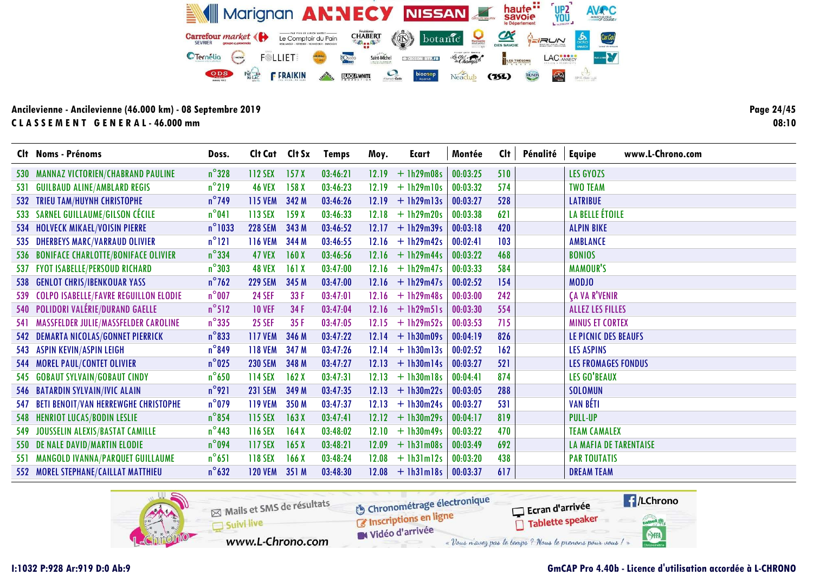Moy.

Clt Cat Clt Sx

**Temps** 

Doss.

## Ancilevienne - Ancilevienne (46.000 km) - 08 Septembre 2019 CLASSEMENT GENERAL-46.000 mm

Clt Noms - Prénoms

538

539

547

510 530 MANNAZ VICTORIEN/CHABRAND PAULINE  $n^{\circ}328$ **112 SEX**  $157X$  $03:46:21$  $12.19 + 1h29m08s$  $00:03:25$ **IFS GYOZS**  $n^{\circ}$ 219 531 GUILBAUD ALINE/AMBLARD REGIS 158 X  $00:03:32$ 574 **TWO TEAM 46 VEX** 03:46:23  $12.19$  $+1h29m10s$  $n^{\circ}$ 749 528 532 TRIEU TAM/HUYNH CHRISTOPHE 115 VEM 342 M 03:46:26  $12.19 + 1h29m13s$  $00:03:27$ **LATRIBUE** 533 SARNEL GUILLAUME/GILSON CÉCILE  $n^{\circ}041$  $+1h29m20s$  $621$ **LA BELLE ÉTOILE** 113 SEX  $159X$  $03:46:33$  $12.18$  $00:03:38$ **ALPIN BIKE** 534 HOLVECK MIKAEL/VOISIN PIERRE  $n^{\circ}$ 1033 228 SEM 343 M  $03:46:52$  $12.17 + 1h29m39s$  $00:03:18$ 420  $n^{\circ}121$ **AMBLANCE**  $12.16 + 1h29m42s$ 535 DHERBEYS MARC/VARRAUD OLIVIER **116 VEM** 344 M 03:46:55  $00:02:41$ 103  $n^{\circ}$ 334 536 BONIFACE CHARLOTTE/BONIFACE OLIVIER 468 47 VEX 160 X  $03:46:56$  $12.16 + 1h29m44s$  $00:03:22$ **BONIOS**  $n^{\circ}303$ 584 **MAMOUR'S** 537 FYOT ISABELLE/PERSOUD RICHARD **48 VEX**  $161X$  $03:47:00$  $12.16 + 1h29m47s$  $00:03:33$  $n^{\circ}$ 762 **GENLOT CHRIS/IBENKOUAR YASS** 229 SEM 345 M  $03:47:00$  $12.16 + 1h29m47s$  $00:02:52$ 154 **MODJO**  $n^{\circ}$ 007 **24 SEF**  $03:47:01$  $12.16 + 1h29m48s$ 242 **CA VA R'VENIR COLPO ISABELLE/FAVRE REGUILLON ELODIE** 33 F  $00:03:00$ 540 POLIDORI VALÉRIE/DURAND GAELLE  $n^{\circ}512$ 554 **10 VEF** 34 F  $03:47:04$  $12.16 + 1h29m51s$  $00:03:30$ **ALLEZ LES FILLES**  $n^{\circ}$ 335  $715$ 541 MASSFELDER JULIE/MASSFELDER CAROLINE **25 SEF**  $35F$  $03:47:05$  $12.15 + 1h29m52s$  $00:03:53$ **MINUS ET CORTEX**  $n^{\circ}833$ 826 542 DEMARTA NICOLAS/GONNET PIERRICK 117 VEM 346 M  $03:47:22$  $12.14 + 1h30m09s$  $00:04:19$ LE PICNIC DES BEAUFS 543 ASPIN KEVIN/ASPIN LEIGH  $n^{\circ}849$ 347 M  $+$  1h30m13s  $162$ **LES ASPINS 118 VEM**  $03:47:26$  $12.14$  $00:02:52$  $n^{\circ}$ 025  $521$ **544 MOREL PAUL/CONTET OLIVIER** 230 SEM 348 M  $03:47:27$  $12.13 + 1h30m14s$  $00:03:27$ **LES FROMAGES FONDUS**  $n^{\circ}$ 650 874 **LES GO'BEAUX** 545 GOBAUT SYLVAIN/GOBAUT CINDY 114 SEX  $162X$  $03:47:31$  $12.13$  $+1h30m18s$  $00:04:41$  $n^{\circ}$ 921 288 546 BATARDIN SYLVAIN/IVIC ALAIN 231 SEM 349 M 03:47:35  $12.13 + 1h30m22s$  $00:03:05$ **SOLOMUN**  $n^{\circ}$ 079 531 **VAN BÉTI BETI BENOIT/VAN HERREWGHE CHRISTOPHE 119 VEM** 350 M  $03:47:37$  $12.13$  $+1h30m24s$  $00:03:27$  $n^{\circ}854$ 548 HENRIOT LUCAS/BODIN LESLIE 115 SEX  $163X$  $03:47:41$  $12.12 + 1h30m29s$  $00:04:17$ 819 **PULL-UP**  $n^{\circ}$ 443 116 SEX 470 549 JOUSSELIN ALEXIS/BASTAT CAMILLE  $164X$ 03:48:02  $12.10$  $+1h30m49s$  $00:03:22$ **TEAM CAMALEX** 692  $n^{\circ}$ 094 117 SEX  $03:48:21$  $12.09 + 1h31m08s$  $00:03:49$ **LA MAFIA DE TARENTAISE** 550 DE NALE DAVID/MARTIN ELODIE 165 X  $n^{\circ}651$ 438 118 SEX  $+1h31m12s$ **PAR TOUTATIS** 551 MANGOLD IVANNA/PARQUET GUILLAUME 166 X  $03:48:24$ 12.08  $00:03:20$  $n^{\circ}632$ 120 VEM 351 M  $12.08 + 1h31m18s | 00:03:37$  $03:48:30$ 617 **DREAM TEAM** 552 MOREL STEPHANE/CAILLAT MATTHIEU

**Ecart** 

Clt

Montée

Pénalité

Equipe

www.L-Chrono.com



Page 24/45  $08:10$ 

1:1032 P:928 Ar:919 D:0 Ab:9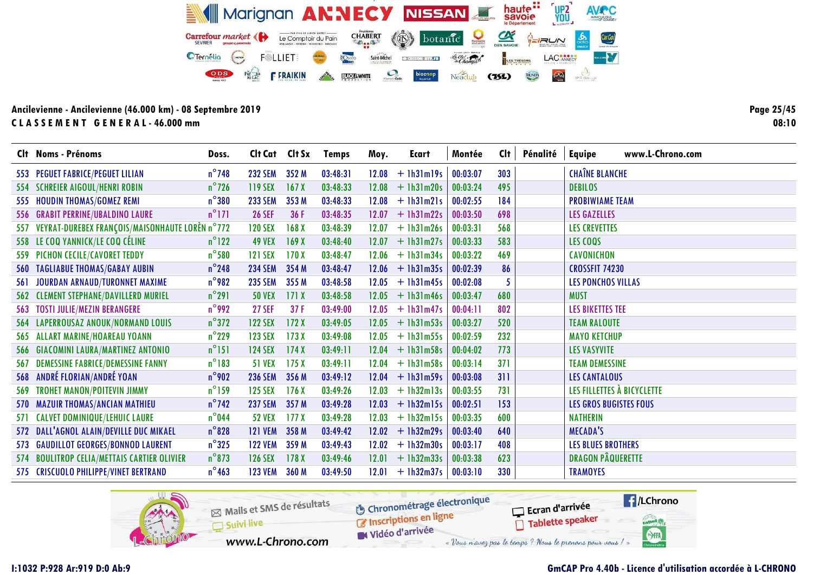| Clt Noms - Prénoms                                    | Doss.           |                | Clt Cat Clt Sx | <b>Temps</b> | Moy.  | Ecart                         | Montée   | Cl <sub>t</sub> | <b>Pénalité</b> | Equipe                        | www.L-Chrono.com |
|-------------------------------------------------------|-----------------|----------------|----------------|--------------|-------|-------------------------------|----------|-----------------|-----------------|-------------------------------|------------------|
| 553 PEGUET FABRICE/PEGUET LILIAN                      | $n^{\circ}$ 748 | 232 SEM 352 M  |                | 03:48:31     |       | $12.08 + 1h31m19s$            | 00:03:07 | 303             |                 | <b>CHAÎNE BLANCHE</b>         |                  |
| 554 SCHREIER AIGOUL/HENRI ROBIN                       | $n^{\circ}$ 726 | 119 SEX        | 167X           | 03:48:33     |       | $12.08 + 1h31m20s$            | 00:03:24 | 495             |                 | <b>DEBILOS</b>                |                  |
| 555 HOUDIN THOMAS/GOMEZ REMI                          | $n^{\circ}380$  | <b>233 SEM</b> | 353 M          | 03:48:33     |       | $12.08 + 1h3Im21s$            | 00:02:55 | 184             |                 | <b>PROBIWIAME TEAM</b>        |                  |
| 556 GRABIT PERRINE/UBALDINO LAURE                     | $n^{\circ}$ 171 | <b>26 SEF</b>  | 36 F           | 03:48:35     |       | $12.07 + 1h31m22s$            | 00:03:50 | 698             |                 | <b>LES GAZELLES</b>           |                  |
| 557   VEYRAT-DUREBEX FRANÇOIS/MAISONHAUTE LORÈN n°772 |                 | <b>120 SEX</b> | 168X           | 03:48:39     |       | $12.07 + 1h31m26s$            | 00:03:31 | 568             |                 | <b>LES CREVETTES</b>          |                  |
| 558 LE COQ YANNICK/LE COQ CÉLINE                      | $n^{\circ}$ 122 | <b>49 VEX</b>  | 169X           | 03:48:40     |       | $12.07 + 1h3Im27s$            | 00:03:33 | 583             |                 | LES COQS                      |                  |
| 559 PICHON CECILE/CAVORET TEDDY                       | $n^{\circ}$ 580 | <b>121 SEX</b> | 170 X          | 03:48:47     |       | $12.06 + 1h31m34s$            | 00:03:22 | 469             |                 | <b>CAVONICHON</b>             |                  |
| 560 TAGLIABUE THOMAS/GABAY AUBIN                      | $n^{\circ}$ 248 | <b>234 SEM</b> | 354 M          | 03:48:47     |       | $12.06 + 1h31m35s$            | 00:02:39 | 86              |                 | <b>CROSSFIT 74230</b>         |                  |
| 561 JOURDAN ARNAUD/TURONNET MAXIME                    | $n^{\circ}$ 982 | <b>235 SEM</b> | 355 M          | 03:48:58     |       | $12.05 + 1h31m45s$            | 00:02:08 | 5               |                 | LES PONCHOS VILLAS            |                  |
| 562 CLEMENT STEPHANE/DAVILLERD MURIEL                 | $n^{\circ}291$  | <b>50 VEX</b>  | 171X           | 03:48:58     |       | $12.05 + 1h31m46s$            | 00:03:47 | 680             |                 | <b>MUST</b>                   |                  |
| 563 TOSTI JULIE/MEZIN BERANGERE                       | $n^{\circ}$ 992 | <b>27 SEF</b>  | 37 F           | 03:49:00     |       | $12.05 + 1h31m47s$            | 00:04:11 | 802             |                 | LES BIKETTES TEE              |                  |
| 564 LAPERROUSAZ ANOUK/NORMAND LOUIS                   | $n^{\circ}372$  | <b>122 SEX</b> | 172X           | 03:49:05     |       | $12.05 + 1h31m53s$            | 00:03:27 | 520             |                 | <b>TEAM RALOUTE</b>           |                  |
| 565 ALLART MARINE/HOAREAU YOANN                       | $n^{\circ}$ 229 | <b>123 SEX</b> | 173X           | 03:49:08     |       | $12.05 + 1h31m55s$            | 00:02:59 | 232             |                 | <b>MAYO KETCHUP</b>           |                  |
| 566 GIACOMINI LAURA/MARTINEZ ANTONIO                  | $n^{\circ}151$  | <b>124 SEX</b> | 174X           | 03:49:11     |       | $12.04 + 1h31m58s$            | 00:04:02 | 773             |                 | <b>LES VASYVITE</b>           |                  |
| 567 DEMESSINE FABRICE/DEMESSINE FANNY                 | $n^{\circ}183$  | <b>51 VEX</b>  | 175X           | 03:49:11     |       | $12.04 + 1h31m58s$            | 00:03:14 | 371             |                 | <b>TEAM DEMESSINE</b>         |                  |
| 568 ANDRÉ FLORIAN/ANDRÉ YOAN                          | $n^{\circ}$ 902 | <b>236 SEM</b> | 356 M          | 03:49:12     |       | $12.04 + 1h31m59s$            | 00:03:08 | 311             |                 | <b>LES CANTALOUS</b>          |                  |
| 569 TROHET MANON/POITEVIN JIMMY                       | $n^{\circ}$ 159 | <b>125 SEX</b> | 176X           | 03:49:26     |       | $12.03 + 1h32m13s$            | 00:03:55 | 731             |                 | LES FILLETTES À BICYCLETTE    |                  |
| 570 MAZUIR THOMAS/ANCIAN MATHIEU                      | $n^{\circ}$ 742 | 237 SEM 357 M  |                | 03:49:28     |       | $12.03 + 1h32m15s$            | 00:02:51 | 153             |                 | <b>LES GROS BUGISTES FOUS</b> |                  |
| 571 CALVET DOMINIQUE/LEHUIC LAURE                     | $n^{\circ}$ 044 | <b>52 VEX</b>  | 177X           | 03:49:28     |       | $12.03 + 1h32m15s$            | 00:03:35 | 600             |                 | <b>NATHERIN</b>               |                  |
| 572 DALL'AGNOL ALAIN/DEVILLE DUC MIKAEL               | $n^{\circ}$ 828 | 121 VEM 358 M  |                | 03:49:42     |       | $12.02 + 1h32m29s$            | 00:03:40 | 640             |                 | <b>MECADA'S</b>               |                  |
| 573 GAUDILLOT GEORGES/BONNOD LAURENT                  | $n^{\circ}325$  | 122 VEM 359 M  |                | 03:49:43     |       | $12.02 + 1h32m30s$            | 00:03:17 | 408             |                 | <b>LES BLUES BROTHERS</b>     |                  |
| 574 BOULITROP CELIA/METTAIS CARTIER OLIVIER           | $n^{\circ}$ 873 | <b>126 SEX</b> | 178X           | 03:49:46     | 12.01 | $+1h32m33s$                   | 00:03:38 | 623             |                 | <b>DRAGON PÂQUERETTE</b>      |                  |
| 575 CRISCUOLO PHILIPPE/VINET BERTRAND                 | $n^{\circ}$ 463 | <b>123 VEM</b> | 360 M          | 03:49:50     |       | $12.01 + 1h32m37s   00:03:10$ |          | 330             |                 | <b>TRAMOYES</b>               |                  |



Page 25/45 08:10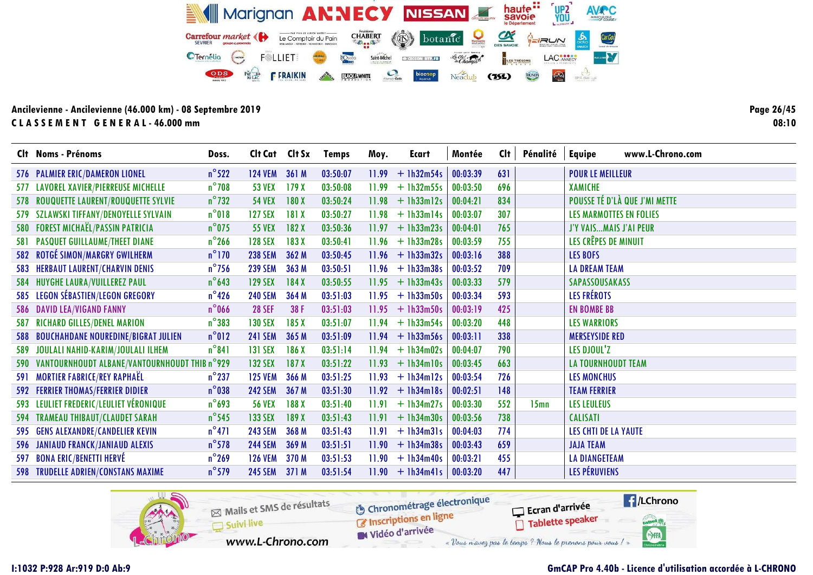Clt Cat Clt Sx Clt Pénalité Equipe www.L-Chrono.com Clt Noms - Prénoms Montée Doss. **Temps** Moy. **Ecart** 631 576 PALMIER ERIC/DAMERON LIONEL  $n^{\circ}$ 522 124 VEM 361 M  $03:50:07$  $11.99$  $+$  1h32m54s  $00:03:39$ **POUR LE MEILLEUR**  $n^{\circ}$ 708 577 LAVOREL XAVIER/PIERREUSE MICHELLE  $+ 1h32m55s$  $00:03:50$ 696 **XAMICHE 53 VEX**  $179X$  $03:50:08$ 11.99 POUSSE TÉ D'LÀ QUE J'MI METTE  $n^{\circ}$ 732 834 578 ROUQUETTE LAURENT/ROUQUETTE SYLVIE 54 VEX 180 X  $03:50:24$  $11.98 + 1h33m12s$  $00:04:21$ 579 SZLAWSKI TIFFANY/DENOYELLE SYLVAIN  $n^{\circ}018$  $+1h33m14s$ 307 **LES MARMOTTES EN FOLIES 127 SEX** 181 X  $03:50:27$ 11.98  $00:03:07$ 580 FOREST MICHAËL/PASSIN PATRICIA  $n^{\circ}$ 075 **55 VEX** 182 X  $03:50:36$  $11.97$  $+ 1h33m23s$  $00:04:01$ 765 J'Y VAIS... MAIS J'AI PEUR 581 PASQUET GUILLAUME/THEET DIANE  $n^{\circ}$ 266 LES CRÊPES DE MINUIT **128 SEX**  $+1h33m28s$ 755 183X  $03:50:41$  $11.96$  $00:03:59$ 582 ROTGÉ SIMON/MARGRY GWILHERM  $n^{\circ}$ 170 388 238 SEM 362 M  $03:50:45$  $11.96 + 1h33m32s$  $00:03:16$ **LES BOFS** 583 HERBAUT LAURENT/CHARVIN DENIS  $n^{\circ}$ 756 709 **239 SEM** 363 M  $03:50:51$  $11.96$  $+1h33m38s$  $00:03:52$ **LA DREAM TEAM**  $n^{\circ}$ 643 579 584 HUYGHE LAURA/VUILLEREZ PAUL **129 SEX**  $184X$  $03:50:55$  $11.95 + 1h33m43s$  $00:03:33$ **SAPASSOUSAKASS**  $n^{\circ}$ 426 **LES FRÉROTS** 585 LEGON SÉBASTIEN/LEGON GREGORY **240 SEM** 364 M  $03:51:03$  $+$  1h33m50s  $00:03:34$ 593  $11.95$ 425 586 DAVID LEA/VIGAND FANNY  $n^{\circ}$ 066 **28 SEF** 38 F  $03:51:03$  $11.95 + 1h33m50s$  $00:03:19$ **EN BOMBE BB**  $n^{\circ}383$ 448 587 RICHARD GILLES/DENEL MARION **130 SEX** 185 X  $03:51:07$  $11.94 + 1h33m54s$  $00:03:20$ **LES WARRIORS**  $n^{\circ}012$ 588 BOUCHAHDANE NOUREDINE/BIGRAT JULIEN 241 SEM 365 M  $03:51:09$  $11.94 + 1h33m56s$  $00:03:11$ 338 **MERSEYSIDE RED**  $n^{\circ}841$ 589 JOULALI NAHID-KARIM/JOULALI ILHEM  $+1h34m02s$  $00:04:07$ 790 **LES DJOUL'Z 131 SEX** 186 X  $03:51:14$ 11.94 590 VANTOURNHOUDT ALBANE/VANTOURNHOUDT THIB n°929 663 **132 SEX** 187X  $03:51:22$  $11.93 + 1h34m10s$  $00:03:45$ **LA TOURNHOUDT TEAM** 591 MORTIER FABRICE/REY RAPHAËL  $n^{\circ}$ 237 726 **125 VEM** 366 M  $03:51:25$  $11.93$  $+$  1h34m12s  $00:03:54$ **LES MONCHUS**  $n^{\circ}$ 038 148 592 FERRIER THOMAS/FERRIER DIDIER **242 SEM** 367 M  $03:51:30$  $11.92 + 1h34m18s$  $00:02:51$ **TEAM FERRIER** 593 LEULIET FREDERIC/LEULIET VÉRONIQUE  $n^{\circ}$ 693  $+1h34m27s$ 552 **56 VEX** 188 X  $03:51:40$  $11.91$  $00:03:30$  $15<sub>mn</sub>$ **LES LEULEUS**  $n^{\circ}$ 545 738 594 TRAMEAU THIBAUT/CLAUDET SARAH 133 SEX 189 X  $03:51:43$  $11.91 + 1h34m30s$  $00:03:56$ **CALISATI** 595 GENS ALEXANDRE/CANDELIER KEVIN  $n^{\circ}471$ **243 SEM** 774 368 M  $03:51:43$  $11.91$  $+$  1h34m31s  $00:04:03$ LES CHTI DE LA YAUTE 596 JANIAUD FRANCK/JANIAUD ALEXIS  $n^{\circ}$ 578 **244 SEM** 369 M  $03:51:51$  $11.90 + 1h34m38s$  $00:03:43$ 659 **JAJA TEAM** 597 BONA ERIC/BENETTI HERVÉ  $n^{\circ}269$ 455 **LA DIANGETEAM 126 VEM** 370 M  $03:51:53$ 11.90  $+1h34m40s$  $00:03:21$ **LES PÉRUVIENS** 598 TRUDELLE ADRIEN/CONSTANS MAXIME  $n^{\circ}$ 579 245 SEM 371 M  $11.90 + 1h34m41s | 00:03:20$ 447  $03:51:54$ 



Page 26/45  $08:10$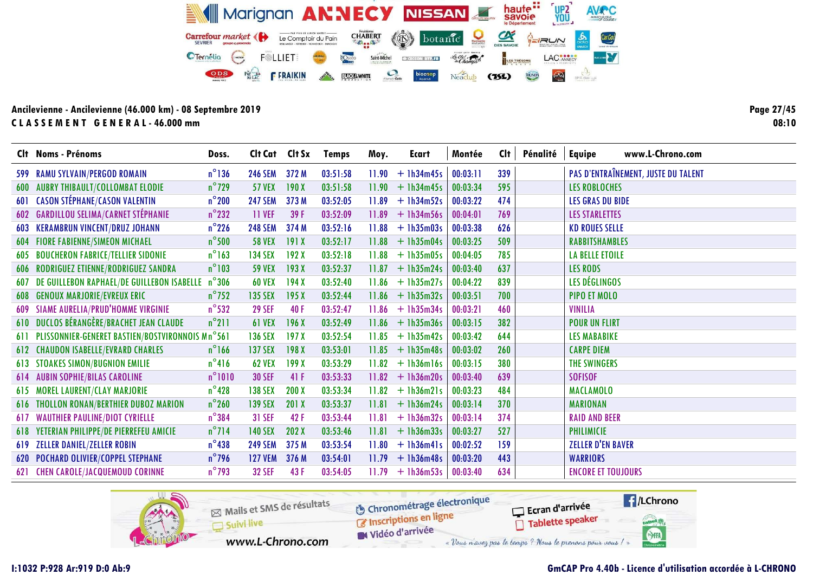| Clt Noms - Prénoms                                   | Doss.           | Cit Cat Cit Sx |       | Temps    | Moy.  | Ecart              | Montée   | Cl <sub>t</sub> | Pénalité | www.L-Chrono.com<br><b>Equipe</b>   |
|------------------------------------------------------|-----------------|----------------|-------|----------|-------|--------------------|----------|-----------------|----------|-------------------------------------|
| 599 RAMU SYLVAIN/PERGOD ROMAIN                       | $n^{\circ}$ 136 | <b>246 SEM</b> | 372 M | 03:51:58 |       | $11.90 + 1h34m45s$ | 00:03:11 | 339             |          | PAS D'ENTRAÎNEMENT, JUSTE DU TALENT |
| <b>600 AUBRY THIBAULT/COLLOMBAT ELODIE</b>           | $n^{\circ}$ 729 | <b>57 VEX</b>  | 190X  | 03:51:58 |       | $11.90 + 1h34m45s$ | 00:03:34 | 595             |          | <b>LES ROBLOCHES</b>                |
| <b>601 CASON STÉPHANE/CASON VALENTIN</b>             | $n^{\circ}$ 200 | <b>247 SEM</b> | 373 M | 03:52:05 |       | $11.89 + 1h34m52s$ | 00:03:22 | 474             |          | <b>LES GRAS DU BIDE</b>             |
| 602 GARDILLOU SELIMA/CARNET STÉPHANIE                | $n^{\circ}$ 232 | 11 VEF         | 39 F  | 03:52:09 | 11.89 | $+1h34m56s$        | 00:04:01 | 769             |          | <b>LES STARLETTES</b>               |
| <b>603 KERAMBRUN VINCENT/DRUZ JOHANN</b>             | $n^{\circ}$ 226 | <b>248 SEM</b> | 374 M | 03:52:16 |       | $11.88 + 1h35m03s$ | 00:03:38 | 626             |          | <b>KD ROUES SELLE</b>               |
| <b>604 FIORE FABIENNE/SIMEON MICHAEL</b>             | $n^{\circ}$ 500 | <b>58 VEX</b>  | 191X  | 03:52:17 | 11.88 | $+1h35m04s$        | 00:03:25 | 509             |          | <b>RABBITSHAMBLES</b>               |
| <b>605 BOUCHERON FABRICE/TELLIER SIDONIE</b>         | $n^{\circ}163$  | 134 SEX        | 192X  | 03:52:18 |       | $11.88 + 1h35m05s$ | 00:04:05 | 785             |          | <b>LA BELLE ETOILE</b>              |
| 606 RODRIGUEZ ETIENNE/RODRIGUEZ SANDRA               | $n^{\circ}103$  | <b>59 VEX</b>  | 193X  | 03:52:37 | 11.87 | $+1h35m24s$        | 00:03:40 | 637             |          | <b>LES RODS</b>                     |
| 607 DE GUILLEBON RAPHAEL/DE GUILLEBON ISABELLE n°306 |                 | <b>60 VEX</b>  | 194 X | 03:52:40 |       | $11.86 + 1h35m27s$ | 00:04:22 | 839             |          | LES DÉGLINGOS                       |
| <b>608 GENOUX MARJORIE/EVREUX ERIC</b>               | $n^{\circ}$ 752 | <b>135 SEX</b> | 195X  | 03:52:44 |       | $11.86 + 1h35m32s$ | 00:03:51 | 700             |          | <b>PIPO ET MOLO</b>                 |
| 609 SIAME AURELIA/PRUD'HOMME VIRGINIE                | $n^{\circ}$ 532 | <b>29 SEF</b>  | 40 F  | 03:52:47 |       | $11.86 + 1h35m34s$ | 00:03:21 | 460             |          | <b>VINILIA</b>                      |
| 610 DUCLOS BÉRANGÈRE/BRACHET JEAN CLAUDE             | $n^{\circ}211$  | <b>61 VEX</b>  | 196X  | 03:52:49 |       | $11.86 + 1h35m36s$ | 00:03:15 | 382             |          | <b>POUR UN FLIRT</b>                |
| 611 PLISSONNIER-GENERET BASTIEN/BOSTVIRONNOIS Mn°561 |                 | <b>136 SEX</b> | 197X  | 03:52:54 |       | $11.85 + 1h35m42s$ | 00:03:42 | 644             |          | <b>LES MABABIKE</b>                 |
| <b>612 CHAUDON ISABELLE/EVRARD CHARLES</b>           | $n^{\circ}$ 166 | <b>137 SEX</b> | 198 X | 03:53:01 |       | $11.85 + 1h35m48s$ | 00:03:02 | 260             |          | <b>CARPE DIEM</b>                   |
| <b>613 STOAKES SIMON/BUGNION EMILIE</b>              | $n^{\circ}416$  | <b>62 VEX</b>  | 199X  | 03:53:29 |       | $11.82 + 1h36m16s$ | 00:03:15 | 380             |          | THE SWINGERS                        |
| <b>614 AUBIN SOPHIE/BILAS CAROLINE</b>               | $n^{\circ}1010$ | <b>30 SEF</b>  | 41F   | 03:53:33 |       | $11.82 + 1h36m20s$ | 00:03:40 | 639             |          | <b>SOFISOF</b>                      |
| 615 MOREL LAURENT/CLAY MARJORIE                      | $n^{\circ}$ 428 | <b>138 SEX</b> | 200X  | 03:53:34 |       | $11.82 + 1h36m21s$ | 00:03:23 | 484             |          | <b>MACLAMOLO</b>                    |
| <b>616 THOLLON RONAN/BERTHIER DUBOZ MARION</b>       | $n^{\circ}260$  | <b>139 SEX</b> | 201X  | 03:53:37 | 11.81 | $+1h36m24s$        | 00:03:14 | 370             |          | <b>MARIONAN</b>                     |
| <b>617 WAUTHIER PAULINE/DIOT CYRIELLE</b>            | $n^{\circ}$ 384 | <b>31 SEF</b>  | 42 F  | 03:53:44 | 11.81 | $+1h36m32s$        | 00:03:14 | 374             |          | <b>RAID AND BEER</b>                |
| 618 YETERIAN PHILIPPE/DE PIERREFEU AMICIE            | $n^{\circ}$ 714 | <b>140 SEX</b> | 202 X | 03:53:46 | 11.81 | $+1h36m33s$        | 00:03:27 | 527             |          | <b>PHILIMICIE</b>                   |
| 619 ZELLER DANIEL/ZELLER ROBIN                       | $n^{\circ}$ 438 | <b>249 SEM</b> | 375 M | 03:53:54 | 11.80 | $+$ 1h36m41s       | 00:02:52 | 159             |          | <b>ZELLER D'EN BAVER</b>            |
| <b>620 POCHARD OLIVIER/COPPEL STEPHANE</b>           | $n^{\circ}$ 796 | <b>127 VEM</b> | 376 M | 03:54:01 |       | $11.79 + 1h36m48s$ | 00:03:20 | 443             |          | <b>WARRIORS</b>                     |
| 621 CHEN CAROLE/JACQUEMOUD CORINNE                   | $n^{\circ}$ 793 | <b>32 SEF</b>  | 43 F  | 03:54:05 |       | $11.79 + 1h36m53s$ | 00:03:40 | 634             |          | <b>ENCORE ET TOUJOURS</b>           |



Page 27/45 08:10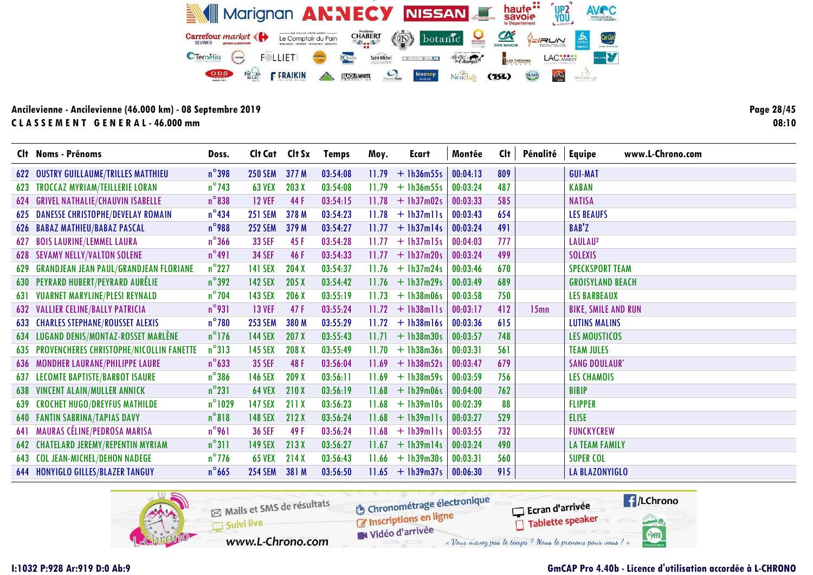| Clt Noms - Prénoms                           | Doss.            |                | Cit Cat Cit Sx | Temps    | Moy.  | <b>Ecart</b>       | Montée   | <b>Clt</b> | Pénalité         | www.L-Chrono.com<br><b>Equipe</b> |
|----------------------------------------------|------------------|----------------|----------------|----------|-------|--------------------|----------|------------|------------------|-----------------------------------|
| 622 OUSTRY GUILLAUME/TRILLES MATTHIEU        | $n^{\circ}$ 398  | <b>250 SEM</b> | 377 M          | 03:54:08 | 11.79 | $+$ 1h36m55s       | 00:04:13 | 809        |                  | <b>GUI-MAT</b>                    |
| 623 TROCCAZ MYRIAM/TEILLERIE LORAN           | $n^{\circ}$ 743  | <b>63 VEX</b>  | 203 X          | 03:54:08 | 11.79 | $+1h36m55s$        | 00:03:24 | 487        |                  | <b>KABAN</b>                      |
| 624 GRIVEL NATHALIE/CHAUVIN ISABELLE         | $n^{\circ}$ 838  | <b>12 VEF</b>  | 44 F           | 03:54:15 | 11.78 | $+ 1h37m02s$       | 00:03:33 | 585        |                  | <b>NATISA</b>                     |
| 625 DANESSE CHRISTOPHE/DEVELAY ROMAIN        | $n^{\circ}$ 434  | <b>251 SEM</b> | 378 M          | 03:54:23 |       | $11.78 + 1h37m11s$ | 00:03:43 | 654        |                  | <b>LES BEAUFS</b>                 |
| <b>626 BABAZ MATHIEU/BABAZ PASCAL</b>        | $n^{\circ}$ 988  | <b>252 SEM</b> | 379 M          | 03:54:27 |       | $11.77 + 1h37m14s$ | 00:03:24 | 491        |                  | <b>BAB'Z</b>                      |
| 627 BOIS LAURINE/LEMMEL LAURA                | $n^{\circ}$ 366  | <b>33 SEF</b>  | 45 F           | 03:54:28 |       | $11.77 + 1h37m15s$ | 00:04:03 | 777        |                  | LAULAU <sup>2</sup>               |
| <b>628 SEVAMY NELLY/VALTON SOLENE</b>        | $n^{\circ}491$   | <b>34 SEF</b>  | 46 F           | 03:54:33 |       | $11.77 + 1h37m20s$ | 00:03:24 | 499        |                  | <b>SOLEXIS</b>                    |
| 629 GRANDJEAN JEAN PAUL/GRANDJEAN FLORIANE   | $n^{\circ}$ 227  | 141 SEX        | 204X           | 03:54:37 | 11.76 | $+$ 1h37m24s       | 00:03:46 | 670        |                  | <b>SPECKSPORT TEAM</b>            |
| 630 PEYRARD HUBERT/PEYRARD AURÉLIE           | $n^{\circ}392$   | <b>142 SEX</b> | 205X           | 03:54:42 |       | $11.76 + 1h37m29s$ | 00:03:49 | 689        |                  | <b>GROISYLAND BEACH</b>           |
| 631 VUARNET MARYLINE/PLESI REYNALD           | $n^{\circ}$ 704  | <b>143 SEX</b> | 206X           | 03:55:19 | 11.73 | $+1h38m06s$        | 00:03:58 | 750        |                  | <b>LES BARBEAUX</b>               |
| 632 VALLIER CELINE/BALLY PATRICIA            | $n^{\circ}$ 931  | <b>13 VEF</b>  | 47 F           | 03:55:24 | 11.72 | $+$ 1h38mlls       | 00:03:17 | 412        | 15 <sub>mn</sub> | <b>BIKE, SMILE AND RUN</b>        |
| <b>633 CHARLES STEPHANE/ROUSSET ALEXIS</b>   | $n^{\circ}$ 780  | <b>253 SEM</b> | 380 M          | 03:55:29 | 11.72 | $+1h38m16s$        | 00:03:36 | 615        |                  | <b>LUTINS MALINS</b>              |
| 634 LUGAND DENIS/MONTAZ-ROSSET MARLÈNE       | $n^{\circ}$ 176  | <b>144 SEX</b> | 207X           | 03:55:43 | 11.71 | $+1h38m30s$        | 00:03:57 | 748        |                  | <b>LES MOUSTICOS</b>              |
| 635 PROVENCHERES CHRISTOPHE/NICOLLIN FANETTE | $n^{\circ}313$   | <b>145 SEX</b> | 208 X          | 03:55:49 | 11.70 | $+$ 1h38m36s       | 00:03:31 | 561        |                  | <b>TEAM JULES</b>                 |
| <b>636 MONDHER LAURANE/PHILIPPE LAURE</b>    | $n^{\circ}$ 633  | <b>35 SEF</b>  | 48 F           | 03:56:04 | 11.69 | $+$ 1h38m52s       | 00:03:47 | 679        |                  | <b>SANG DOULAUR'</b>              |
| <b>637 LECOMTE BAPTISTE/BARBOT ISAURE</b>    | $n^{\circ}$ 386  | <b>146 SEX</b> | 209X           | 03:56:11 | 11.69 | $+1h38m59s$        | 00:03:59 | 756        |                  | <b>LES CHAMOIS</b>                |
| <b>638 VINCENT ALAIN/MULLER ANNICK</b>       | $n^{\circ}231$   | <b>64 VEX</b>  | <b>210X</b>    | 03:56:19 |       | $11.68 + 1h39m06s$ | 00:04:00 | 762        |                  | <b>BIBIP</b>                      |
| <b>639 CROCHET HUGO/DREYFUS MATHILDE</b>     | $n^{\circ}$ 1029 | <b>147 SEX</b> | 211 X          | 03:56:23 | 11.68 | $+1h39m10s$        | 00:02:39 | 88         |                  | <b>FLIPPER</b>                    |
| <b>640 FANTIN SABRINA/TAPIAS DAVY</b>        | $n^{\circ}818$   | <b>148 SEX</b> | 212X           | 03:56:24 |       | $11.68 + 1h39m11s$ | 00:03:27 | 529        |                  | <b>ELISE</b>                      |
| 641 MAURAS CÉLINE/PEDROSA MARISA             | $n^{\circ}$ 961  | <b>36 SEF</b>  | 49 F           | 03:56:24 | 11.68 | $+$ 1h39m11s       | 00:03:55 | 732        |                  | <b>FUNCKYCREW</b>                 |
| 642 CHATELARD JEREMY/REPENTIN MYRIAM         | $n^{\circ}311$   | <b>149 SEX</b> | 213X           | 03:56:27 |       | $11.67 + 1h39m14s$ | 00:03:24 | 490        |                  | <b>LA TEAM FAMILY</b>             |
| <b>643 COL JEAN-MICHEL/DEHON NADEGE</b>      | $n^{\circ}$ 776  | <b>65 VEX</b>  | 214X           | 03:56:43 |       | $11.66 + 1h39m30s$ | 00:03:31 | 560        |                  | <b>SUPER COL</b>                  |
| <b>644 HONYIGLO GILLES/BLAZER TANGUY</b>     | $n^{\circ}$ 665  | <b>254 SEM</b> | 381 M          | 03:56:50 |       | $11.65 + 1h39m37s$ | 00:06:30 | 915        |                  | <b>LA BLAZONYIGLO</b>             |



Page 28/45  $08:10$ 

1:1032 P:928 Ar:919 D:0 Ab:9

#### **GmCAP Pro 4.40b - Licence d'utilisation accordée à L-CHRONO**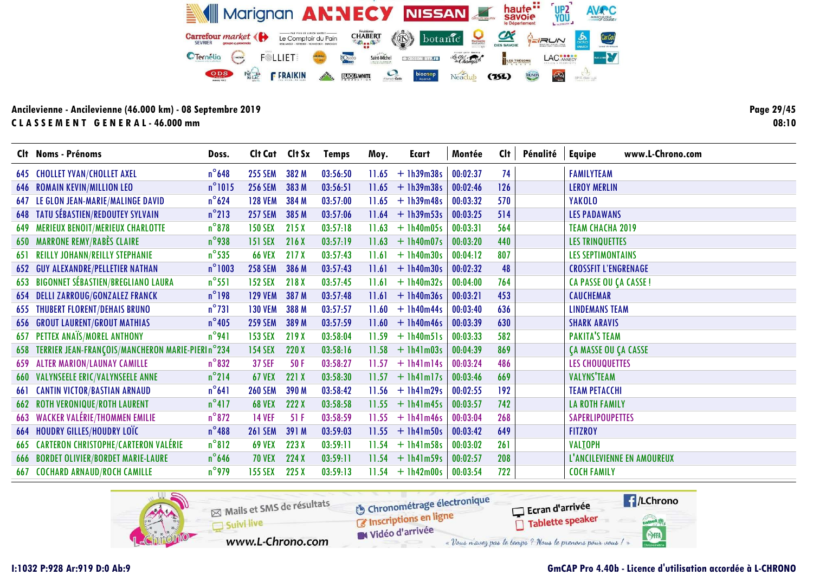|     | Clt Noms - Prénoms                                   | Doss.            | Clt Cat Clt Sx |       | <b>Temps</b> | Moy.  | Ecart        | Montée   | Cl <sub>t</sub> | Pénalité | www.L-Chrono.com<br><b>Equipe</b> |
|-----|------------------------------------------------------|------------------|----------------|-------|--------------|-------|--------------|----------|-----------------|----------|-----------------------------------|
|     | <b>645 CHOLLET YVAN/CHOLLET AXEL</b>                 | $n^{\circ}$ 648  | <b>255 SEM</b> | 382 M | 03:56:50     | 11.65 | $+1h39m38s$  | 00:02:37 | 74              |          | <b>FAMILYTEAM</b>                 |
|     | <b>646 ROMAIN KEVIN/MILLION LEO</b>                  | $n^{\circ}1015$  | <b>256 SEM</b> | 383 M | 03:56:51     | 11.65 | $+1h39m38s$  | 00:02:46 | 126             |          | <b>LEROY MERLIN</b>               |
|     | 647 LE GLON JEAN-MARIE/MALINGE DAVID                 | $n^{\circ}624$   | <b>128 VEM</b> | 384 M | 03:57:00     | 11.65 | $+1h39m48s$  | 00:03:32 | 570             |          | <b>YAKOLO</b>                     |
|     | <b>648 TATU SÉBASTIEN/REDOUTEY SYLVAIN</b>           | $n^{\circ}$ 213  | <b>257 SEM</b> | 385 M | 03:57:06     | 11.64 | $+$ 1h39m53s | 00:03:25 | 514             |          | <b>LES PADAWANS</b>               |
|     | MERIEUX BENOIT/MERIEUX CHARLOTTE                     | $n^{\circ}$ 878  | <b>150 SEX</b> | 215 X | 03:57:18     | 11.63 | $+1h40m05s$  | 00:03:31 | 564             |          | <b>TEAM CHACHA 2019</b>           |
|     | <b>650 MARRONE REMY/RABÈS CLAIRE</b>                 | $n^{\circ}$ 938  | <b>151 SEX</b> | 216 X | 03:57:19     | 11.63 | $+1h40m07s$  | 00:03:20 | 440             |          | <b>LES TRINQUETTES</b>            |
|     | <b>651 REILLY JOHANN/REILLY STEPHANIE</b>            | $n^{\circ}$ 535  | <b>66 VEX</b>  | 217 X | 03:57:43     | 11.61 | $+1h40m30s$  | 00:04:12 | 807             |          | <b>LES SEPTIMONTAINS</b>          |
|     | <b>652 GUY ALEXANDRE/PELLETIER NATHAN</b>            | $n^{\circ}$ 1003 | <b>258 SEM</b> | 386 M | 03:57:43     | 11.61 | $+1h40m30s$  | 00:02:32 | 48              |          | <b>CROSSFIT L'ENGRENAGE</b>       |
|     | 653 BIGONNET SÉBASTIEN/BREGLIANO LAURA               | $n^{\circ}551$   | <b>152 SEX</b> | 218 X | 03:57:45     | 11.61 | $+1h40m32s$  | 00:04:00 | 764             |          | CA PASSE OU ÇA CASSE !            |
|     | 654 DELLI ZARROUG/GONZALEZ FRANCK                    | $n^{\circ}198$   | <b>129 VEM</b> | 387 M | 03:57:48     | 11.61 | $+1h40m36s$  | 00:03:21 | 453             |          | <b>CAUCHEMAR</b>                  |
|     | <b>655 THUBERT FLORENT/DEHAIS BRUNO</b>              | $n^{\circ}731$   | <b>130 VEM</b> | 388 M | 03:57:57     | 11.60 | $+1h40m44s$  | 00:03:40 | 636             |          | <b>LINDEMANS TEAM</b>             |
|     | <b>656 GROUT LAURENT/GROUT MATHIAS</b>               | $n^{\circ}$ 405  | <b>259 SEM</b> | 389 M | 03:57:59     | 11.60 | $+1h40m46s$  | 00:03:39 | 630             |          | <b>SHARK ARAVIS</b>               |
|     | <b>657 PETTEX ANAÏS/MOREL ANTHONY</b>                | $n^{\circ}$ 941  | <b>153 SEX</b> | 219 X | 03:58:04     | 11.59 | $+$ 1h40m51s | 00:03:33 | 582             |          | <b>PAKITA'S TEAM</b>              |
|     | 658 TERRIER JEAN-FRANÇOIS/MANCHERON MARIE-PIERIn°234 |                  | <b>154 SEX</b> | 220 X | 03:58:16     | 11.58 | $+1h41m03s$  | 00:04:39 | 869             |          | <b>ÇA MASSE OU ÇA CASSE</b>       |
|     | <b>659 ALTER MARION/LAUNAY CAMILLE</b>               | $n^{\circ}832$   | <b>37 SEF</b>  | 50 F  | 03:58:27     | 11.57 | $+$ lh4lml4s | 00:03:24 | 486             |          | <b>LES CHOUQUETTES</b>            |
|     | <b>660 VALYNSEELE ERIC/VALYNSEELE ANNE</b>           | $n^{\circ}$ 214  | <b>67 VEX</b>  | 221X  | 03:58:30     | 11.57 | $+$ 1h41m17s | 00:03:46 | 669             |          | <b>VALYNS'TEAM</b>                |
| 661 | <b>CANTIN VICTOR/BASTIAN ARNAUD</b>                  | $n^{\circ}641$   | <b>260 SEM</b> | 390 M | 03:58:42     | 11.56 | $+1h41m29s$  | 00:02:55 | 192             |          | <b>TEAM PETACCHI</b>              |
|     | <b>662 ROTH VERONIQUE/ROTH LAURENT</b>               | $n^{\circ}417$   | <b>68 VEX</b>  | 222 X | 03:58:58     | 11.55 | $+$ 1h41m45s | 00:03:57 | 742             |          | <b>LA ROTH FAMILY</b>             |
|     | <b>663 WACKER VALÉRIE/THOMMEN EMILIE</b>             | $n^{\circ}872$   | <b>14 VEF</b>  | 51F   | 03:58:59     | 11.55 | $+1h41m46s$  | 00:03:04 | 268             |          | <b>SAPERLIPOUPETTES</b>           |
|     | <b>664 HOUDRY GILLES/HOUDRY LOTE</b>                 | $n^{\circ}$ 488  | <b>261 SEM</b> | 391 M | 03:59:03     | 11.55 | $+$ 1h41m50s | 00:03:42 | 649             |          | <b>FITZROY</b>                    |
| 665 | <b>CARTERON CHRISTOPHE/CARTERON VALÉRIE</b>          | $n^{\circ}812$   | <b>69 VEX</b>  | 223X  | 03:59:11     | 11.54 | $+$ 1h41m58s | 00:03:02 | 261             |          | <b>VALIOPH</b>                    |
|     | <b>666 BORDET OLIVIER/BORDET MARIE-LAURE</b>         | $n^{\circ}$ 646  | <b>70 VEX</b>  | 224 X | 03:59:11     | 11.54 | $+$ 1h41m59s | 00:02:57 | 208             |          | L'ANCILEVIENNE EN AMOUREUX        |
|     | <b>667 COCHARD ARNAUD/ROCH CAMILLE</b>               | $n^{\circ}$ 979  | 155 SEX        | 225 X | 03:59:13     | 11.54 | $+1h42m00s$  | 00:03:54 | 722             |          | <b>COCH FAMILY</b>                |



# I:1032 P:928 Ar:919 D:0 Ab:9 GmCAP Pro 4.40b - Licence d'utilisation accordée à L-CHRONO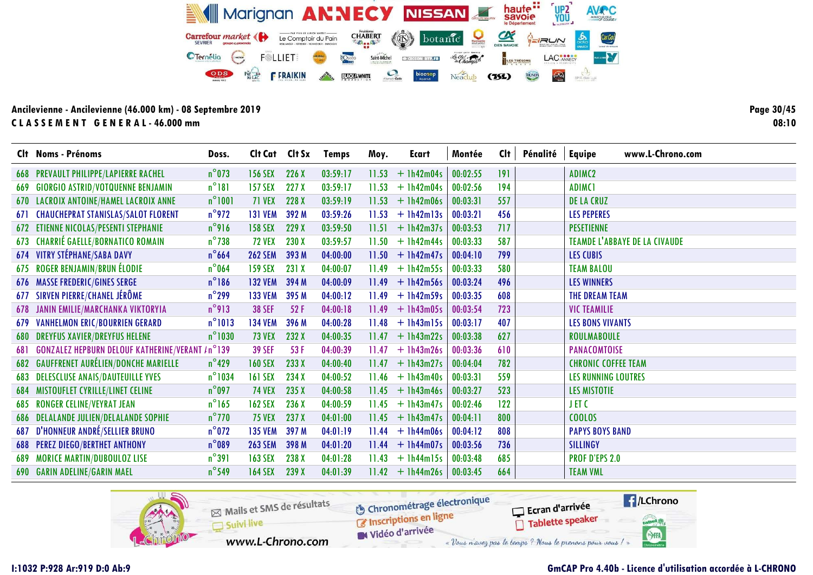Clt Noms - Prénoms Doss. Clt Cat Clt Sx Temps Moy. Ecart Montée Clt Pénalité Equipe www.L-Chrono.com 668 PREVAULT PHILIPPE/LAPIERRE RACHEL n°073 156 SEX 226 X 03:59:17 11.53 + 1h42m04s 00:02:55 191 ADIMC2 669 GIORGIO ASTRID/VOTQUENNE BENJAMIN n°181 157 SEX 227 X 03:59:17 11.53 + 1h42m04s 00:02:56 194 ADIMC1 670 LACROIX ANTOINE/HAMEL LACROIX ANNE n°1001 71 VEX 228 X 03:59:19 11.53 + 1h42m06s 00:03:31 557 DE LA CRUZ<br>671 CHAUCHEPRAT STANISLAS/SALOT FLORENT n°972 131 VEM 392 M 03:59:26 11.53 + 1h42m13s 00:03:21 456 LES PEPERES 671 CHAUCHEPRAT STANISLAS/SALOT FLORENT n°972 131 VEM 392 M 03:59:26 11.53 + 1h42m13s 00:03:21 456 LES PEPERES 672 ETIENNE NICOLAS/PESENTI STEPHANIE n°916 158 SEX 229 X 03:59:50 11.51 + 1h42m37s 00:03:53 717 PESETIENNE 673 CHARRIÉ GAELLE/BORNATICO ROMAIN n°738 72 VEX 230 X 03:59:57 11.50 + 1h42m44s 00:03:33 587 TEAMDE L'ABBAYE DE LA CIVAUDE<br>674 VITRY STÉPHANE/SABA DAVY n°664 262 SEM 393 M 04:00:00 11.50 + 1h42m47s 00:04:10 799 LES CUBIS 674 VITRY STÉPHANE/SABA DAVY n°664 262 SEM 393 M 04:00:00 11.50 + 1h42m47s 00:04:10 799 LES CUBIS 675 ROGER BENJAMIN/BRUN ÉLODIE n°064 159 SEX 231 X 04:00:07 11.49 + 1h42m55s 00:03:33 580 TEAM BALOU 676 MASSE FREDERIC/GINES SERGE n°186 132 VEM 394 M 04:00:09 11.49 + 1h42m56s 00:03:24 496 LES WINNERS 677 SIRVEN PIERRE/CHANEL JÉRÔME n°299 133 VEM 395 M 04:00:12 11.49 + 1h42m59s 00:03:35 608 THE DREAM TEAM 678 JANIN EMILIE/MARCHANKA VIKTORYIA n°913 38 SEF 52 F 04:00:18 11.49 + 1h43m05s 00:03:54 723 VIC TEAMILIE<br>679 VANHELMON ERIC/BOURRIEN GERARD n°1013 134 VEM 396 M 04:00:28 11.48 + 1h43m15s 00:03:17 407 LES BONS VIV 679 VANHELMON ERIC/BOURRIEN GERARD n°1013 134 VEM 396 M 04:00:28 11.48 + 1h43m15s 00:03:17 407 LES BONS VIVANTS 680 DREYFUS XAVIER/DREYFUS HELENE n°1030 73 VEX 232 X 04:00:35 11.47 + 1h43m22s 00:03:38 627 ROULMABOULE 681 GONZALEZ HEPBURN DELOUF KATHERINE/VERANT /n°139 39 SEF 53 F 04:00:39 11.47 + 1h43m26s 00:03:36 610 PANACOMTOISE<br>682 GAUFFRENET AURÉLIEN/DONCHE MARIELLE n°429 160 SEX 233 X 04:00:40 11.47 + 1h43m27s 00:04:04 782 CHRONIC 682 GAUFFRENET AURÉLIEN/DONCHE MARIELLE n°429 160 SEX 233 X 04:00:40 11.47 + 1h43m27s 00:04:04 782 CHRONIC COFFEE TEAM<br>683 DELESCLUSE ANAIS/DAUTEUILLE YVES n°1034 161 SEX 234 X 04:00:52 11.46 + 1h43m40s 00:03:31 559 LES RU 683 DELESCLUSE ANAIS/DAUTEUILLE YVES n°1034 161 SEX 234 X 04:00:52 11.46 + 1h43m40s 00:03:31 559 LES RUNNING LOUTRES<br>684 MISTOUFLET CYRILLE/LINET CELINE n°097 74 VEX 235 X 04:00:58 11.45 + 1h43m46s 00:03:27 523 LES MISTOTI 684 MISTOUFLET CYRILLE/LINET CELINE n°097 74 VEX 235 X 04:00:58 11.45 + 1h43m46s 00:03:27 523 LES MISTOTIE 685 RONGER CELINE/VEYRAT JEAN n°165 162 SEX 236 X 04:00:59 11.45 + 1h43m47s 00:02:46 122 J ET C 686 DELALANDE JULIEN/DELALANDE SOPHIE n°770 75 VEX 237 X 04:01:00 11.45 + 1h43m47s 00:04:11 800 COOLOS<br>687 D'HONNEUR ANDRÉ/SELLIER BRUNO n°072 135 VEM 397 M 04:01:19 11.44 + 1h44m06s 00:04:12 808 PAPYS B 687 D'HONNEUR ANDRÉ/SELLIER BRUNO n°072 135 VEM 397 M 04:01:19 11.44 + 1h44m06s 00:04:12 808 PAPYS BOYS BAND 688 PEREZ DIEGO/BERTHET ANTHONY n°089 263 SEM 398 M 04:01:20 11.44 + 1h44m07s 00:03:56 736 SILLINGY 689 MORICE MARTIN/DUBOULOZ LISE n°391 163 SEX 238 X 04:01:28 11.43 + 1h44m15s 00:03:48 685 PROF D'EPS 2.0 690 GARIN ADELINE/GARIN MAEL n°549 164 SEX 239 X 04:01:39 11.42 + 1h44m26s 00:03:45 664 TEAM VML



Page 30/45 08:10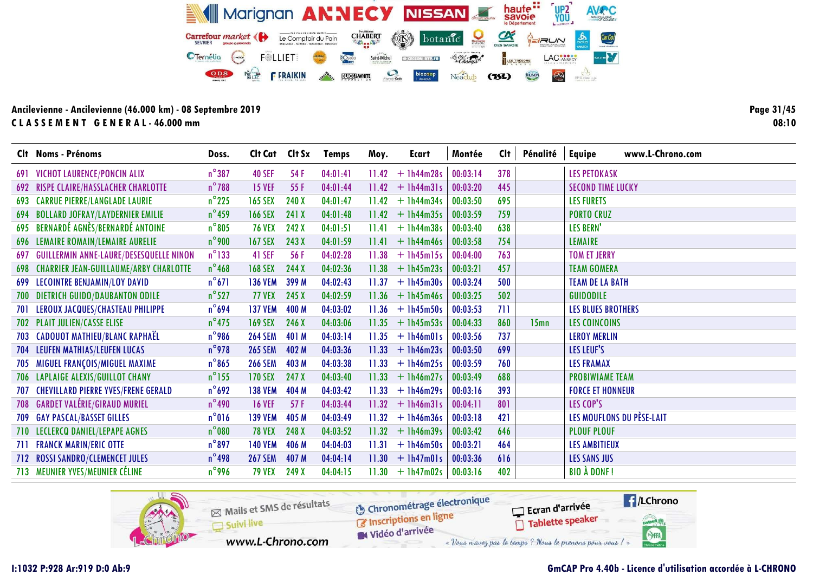## Ancilevienne - Ancilevienne (46.000 km) - 08 Septembre 2019 CLASSEMENT GENERAL-46.000 mm

| Clt Noms - Prénoms                           | Doss.           | Clt Cat Clt Sx |       | <b>Temps</b> | Moy.  | Ecart              | Montée   | Cl <sub>t</sub> | Pénalité         | <b>Equipe</b>             | www.L-Chrono.com |
|----------------------------------------------|-----------------|----------------|-------|--------------|-------|--------------------|----------|-----------------|------------------|---------------------------|------------------|
| 691 VICHOT LAURENCE/PONCIN ALIX              | $n^{\circ}387$  | <b>40 SEF</b>  | 54 F  | 04:01:41     | 11.42 | $+$ 1h44m28s       | 00:03:14 | 378             |                  | <b>LES PETOKASK</b>       |                  |
| <b>692 RISPE CLAIRE/HASSLACHER CHARLOTTE</b> | $n^{\circ}$ 788 | <b>15 VEF</b>  | 55 F  | 04:01:44     | 11.42 | $+$ 1h44m31s       | 00:03:20 | 445             |                  | <b>SECOND TIME LUCKY</b>  |                  |
| <b>693 CARRUE PIERRE/LANGLADE LAURIE</b>     | $n^{\circ}$ 225 | <b>165 SEX</b> | 240 X | 04:01:47     | 11.42 | $+1h44m34s$        | 00:03:50 | 695             |                  | <b>LES FURETS</b>         |                  |
| 694 BOLLARD JOFRAY/LAYDERNIER EMILIE         | $n^{\circ}$ 459 | <b>166 SEX</b> | 241 X | 04:01:48     |       | $11.42 + 1h44m35s$ | 00:03:59 | 759             |                  | <b>PORTO CRUZ</b>         |                  |
| 695 BERNARDÉ AGNÈS/BERNARDÉ ANTOINE          | $n^{\circ}805$  | <b>76 VEX</b>  | 242 X | 04:01:51     | 11.41 | $+$ 1h44m38s       | 00:03:40 | 638             |                  | LES BERN'                 |                  |
| 696 LEMAIRE ROMAIN/LEMAIRE AURELIE           | $n^{\circ}$ 900 | <b>167 SEX</b> | 243X  | 04:01:59     | 11.41 | $+$ 1h44m46s       | 00:03:58 | 754             |                  | <b>LEMAIRE</b>            |                  |
| 697 GUILLERMIN ANNE-LAURE/DESESQUELLE NINON  | $n^{\circ}$ 133 | 41 SEF         | 56 F  | 04:02:28     | 11.38 | $+$ 1h45m15s       | 00:04:00 | 763             |                  | <b>TOM ET JERRY</b>       |                  |
| 698 CHARRIER JEAN-GUILLAUME/ARBY CHARLOTTE   | $n^{\circ}$ 468 | <b>168 SEX</b> | 244 X | 04:02:36     | 11.38 | $+1h45m23s$        | 00:03:21 | 457             |                  | <b>TEAM GOMERA</b>        |                  |
| 699 LECOINTRE BENJAMIN/LOY DAVID             | $n^{\circ}671$  | <b>136 VEM</b> | 399 M | 04:02:43     | 11.37 | $+1h45m30s$        | 00:03:24 | 500             |                  | <b>TEAM DE LA BATH</b>    |                  |
| 700 DIETRICH GUIDO/DAUBANTON ODILE           | $n^{\circ}$ 527 | <b>77 VEX</b>  | 245 X | 04:02:59     | 11.36 | $+1h45m46s$        | 00:03:25 | 502             |                  | <b>GUIDODILE</b>          |                  |
| <b>701 LEROUX JACQUES/CHASTEAU PHILIPPE</b>  | $n^{\circ}694$  | <b>137 VEM</b> | 400 M | 04:03:02     | 11.36 | $+1h45m50s$        | 00:03:53 | 711             |                  | <b>LES BLUES BROTHERS</b> |                  |
| <b>702 PLAIT JULIEN/CASSE ELISE</b>          | $n^{\circ}$ 475 | <b>169 SEX</b> | 246 X | 04:03:06     | 11.35 | $+$ 1h45m53s       | 00:04:33 | 860             | 15 <sub>mn</sub> | <b>LES COINCOINS</b>      |                  |
| <b>703 CADOUOT MATHIEU/BLANC RAPHAËL</b>     | $n^{\circ}$ 986 | <b>264 SEM</b> | 401 M | 04:03:14     | 11.35 | $+$ 1h46m01s       | 00:03:56 | 737             |                  | <b>LEROY MERLIN</b>       |                  |
| <b>704 LEUFEN MATHIAS/LEUFEN LUCAS</b>       | $n^{\circ}$ 978 | <b>265 SEM</b> | 402 M | 04:03:36     | 11.33 | $+1h46m23s$        | 00:03:50 | 699             |                  | LES LEUF'S                |                  |
| 705 MIGUEL FRANÇOIS/MIGUEL MAXIME            | $n^{\circ}865$  | <b>266 SEM</b> | 403 M | 04:03:38     | 11.33 | $+1h46m25s$        | 00:03:59 | 760             |                  | <b>LES FRAMAX</b>         |                  |
| 706 LAPLAIGE ALEXIS/GUILLOT CHANY            | $n^{\circ}$ 155 | <b>170 SEX</b> | 247 X | 04:03:40     | 11.33 | $+$ 1h46m27s       | 00:03:49 | 688             |                  | <b>PROBIWIAME TEAM</b>    |                  |
| 707 CHEVILLARD PIERRE YVES/FRENE GERALD      | $n^{\circ}692$  | <b>138 VEM</b> | 404 M | 04:03:42     | 11.33 | $+1h46m29s$        | 00:03:16 | 393             |                  | <b>FORCE ET HONNEUR</b>   |                  |
| 708 GARDET VALÉRIE/GIRAUD MURIEL             | $n^{\circ}$ 490 | <b>16 VEF</b>  | 57 F  | 04:03:44     | 11.32 | $+$ 1h46m31s       | 00:04:11 | 801             |                  | LES COP'S                 |                  |
| <b>709 GAY PASCAL/BASSET GILLES</b>          | $n^{\circ}016$  | <b>139 VEM</b> | 405 M | 04:03:49     | 11.32 | $+1h46m36s$        | 00:03:18 | 421             |                  | LES MOUFLONS DU PÈSE-LAIT |                  |
| 710 LECLERCQ DANIEL/LEPAPE AGNES             | $n^{\circ}$ 080 | <b>78 VEX</b>  | 248 X | 04:03:52     | 11.32 | $+1h46m39s$        | 00:03:42 | 646             |                  | <b>PLOUF PLOUF</b>        |                  |
| <b>711 FRANCK MARIN/ERIC OTTE</b>            | $n^{\circ}897$  | <b>140 VEM</b> | 406 M | 04:04:03     | 11.31 | $+1h46m50s$        | 00:03:21 | 464             |                  | <b>LES AMBITIEUX</b>      |                  |
| 712 ROSSI SANDRO/CLEMENCET JULES             | $n^{\circ}$ 498 | <b>267 SEM</b> | 407 M | 04:04:14     | 11.30 | $+$ 1h47m01s       | 00:03:36 | 616             |                  | LES SANS JUS              |                  |
| 713 MEUNIER YVES/MEUNIER CÉLINE              | $n^{\circ}$ 996 | <b>79 VEX</b>  | 249 X | 04:04:15     | 11.30 | $+1h47m02s$        | 00:03:16 | 402             |                  | <b>BIO À DONF!</b>        |                  |



1:1032 P:928 Ar:919 D:0 Ab:9

#### **GmCAP Pro 4.40b - Licence d'utilisation accordée à L-CHRONO**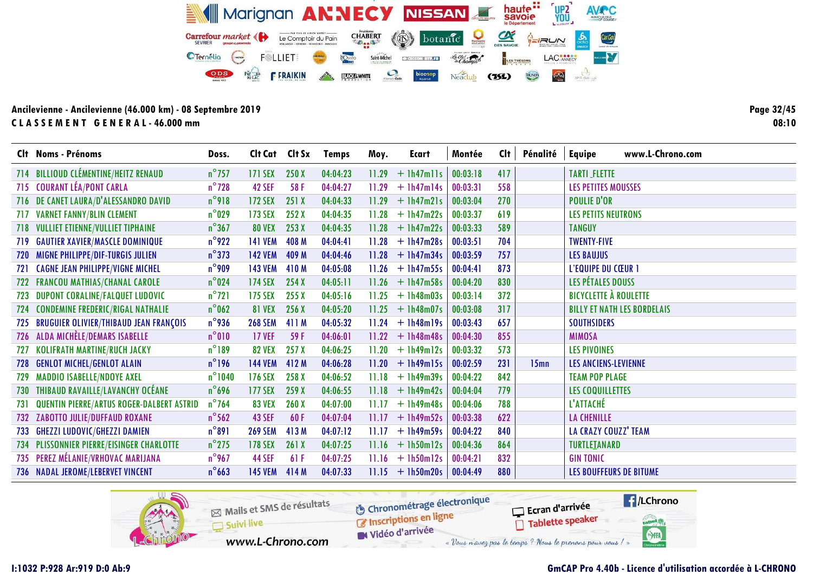| Clt Noms - Prénoms                            | Doss.            | Cit Cat Cit Sx |       | Temps    | Moy.  | <b>Ecart</b>                  | Montée   | Cl <sub>t</sub> | Pénalité         | www.L-Chrono.com<br><b>Equipe</b>  |
|-----------------------------------------------|------------------|----------------|-------|----------|-------|-------------------------------|----------|-----------------|------------------|------------------------------------|
| 714 BILLIOUD CLÉMENTINE/HEITZ RENAUD          | $n^{\circ}$ 757  | 171 SEX        | 250 X | 04:04:23 |       | $11.29 + 1h47m11s$            | 00:03:18 | 417             |                  | <b>TARTI FLETTE</b>                |
| 715 COURANT LÉA/PONT CARLA                    | $n^{\circ}$ 728  | 42 SEF         | 58 F  | 04:04:27 | 11.29 | $+$ 1h47m14s                  | 00:03:31 | 558             |                  | <b>LES PETITES MOUSSES</b>         |
| 716 DE CANET LAURA/D'ALESSANDRO DAVID         | $n^{\circ}$ 918  | <b>172 SEX</b> | 251X  | 04:04:33 |       | $11.29 + 1h47m21s$            | 00:03:04 | 270             |                  | <b>POULIE D'OR</b>                 |
| 717 VARNET FANNY/BLIN CLEMENT                 | $n^{\circ}$ 029  | 173 SEX        | 252 X | 04:04:35 | 11.28 | $+1h47m22s$                   | 00:03:37 | 619             |                  | <b>LES PETITS NEUTRONS</b>         |
| 718 VULLIET ETIENNE/VULLIET TIPHAINE          | $n^{\circ}367$   | <b>80 VEX</b>  | 253 X | 04:04:35 |       | $11.28 + 1h47m22s$            | 00:03:33 | 589             |                  | <b>TANGUY</b>                      |
| <b>719 GAUTIER XAVIER/MASCLE DOMINIQUE</b>    | $n^{\circ}$ 922  | <b>141 VEM</b> | 408 M | 04:04:41 | 11.28 | $+1h47m28s$                   | 00:03:51 | 704             |                  | <b>TWENTY-FIVE</b>                 |
| 720 MIGNE PHILIPPE/DIF-TURGIS JULIEN          | $n^{\circ}373$   | <b>142 VEM</b> | 409 M | 04:04:46 |       | $11.28 + 1h47m34s$            | 00:03:59 | 757             |                  | <b>LES BAUJUS</b>                  |
| 721 CAGNE JEAN PHILIPPE/VIGNE MICHEL          | $n^{\circ}$ 909  | <b>143 VEM</b> | 410 M | 04:05:08 |       | $11.26 + 1h47m55s$            | 00:04:41 | 873             |                  | L'EQUIPE DU CŒUR 1                 |
| 722 FRANCOU MATHIAS/CHANAL CAROLE             | $n^{\circ}$ 024  | <b>174 SEX</b> | 254X  | 04:05:11 |       | $11.26 + 1h47m58s$            | 00:04:20 | 830             |                  | LES PÉTALES DOUSS                  |
| 723 DUPONT CORALINE/FALQUET LUDOVIC           | $n^{\circ}$ 721  | <b>175 SEX</b> | 255X  | 04:05:16 | 11.25 | $+1h48m03s$                   | 00:03:14 | 372             |                  | <b>BICYCLETTE À ROULETTE</b>       |
| 724 CONDEMINE FREDERIC/RIGAL NATHALIE         | $n^{\circ}$ 062  | <b>81 VEX</b>  | 256 X | 04:05:20 |       | $11.25 + 1h48m07s$            | 00:03:08 | 317             |                  | <b>BILLY ET NATH LES BORDELAIS</b> |
| 725 BRUGUIER OLIVIER/THIBAUD JEAN FRANÇOIS    | $n^{\circ}$ 936  | <b>268 SEM</b> | 411 M | 04:05:32 | 11.24 | $+$ 1h48m19s                  | 00:03:43 | 657             |                  | <b>SOUTHSIDERS</b>                 |
| 726 ALDA MICHÈLE/DEMARS ISABELLE              | $n^{\circ}010$   | <b>17 VEF</b>  | 59F   | 04:06:01 |       | $11.22 + 1h48m48s$            | 00:04:30 | 855             |                  | <b>MIMOSA</b>                      |
| 727 KOLIFRATH MARTINE/RUCH JACKY              | $n^{\circ}189$   | <b>82 VEX</b>  | 257X  | 04:06:25 | 11.20 | $+1h49m12s$                   | 00:03:32 | 573             |                  | <b>LES PIVOINES</b>                |
| 728 GENLOT MICHEL/GENLOT ALAIN                | $n^{\circ}$ 196  | <b>144 VEM</b> | 412 M | 04:06:28 |       | $11.20 + 1h49m15s$            | 00:02:59 | 231             | 15 <sub>mn</sub> | <b>LES ANCIENS-LEVIENNE</b>        |
| 729 MADDIO ISABELLE/NDOYE AXEL                | $n^{\circ}$ 1040 | <b>176 SEX</b> | 258 X | 04:06:52 | 11.18 | $+1h49m39s$                   | 00:04:22 | 842             |                  | <b>TEAM POP PLAGE</b>              |
| 730 THIBAUD RAVAILLE/LAVANCHY OCÉANE          | $n^{\circ}$ 696  | <b>177 SEX</b> | 259 X | 04:06:55 |       | $11.18 + 1h49m42s$            | 00:04:04 | 779             |                  | <b>LES COQUILLETTES</b>            |
| 731 QUENTIN PIERRE/ARTUS ROGER-DALBERT ASTRID | $n^{\circ}$ 764  | <b>83 VEX</b>  | 260X  | 04:07:00 | 11.17 | $+1h49m48s$                   | 00:04:06 | 788             |                  | L'ATTACHÉ                          |
| 732 ZABOTTO JULIE/DUFFAUD ROXANE              | $n^{\circ}$ 562  | <b>43 SEF</b>  | 60F   | 04:07:04 |       | $11.17 + 1h49m52s$            | 00:03:38 | 622             |                  | <b>LA CHENILLE</b>                 |
| 733 GHEZZI LUDOVIC/GHEZZI DAMIEN              | $n^{\circ}891$   | <b>269 SEM</b> | 413M  | 04:07:12 | 11.17 | $+$ 1h49m59s                  | 00:04:22 | 840             |                  | <b>LA CRAZY COUZZ' TEAM</b>        |
| 734 PLISSONNIER PIERRE/EISINGER CHARLOTTE     | $n^{\circ}$ 275  | <b>178 SEX</b> | 261X  | 04:07:25 |       | $11.16 + 1h50m12s$            | 00:04:36 | 864             |                  | TURTLEIANARD                       |
| 735 PEREZ MÉLANIE/VRHOVAC MARIJANA            | $n^{\circ}$ 967  | <b>44 SEF</b>  | 61 F  | 04:07:25 |       | $11.16 + 1h50m12s$            | 00:04:21 | 832             |                  | <b>GIN TONIC</b>                   |
| 736 NADAL JEROME/LEBERVET VINCENT             | $n^{\circ}$ 663  | <b>145 VEM</b> | 414 M | 04:07:33 |       | $11.15 + 1h50m20s   00:04:49$ |          | 880             |                  | LES BOUFFEURS DE BITUME            |
|                                               |                  |                |       |          |       |                               |          |                 |                  |                                    |



Page 32/45 08:10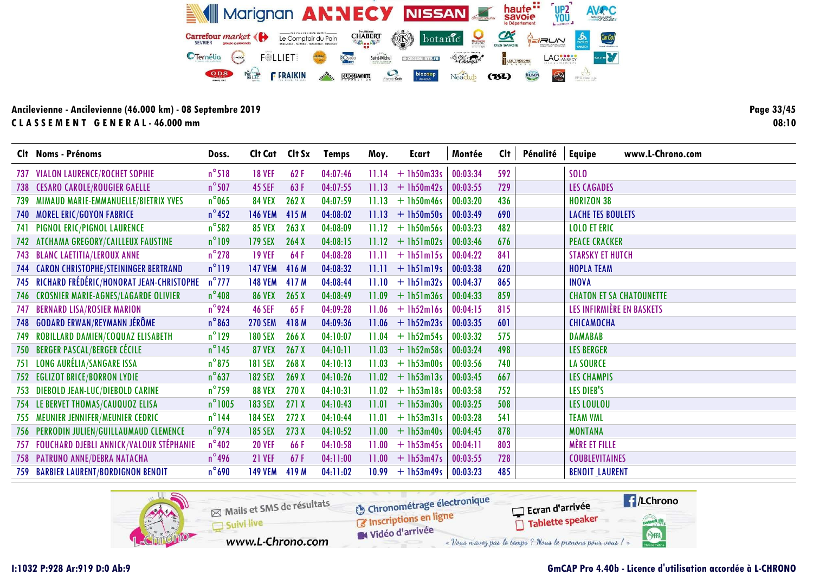|      | Clt Noms - Prénoms                           | Doss.            | Clt Cat Clt Sx |       | Temps    | Moy.  | Ecart          | Montée   | Clt | Pénalité | www.L-Chrono.com<br><b>Equipe</b> |
|------|----------------------------------------------|------------------|----------------|-------|----------|-------|----------------|----------|-----|----------|-----------------------------------|
|      | 737 VIALON LAURENCE/ROCHET SOPHIE            | $n^{\circ}518$   | <b>18 VEF</b>  | 62F   | 04:07:46 | 11.14 | $+1h50m33s$    | 00:03:34 | 592 |          | <b>SOLO</b>                       |
| 738  | <b>CESARO CAROLE/ROUGIER GAELLE</b>          | $n^{\circ}$ 507  | <b>45 SEF</b>  | 63F   | 04:07:55 | 11.13 | $+$ 1h50m42s   | 00:03:55 | 729 |          | <b>LES CAGADES</b>                |
| 739. | MIMAUD MARIE-EMMANUELLE/BIETRIX YVES         | $n^{\circ}$ 065  | <b>84 VEX</b>  | 262X  | 04:07:59 | 11.13 | $+$ 1h50m46s   | 00:03:20 | 436 |          | <b>HORIZON 38</b>                 |
|      | 740 MOREL ERIC/GOYON FABRICE                 | $n^{\circ}$ 452  | <b>146 VEM</b> | 415 M | 04:08:02 | 11.13 | $+1h50m50s$    | 00:03:49 | 690 |          | <b>LACHE TES BOULETS</b>          |
| 741  | PIGNOL ERIC/PIGNOL LAURENCE                  | $n^{\circ}$ 582  | <b>85 VEX</b>  | 263X  | 04:08:09 | 11.12 | $+1h50m56s$    | 00:03:23 | 482 |          | <b>LOLO ET ERIC</b>               |
|      | 742 ATCHAMA GREGORY/CAILLEUX FAUSTINE        | $n^{\circ}109$   | <b>179 SEX</b> | 264X  | 04:08:15 | 11.12 | $+$ 1h51m02s   | 00:03:46 | 676 |          | <b>PEACE CRACKER</b>              |
|      | 743 BLANC LAETITIA/LEROUX ANNE               | $n^{\circ}$ 278  | <b>19 VEF</b>  | 64F   | 04:08:28 | 11.11 | $+$ $1h51m15s$ | 00:04:22 | 841 |          | <b>STARSKY ET HUTCH</b>           |
|      | 744 CARON CHRISTOPHE/STEININGER BERTRAND     | $n^{\circ}119$   | <b>147 VEM</b> | 416 M | 04:08:32 | 11.11 | $+1h51m19s$    | 00:03:38 | 620 |          | <b>HOPLA TEAM</b>                 |
|      | 745 RICHARD FRÉDÉRIC/HONORAT JEAN-CHRISTOPHE | $n^{\circ}$ 777  | <b>148 VEM</b> | 417 M | 04:08:44 | 11.10 | $+$ 1h51m32s   | 00:04:37 | 865 |          | <b>INOVA</b>                      |
|      | 746 CROSNIER MARIE-AGNES/LAGARDE OLIVIER     | $n^{\circ}$ 408  | <b>86 VEX</b>  | 265X  | 04:08:49 | 11.09 | $+1h51m36s$    | 00:04:33 | 859 |          | <b>CHATON ET SA CHATOUNETTE</b>   |
| 747  | <b>BERNARD LISA/ROSIER MARION</b>            | $n^{\circ}$ 924  | <b>46 SEF</b>  | 65F   | 04:09:28 | 11.06 | $+$ 1h52m16s   | 00:04:15 | 815 |          | LES INFIRMIÈRE EN BASKETS         |
| 748  | <b>GODARD ERWAN/REYMANN JÉRÔME</b>           | $n^{\circ}863$   | <b>270 SEM</b> | 418M  | 04:09:36 | 11.06 | $+$ 1h52m23s   | 00:03:35 | 601 |          | CHICAMOCHA                        |
| 749  | ROBILLARD DAMIEN/COQUAZ ELISABETH            | $n^{\circ}$ 129  | <b>180 SEX</b> | 266X  | 04:10:07 | 11.04 | $+$ 1h52m54s   | 00:03:32 | 575 |          | <b>DAMABAB</b>                    |
|      | 750 BERGER PASCAL/BERGER CÉCILE              | $n^{\circ}$ 145  | <b>87 VEX</b>  | 267X  | 04:10:11 | 11.03 | $+$ 1h52m58s   | 00:03:24 | 498 |          | <b>LES BERGER</b>                 |
|      | 751 LONG AURÉLIA/SANGARE ISSA                | $n^{\circ}$ 875  | <b>181 SEX</b> | 268 X | 04:10:13 | 11.03 | $+$ 1h53m00s   | 00:03:56 | 740 |          | <b>LA SOURCE</b>                  |
| 752  | <b>EGLIZOT BRICE/BORRON LYDIE</b>            | $n^{\circ}$ 637  | <b>182 SEX</b> | 269 X | 04:10:26 | 11.02 | $+$ 1h53m13s   | 00:03:45 | 667 |          | <b>LES CHAMPIS</b>                |
|      | 753 DIEBOLD JEAN-LUC/DIEBOLD CARINE          | $n^{\circ}$ 759  | <b>88 VEX</b>  | 270 X | 04:10:31 | 11.02 | $+$ 1h53m18s   | 00:03:58 | 752 |          | LES DIEB'S                        |
|      | 754 LE BERVET THOMAS/CAUQUOZ ELISA           | $n^{\circ}$ 1005 | <b>183 SEX</b> | 271X  | 04:10:43 | 11.01 | $+1h53m30s$    | 00:03:25 | 508 |          | <b>LES LOULOU</b>                 |
|      | 755 MEUNIER JENNIFER/MEUNIER CEDRIC          | $n^{\circ}$ 144  | <b>184 SEX</b> | 272 X | 04:10:44 | 11.01 | $+$ 1h53m31s   | 00:03:28 | 541 |          | <b>TEAM VML</b>                   |
|      | 756 PERRODIN JULIEN/GUILLAUMAUD CLEMENCE     | $n^{\circ}$ 974  | <b>185 SEX</b> | 273 X | 04:10:52 | 11.00 | $+$ 1h53m40s   | 00:04:45 | 878 |          | <b>MONTANA</b>                    |
|      | 757 FOUCHARD DJEBLI ANNICK/VALOUR STÉPHANIE  | $n^{\circ}$ 402  | <b>20 VEF</b>  | 66 F  | 04:10:58 | 11.00 | $+$ 1h53m45s   | 00:04:11 | 803 |          | <b>MÈRE ET FILLE</b>              |
|      | 758 PATRUNO ANNE/DEBRA NATACHA               | $n^{\circ}$ 496  | <b>21 VEF</b>  | 67F   | 04:11:00 | 11.00 | $+$ 1h53m47s   | 00:03:55 | 728 |          | <b>COUBLEVITAINES</b>             |
|      | 759 BARBIER LAURENT/BORDIGNON BENOIT         | $n^{\circ}$ 690  | <b>149 VEM</b> | 419 M | 04:11:02 | 10.99 | $+$ 1h53m49s   | 00:03:23 | 485 |          | <b>BENOIT_LAURENT</b>             |



# **GmCAP Pro 4.40b - Licence d'utilisation accordée à L-CHRONO**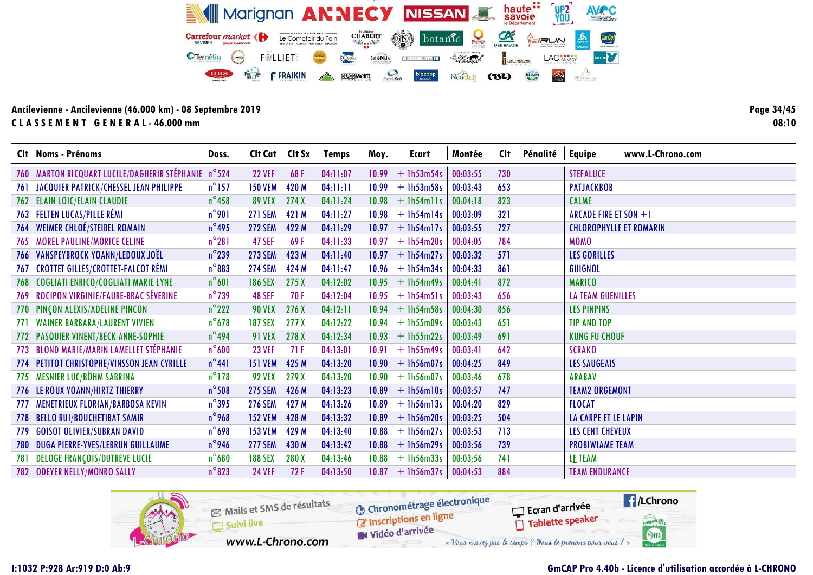Clt Cat Clt Sx Clt Pénalité Equipe www.L-Chrono.com Clt Noms - Prénoms Doss. **Temps** Moy. **Ecart** Montée 760 MARTON RICQUART LUCILE/DAGHERIR STÉPHANIE n°524 730 **22 VEF** 68 F  $04:11:07$ 10.99  $+$  1h53m54s  $00:03:55$ **STEFALUCE** 761 JACQUIER PATRICK/CHESSEL JEAN PHILIPPE  $n^{\circ}$ 157 **150 VEM**  $00:03:43$ 653 **PATJACKBOB** 420 M  $04:11:11$ 10.99  $+1h53m58s$  $n^{\circ}$ 458 89 VEX 274 X  $10.98 + 1h54m11s$  $00:04:18$ 823 **CALME 762 ELAIN LOIC/ELAIN CLAUDIE**  $04:11:24$ 763 FELTEN LUCAS/PILLE RÉMI  $n^{\circ}901$  $+1h54m14s$  $321$ **271 SEM** 421 M  $04:11:27$ 10.98  $00:03:09$ ARCADE FIRE ET SON  $+1$ 764 WEIMER CHLOÉ/STEIBEL ROMAIN  $n^{\circ}$ 495 **272 SEM** 422 M  $04:11:29$  $10.97 + 1h54m17s$  $00:03:55$ 727 **CHLOROPHYLLE ET ROMARIN**  $n^{\circ}281$ 765 MOREL PAULINE/MORICE CELINE **47 SEF** 69F  $04:11:33$ 10.97  $+1h54m20s$  $00:04:05$ 784 **MOMO**  $n^{\circ}$ 239 766 VANSPEYBROCK YOANN/LEDOUX JOËL 571 273 SEM 423 M  $10.97 + 1h54m27s$  $00:03:32$ **LES GORILLES**  $04:11:40$ 767 CROTTET GILLES/CROTTET-FALCOT RÉMI  $n^{\circ}883$ 861 **274 SEM** 424 M  $04:11:47$  $10.96 + 1h54m34s$  $00:04:33$ GUIGNOL 768 COGLIATI ENRICO/COGLIATI MARIE LYNE  $n^{\circ}601$ **186 SEX**  $275X$  $04:12:02$  $10.95 + 1h54m49s$  $00:04:41$ 872 **MARICO**  $n^{\circ}$ 739 769 ROCIPON VIRGINIE/FAURE-BRAC SÉVERINE **48 SEF**  $+$  1h54m51s 656 **LA TEAM GUENILLES** 70 F  $04:12:04$  $10.95$  $00:03:43$  $n^{\circ}$ 222 770 PINCON ALEXIS/ADELINE PINCON 90 VEX 276 X 856  $04:12:11$  $10.94 + 1h54m58s$  $00:04:30$ **LES PINPINS**  $n^{\circ}$ 678 651 771 WAINER BARBARA/LAURENT VIVIEN **187 SEX**  $277X$  $04:12:22$  $10.94 + 1h55m09s$  $00:03:43$ **TIP AND TOP**  $n^{\circ}$ 494 278 X 772 PASQUIER VINENT/BECK ANNE-SOPHIE **91 VEX**  $04:12:34$  $10.93 + 1h55m22s$  $00:03:49$ 691 **KUNG FU CHOUF** 773 BLOND MARIE/MARIN LAMELLET STÉPHANIE  $n^{\circ}600$ 642 **SCRAKO 23 VEF**  $71F$  $04:13:01$ 10.91  $+1h55m49s$  $00:03:41$  $n^{\circ}441$ 774 PETITOT CHRISTOPHE/VINSSON JEAN CYRILLE 849 151 VEM 425 M  $04:13:20$  $10.90 + 1h56m07s$  $00:04:25$ **LES SAUGEAIS** 775 MESNIER LUC/BÖHM SABRINA  $n^{\circ}$ 178 678 **92 VEX** 279 X  $04:13:20$ 10.90  $+1h56m07s$  $00:03:46$ **ARABAV**  $n^{\circ}$ 508 747 776 LE ROUX YOANN/HIRTZ THIERRY 275 SEM 426 M  $04:13:23$ 10.89  $+$  1h56m10s  $00:03:57$ **TEAM2 ORGEMONT**  $n^{\circ}$ 395 829 **FLOCAT** 777 **MENETRIEUX FLORIAN/BARBOSA KEVIN 276 SEM** 427 M  $04:13:26$ 10.89  $+$  1h56m13s  $00:04:20$  $n^{\circ}$ 968 778 BELLO RUI/BOUCHETIBAT SAMIR **152 VEM** 428 M  $04:13:32$ 10.89  $+1h56m20s$  $00:03:25$ 504 **LA CARPE ET LE LAPIN**  $713$ **GOISOT OLIVIER/SUBRAN DAVID**  $n^{\circ}$ 698 **153 VEM** 429 M  $04:13:40$ 10.88  $+1h56m27s$  $00:03:53$ **LES CENT CHEVEUX** 779  $n^{\circ}$ 946 780 DUGA PIERRE-YVES/LEBRUN GUILLAUME **277 SEM** 430 M  $04:13:42$  $10.88 + 1h56m29s$  $00:03:56$ 739 **PROBIWIAME TEAM**  $n^{\circ}680$  $741$ **DELOGE FRANCOIS/DUTREVE LUCIE 188 SEX** 280X  $04:13:46$ 10.88  $+1h56m33s$  $00:03:56$ **LF TEAM** 781 782 ODEYER NELLY/MONRO SALLY  $n^{\circ}823$  $10.87 + 1h56m37s$  00:04:53 **24 VEF**  $72F$  $04:13:50$ 884 **TEAM ENDURANCE** 

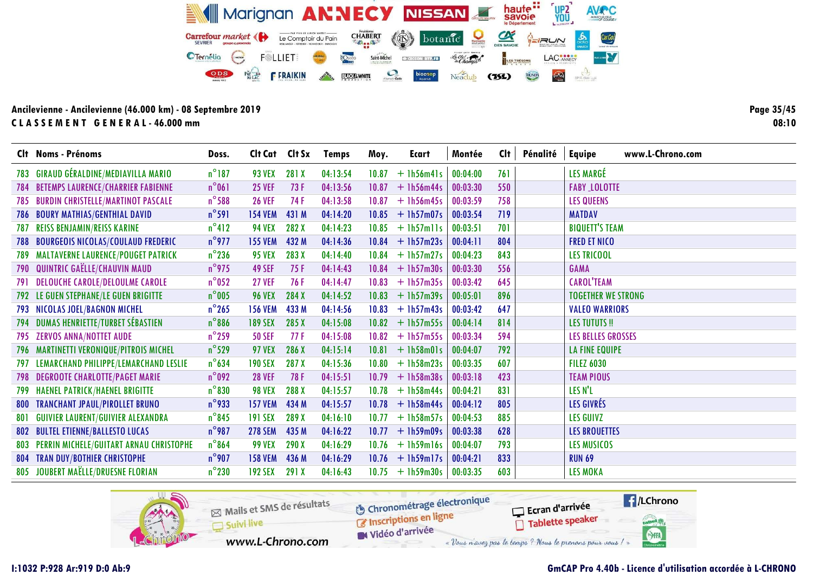|     | Clt Noms - Prénoms                        | Doss.           | Clt Cat Clt Sx |       | <b>Temps</b> | Moy.  | Ecart        | Montée   | Clt | Pénalité | <b>Equipe</b><br>www.L-Chrono.com |
|-----|-------------------------------------------|-----------------|----------------|-------|--------------|-------|--------------|----------|-----|----------|-----------------------------------|
| 783 | <b>GIRAUD GÉRALDINE/MEDIAVILLA MARIO</b>  | $n^{\circ}187$  | <b>93 VEX</b>  | 281 X | 04:13:54     | 10.87 | $+$ 1h56m41s | 00:04:00 | 761 |          | LES MARGÉ                         |
| 784 | <b>BETEMPS LAURENCE/CHARRIER FABIENNE</b> | $n^{\circ}061$  | <b>25 VEF</b>  | 73F   | 04:13:56     | 10.87 | $+1h56m44s$  | 00:03:30 | 550 |          | <b>FABY LOLOTTE</b>               |
| 785 | <b>BURDIN CHRISTELLE/MARTINOT PASCALE</b> | $n^{\circ}$ 588 | <b>26 VEF</b>  | 74 F  | 04:13:58     | 10.87 | $+1h56m45s$  | 00:03:59 | 758 |          | <b>LES QUEENS</b>                 |
| 786 | <b>BOURY MATHIAS/GENTHIAL DAVID</b>       | $n^{\circ}591$  | <b>154 VEM</b> | 431 M | 04:14:20     | 10.85 | $+$ 1h57m07s | 00:03:54 | 719 |          | <b>MATDAV</b>                     |
| 787 | <b>REISS BENJAMIN/REISS KARINE</b>        | $n^{\circ}412$  | <b>94 VEX</b>  | 282 X | 04:14:23     | 10.85 | $+$ lh57mlls | 00:03:51 | 701 |          | <b>BIQUETT'S TEAM</b>             |
| 788 | <b>BOURGEOIS NICOLAS/COULAUD FREDERIC</b> | $n^{\circ}$ 977 | <b>155 VEM</b> | 432 M | 04:14:36     | 10.84 | $+$ 1h57m23s | 00:04:11 | 804 |          | <b>FRED ET NICO</b>               |
| 789 | <b>MALTAVERNE LAURENCE/POUGET PATRICK</b> | $n^{\circ}$ 236 | <b>95 VEX</b>  | 283 X | 04:14:40     | 10.84 | $+$ 1h57m27s | 00:04:23 | 843 |          | <b>LES TRICOOL</b>                |
| 790 | <b>QUINTRIC GAËLLE/CHAUVIN MAUD</b>       | $n^{\circ}$ 975 | <b>49 SEF</b>  | 75 F  | 04:14:43     | 10.84 | $+$ 1h57m30s | 00:03:30 | 556 |          | <b>GAMA</b>                       |
| 791 | <b>DELOUCHE CAROLE/DELOULME CAROLE</b>    | $n^{\circ}$ 052 | <b>27 VEF</b>  | 76 F  | 04:14:47     | 10.83 | $+1h57m35s$  | 00:03:42 | 645 |          | <b>CAROL'TEAM</b>                 |
|     | 792 LE GUEN STEPHANE/LE GUEN BRIGITTE     | $n^{\circ}$ 005 | <b>96 VEX</b>  | 284 X | 04:14:52     | 10.83 | $+$ 1h57m39s | 00:05:01 | 896 |          | <b>TOGETHER WE STRONG</b>         |
|     | 793 NICOLAS JOEL/BAGNON MICHEL            | $n^{\circ}265$  | <b>156 VEM</b> | 433 M | 04:14:56     | 10.83 | $+$ 1h57m43s | 00:03:42 | 647 |          | <b>VALEO WARRIORS</b>             |
|     | 794 DUMAS HENRIETTE/TURBET SÉBASTIEN      | $n^{\circ}$ 886 | <b>189 SEX</b> | 285 X | 04:15:08     | 10.82 | $+$ 1h57m55s | 00:04:14 | 814 |          | <b>LES TUTUTS!!</b>               |
|     | 795 ZERVOS ANNA/NOTTET AUDE               | $n^{\circ}$ 259 | <b>50 SEF</b>  | 77 F  | 04:15:08     | 10.82 | $+$ 1h57m55s | 00:03:34 | 594 |          | <b>LES BELLES GROSSES</b>         |
|     | 796 MARTINETTI VERONIQUE/PITROIS MICHEL   | $n^{\circ}$ 529 | <b>97 VEX</b>  | 286 X | 04:15:14     | 10.81 | $+$ 1h58m01s | 00:04:07 | 792 |          | <b>LA FINE EQUIPE</b>             |
| 797 | LEMARCHAND PHILIPPE/LEMARCHAND LESLIE     | $n^{\circ}$ 634 | <b>190 SEX</b> | 287 X | 04:15:36     | 10.80 | $+1h58m23s$  | 00:03:35 | 607 |          | <b>FILEZ 6030</b>                 |
| 798 | <b>DEGROOTE CHARLOTTE/PAGET MARIE</b>     | $n^{\circ}$ 092 | <b>28 VEF</b>  | 78 F  | 04:15:51     | 10.79 | $+$ 1h58m38s | 00:03:18 | 423 |          | <b>TEAM PIOUS</b>                 |
| 799 | <b>HAENEL PATRICK/HAENEL BRIGITTE</b>     | $n^{\circ}830$  | <b>98 VEX</b>  | 288 X | 04:15:57     | 10.78 | $+1h58m44s$  | 00:04:21 | 831 |          | LES N'L                           |
| 800 | TRANCHANT JPAUL/PIROLLET BRUNO            | $n^{\circ}$ 933 | <b>157 VEM</b> | 434 M | 04:15:57     | 10.78 | $+$ 1h58m44s | 00:04:12 | 805 |          | LES GIVRÉS                        |
| 801 | <b>GUIVIER LAURENT/GUIVIER ALEXANDRA</b>  | $n^{\circ}845$  | <b>191 SEX</b> | 289 X | 04:16:10     | 10.77 | $+1h58m57s$  | 00:04:53 | 885 |          | <b>LES GUIVZ</b>                  |
| 802 | <b>BULTEL ETIENNE/BALLESTO LUCAS</b>      | $n^{\circ}$ 987 | <b>278 SEM</b> | 435 M | 04:16:22     | 10.77 | $+ 1h59m09s$ | 00:03:38 | 628 |          | <b>LES BROUETTES</b>              |
| 803 | PERRIN MICHELE/GUITART ARNAU CHRISTOPHE   | $n^{\circ}864$  | <b>99 VEX</b>  | 290 X | 04:16:29     | 10.76 | $+$ 1h59m16s | 00:04:07 | 793 |          | <b>LES MUSICOS</b>                |
|     | <b>804 TRAN DUY/BOTHIER CHRISTOPHE</b>    | $n^{\circ}$ 907 | <b>158 VEM</b> | 436 M | 04:16:29     | 10.76 | $+$ 1h59m17s | 00:04:21 | 833 |          | <b>RUN 69</b>                     |
|     | 805 JOUBERT MAËLLE/DRUESNE FLORIAN        | $n^{\circ}$ 230 | <b>192 SEX</b> | 291 X | 04:16:43     | 10.75 | $+1h59m30s$  | 00:03:35 | 603 |          | LES MOKA                          |

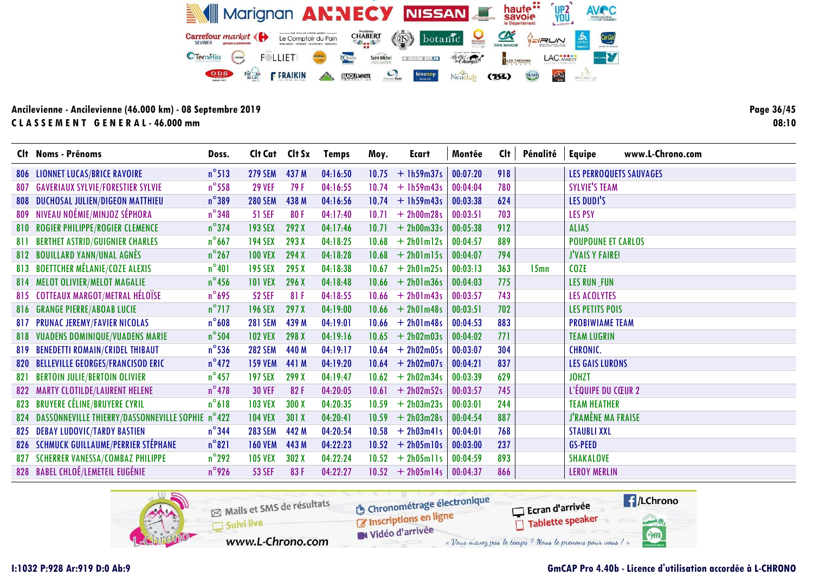| Clt Noms - Prénoms                                   | Doss.           | Cit Cat Cit Sx |       | Temps    | Moy.  | <b>Ecart</b>                | Montée   | Cl <sub>t</sub> | Pénalité         | www.L-Chrono.com<br><b>Equipe</b> |
|------------------------------------------------------|-----------------|----------------|-------|----------|-------|-----------------------------|----------|-----------------|------------------|-----------------------------------|
| 806 LIONNET LUCAS/BRICE RAVOIRE                      | $n^{\circ}513$  | <b>279 SEM</b> | 437 M | 04:16:50 |       | $10.75 + 1h59m37s$          | 00:07:20 | 918             |                  | <b>LES PERROQUETS SAUVAGES</b>    |
| <b>807 GAVERIAUX SYLVIE/FORESTIER SYLVIE</b>         | $n^{\circ}$ 558 | <b>29 VEF</b>  | 79 F  | 04:16:55 | 10.74 | $+1h59m43s$                 | 00:04:04 | 780             |                  | <b>SYLVIE'S TEAM</b>              |
| 808 DUCHOSAL JULIEN/DIGEON MATTHIEU                  | $n^{\circ}389$  | <b>280 SEM</b> | 438 M | 04:16:56 |       | $10.74 + 1h59m43s$          | 00:03:38 | 624             |                  | LES DUDI'S                        |
| 809 NIVEAU NOÉMIE/MINJOZ SÉPHORA                     | $n^{\circ}$ 348 | <b>51 SEF</b>  | 80F   | 04:17:40 | 10.71 | $+2h00m28s$                 | 00:03:51 | 703             |                  | <b>LES PSY</b>                    |
| 810 ROGIER PHILIPPE/ROGIER CLEMENCE                  | $n^{\circ}$ 374 | <b>193 SEX</b> | 292 X | 04:17:46 |       | $10.71 + 2h00m33s$          | 00:05:38 | 912             |                  | <b>ALIAS</b>                      |
| <b>811 BERTHET ASTRID/GUIGNIER CHARLES</b>           | $n^{\circ}$ 667 | <b>194 SEX</b> | 293 X | 04:18:25 | 10.68 | $+ 2h01m12s$                | 00:04:57 | 889             |                  | <b>POUPOUNE ET CARLOS</b>         |
| 812 BOUILLARD YANN/UNAL AGNÈS                        | $n^{\circ}267$  | <b>100 VEX</b> | 294 X | 04:18:28 |       | $10.68 + 2h01m15s$          | 00:04:07 | 794             |                  | <b>J'VAIS Y FAIRE!</b>            |
| 813 BOETTCHER MÉLANIE/COZE ALEXIS                    | $n^{\circ}401$  | <b>195 SEX</b> | 295 X | 04:18:38 | 10.67 | $+ 2h01m25s$                | 00:03:13 | 363             | 15 <sub>mn</sub> | <b>COZE</b>                       |
| 814 MELOT OLIVIER/MELOT MAGALIE                      | $n^{\circ}$ 456 | <b>101 VEX</b> | 296 X | 04:18:48 |       | $10.66 + 2h01m36s$          | 00:04:03 | 775             |                  | LES RUN FUN                       |
| 815 COTTEAUX MARGOT/METRAL HÉLOÏSE                   | $n^{\circ}$ 695 | <b>52 SEF</b>  | 81 F  | 04:18:55 |       | $10.66 + 2h01m43s$          | 00:03:57 | 743             |                  | <b>LES ACOLYTES</b>               |
| 816 GRANGE PIERRE/ABOAB LUCIE                        | $n^{\circ}$ 717 | <b>196 SEX</b> | 297 X | 04:19:00 |       | $10.66 + 2h01m48s$          | 00:03:51 | 702             |                  | <b>LES PETITS POIS</b>            |
| <b>817 PRUNAC JEREMY/FAVIER NICOLAS</b>              | $n^{\circ}$ 608 | <b>281 SEM</b> | 439 M | 04:19:01 |       | $10.66 + 2h01m48s$          | 00:04:53 | 883             |                  | <b>PROBIWIAME TEAM</b>            |
| 818 VUADENS DOMINIQUE/VUADENS MARIE                  | $n^{\circ}$ 504 | <b>102 VEX</b> | 298 X | 04:19:16 |       | $10.65 + 2h02m03s$          | 00:04:02 | 771             |                  | <b>TEAM LUGRIN</b>                |
| 819 BENEDETTI ROMAIN/CRIDEL THIBAUT                  | $n^{\circ}$ 536 | <b>282 SEM</b> | 440 M | 04:19:17 | 10.64 | $+ 2h02m05s$                | 00:03:07 | 304             |                  | <b>CHRONIC.</b>                   |
| 820 BELLEVILLE GEORGES/FRANCISOD ERIC                | $n^{\circ}472$  | <b>159 VEM</b> | 441 M | 04:19:20 |       | $10.64 + 2h02m07s$          | 00:04:21 | 837             |                  | <b>LES GAIS LURONS</b>            |
| 821 BERTOIN JULIE/BERTOIN OLIVIER                    | $n^{\circ}$ 457 | <b>197 SEX</b> | 299 X | 04:19:47 | 10.62 | $+ 2h02m34s$                | 00:03:39 | 629             |                  | <b>JOHZT</b>                      |
| 822 MARTY CLOTILDE/LAURENT HELENE                    | $n^{\circ}$ 478 | <b>30 VEF</b>  | 82F   | 04:20:05 |       | $10.61 + 2h02m52s$          | 00:03:57 | 745             |                  | L'ÉQUIPE DU CŒUR 2                |
| 823 BRUYERE CÉLINE/BRUYERE CYRIL                     | $n^{\circ}618$  | <b>103 VEX</b> | 300X  | 04:20:35 | 10.59 | $+ 2h03m23s$                | 00:03:01 | 244             |                  | <b>TEAM HEATHER</b>               |
| 824 DASSONNEVILLE THIERRY/DASSONNEVILLE SOPHIE n°422 |                 | <b>104 VEX</b> | 301X  | 04:20:41 | 10.59 | $+ 2h03m28s$                | 00:04:54 | 887             |                  | <b>J'RAMÈNE MA FRAISE</b>         |
| 825 DEBAY LUDOVIC/TARDY BASTIEN                      | $n^{\circ}$ 344 | <b>283 SEM</b> | 442 M | 04:20:54 | 10.58 | $+ 2h03m41s$                | 00:04:01 | 768             |                  | <b>STAUBLI XXL</b>                |
| 826 SCHMUCK GUILLAUME/PERRIER STÉPHANE               | $n^{\circ}821$  | <b>160 VEM</b> | 443 M | 04:22:23 |       | $10.52 + 2h05m10s$          | 00:03:00 | 237             |                  | <b>GS-PEED</b>                    |
| 827 SCHERRER VANESSA/COMBAZ PHILIPPE                 | $n^{\circ}$ 292 | <b>105 VEX</b> | 302 X | 04:22:24 | 10.52 | $+ 2h05m11s$                | 00:04:59 | 893             |                  | <b>SHAKALOVE</b>                  |
| 828 BABEL CHLOÉ/LEMETEIL EUGÉNIE                     | $n^{\circ}$ 926 | <b>53 SEF</b>  | 83F   | 04:22:27 |       | $10.52 + 2h05m14s$ 00:04:37 |          | 866             |                  | <b>LEROY MERLIN</b>               |
|                                                      |                 |                |       |          |       |                             |          |                 |                  |                                   |



Page 36/45 08:10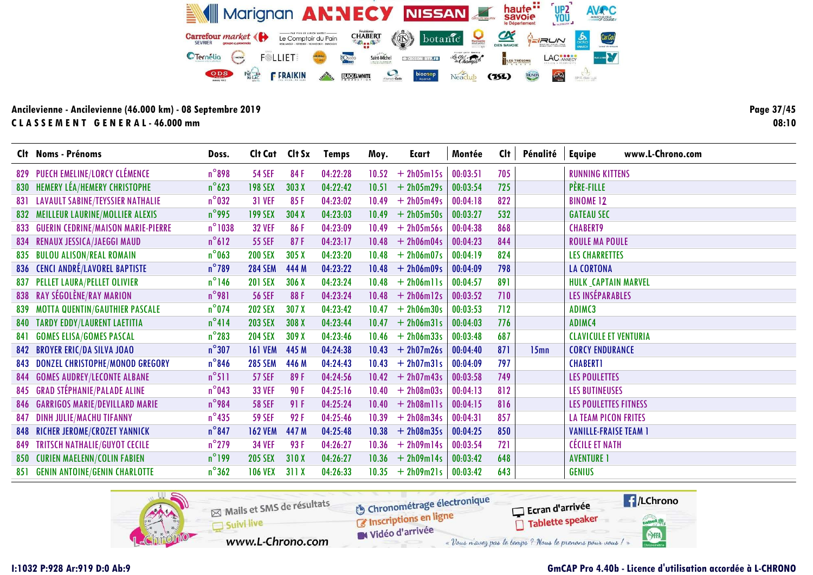|     | Clt Noms - Prénoms                        | Doss.            | Clt Cat        | Clt Sx | <b>Temps</b> | Moy.  | Ecart         | Montée   | Clt | Pénalité         | www.L-Chrono.com<br><b>Equipe</b> |
|-----|-------------------------------------------|------------------|----------------|--------|--------------|-------|---------------|----------|-----|------------------|-----------------------------------|
|     | 829 PUECH EMELINE/LORCY CLÉMENCE          | $n^{\circ}$ 898  | <b>54 SEF</b>  | 84F    | 04:22:28     | 10.52 | $+ 2h05m15s$  | 00:03:51 | 705 |                  | <b>RUNNING KITTENS</b>            |
| 830 | <b>HEMERY LÉA/HEMERY CHRISTOPHE</b>       | $n^{\circ}$ 623  | <b>198 SEX</b> | 303 X  | 04:22:42     | 10.51 | $+ 2h05m29s$  | 00:03:54 | 725 |                  | PÈRE-FILLE                        |
| 831 | <b>LAVAULT SABINE/TEYSSIER NATHALIE</b>   | $n^{\circ}$ 032  | <b>31 VEF</b>  | 85F    | 04:23:02     | 10.49 | $+ 2h05m49s$  | 00:04:18 | 822 |                  | <b>BINOME 12</b>                  |
| 832 | MEILLEUR LAURINE/MOLLIER ALEXIS           | $n^{\circ}$ 995  | <b>199 SEX</b> | 304 X  | 04:23:03     | 10.49 | $+ 2h05m50s$  | 00:03:27 | 532 |                  | <b>GATEAU SEC</b>                 |
| 833 | <b>GUERIN CEDRINE/MAISON MARIE-PIERRE</b> | $n^{\circ}$ 1038 | <b>32 VEF</b>  | 86F    | 04:23:09     | 10.49 | $+ 2h05m56s$  | 00:04:38 | 868 |                  | <b>CHABERT9</b>                   |
| 834 | <b>RENAUX JESSICA/JAEGGI MAUD</b>         | $n^{\circ}612$   | <b>55 SEF</b>  | 87F    | 04:23:17     | 10.48 | $+ 2h06m04s$  | 00:04:23 | 844 |                  | <b>ROULE MA POULE</b>             |
|     | 835 BULOU ALISON/REAL ROMAIN              | $n^{\circ}$ 063  | <b>200 SEX</b> | 305X   | 04:23:20     | 10.48 | $+ 2h06m07s$  | 00:04:19 | 824 |                  | <b>LES CHARRETTES</b>             |
|     | 836 CENCI ANDRÉ/LAVOREL BAPTISTE          | $n^{\circ}$ 789  | <b>284 SEM</b> | 444 M  | 04:23:22     | 10.48 | $+ 2h06m09s$  | 00:04:09 | 798 |                  | <b>LA CORTONA</b>                 |
|     | 837 PELLET LAURA/PELLET OLIVIER           | $n^{\circ}$ 146  | <b>201 SEX</b> | 306 X  | 04:23:24     | 10.48 | $+ 2h06m$ lls | 00:04:57 | 891 |                  | HULK_CAPTAIN MARVEL               |
|     | 838 RAY SÉGOLÈNE/RAY MARION               | $n^{\circ}981$   | <b>56 SEF</b>  | 88F    | 04:23:24     | 10.48 | $+ 2h06m12s$  | 00:03:52 | 710 |                  | LES INSÉPARABLES                  |
|     | 839 MOTTA QUENTIN/GAUTHIER PASCALE        | $n^{\circ}$ 074  | <b>202 SEX</b> | 307 X  | 04:23:42     | 10.47 | $+ 2h06m30s$  | 00:03:53 | 712 |                  | ADIMC3                            |
| 840 | <b>TARDY EDDY/LAURENT LAETITIA</b>        | $n^{\circ}414$   | <b>203 SEX</b> | 308 X  | 04:23:44     | 10.47 | $+ 2h06m31s$  | 00:04:03 | 776 |                  | ADIMC4                            |
| 841 | <b>GOMES ELISA/GOMES PASCAL</b>           | $n^{\circ}$ 283  | <b>204 SEX</b> | 309 X  | 04:23:46     | 10.46 | $+ 2h06m33s$  | 00:03:48 | 687 |                  | <b>CLAVICULE ET VENTURIA</b>      |
|     | 842 BROYER ERIC/DA SILVA JOAO             | $n^{\circ}307$   | <b>161 VEM</b> | 445 M  | 04:24:38     | 10.43 | $+ 2h07m26s$  | 00:04:40 | 871 | 15 <sub>mn</sub> | <b>CORCY ENDURANCE</b>            |
|     | 843 DONZEL CHRISTOPHE/MONOD GREGORY       | $n^{\circ}$ 846  | <b>285 SEM</b> | 446 M  | 04:24:43     | 10.43 | $+ 2h07m31s$  | 00:04:09 | 797 |                  | <b>CHABERT1</b>                   |
|     | 844 GOMES AUDREY/LECONTE ALBANE           | $n^{\circ}511$   | <b>57 SEF</b>  | 89F    | 04:24:56     | 10.42 | $+ 2h07m43s$  | 00:03:58 | 749 |                  | <b>LES POULETTES</b>              |
|     | 845 GRAD STÉPHANIE/PALADE ALINE           | $n^{\circ}$ 043  | <b>33 VEF</b>  | 90 F   | 04:25:16     | 10.40 | $+ 2h08m03s$  | 00:04:13 | 812 |                  | <b>LES BUTINEUSES</b>             |
|     | 846 GARRIGOS MARIE/DEVILLARD MARIE        | $n^{\circ}$ 984  | <b>58 SEF</b>  | 91F    | 04:25:24     | 10.40 | $+ 2h08m11s$  | 00:04:15 | 816 |                  | LES POULETTES FITNESS             |
| 847 | DINH JULIE/MACHU TIFANNY                  | $n^{\circ}$ 435  | <b>59 SEF</b>  | 92 F   | 04:25:46     | 10.39 | $+ 2h08m34s$  | 00:04:31 | 857 |                  | <b>LA TEAM PICON FRITES</b>       |
| 848 | <b>RICHER JEROME/CROZET YANNICK</b>       | $n^{\circ}$ 847  | <b>162 VEM</b> | 447 M  | 04:25:48     | 10.38 | $+ 2h08m35s$  | 00:04:25 | 850 |                  | <b>VANILLE-FRAISE TEAM 1</b>      |
| 849 | <b>TRITSCH NATHALIE/GUYOT CECILE</b>      | $n^{\circ}$ 279  | <b>34 VEF</b>  | 93F    | 04:26:27     | 10.36 | $+ 2h09m14s$  | 00:03:54 | 721 |                  | <b>CÉCILE ET NATH</b>             |
| 850 | <b>CURIEN MAELENN/COLIN FABIEN</b>        | $n^{\circ}$ 199  | <b>205 SEX</b> | 310X   | 04:26:27     | 10.36 | $+ 2h09m14s$  | 00:03:42 | 648 |                  | <b>AVENTURE 1</b>                 |
| 851 | <b>GENIN ANTOINE/GENIN CHARLOTTE</b>      | $n^{\circ}362$   | <b>106 VEX</b> | 311 X  | 04:26:33     | 10.35 | $+ 2h09m21s$  | 00:03:42 | 643 |                  | <b>GENIUS</b>                     |

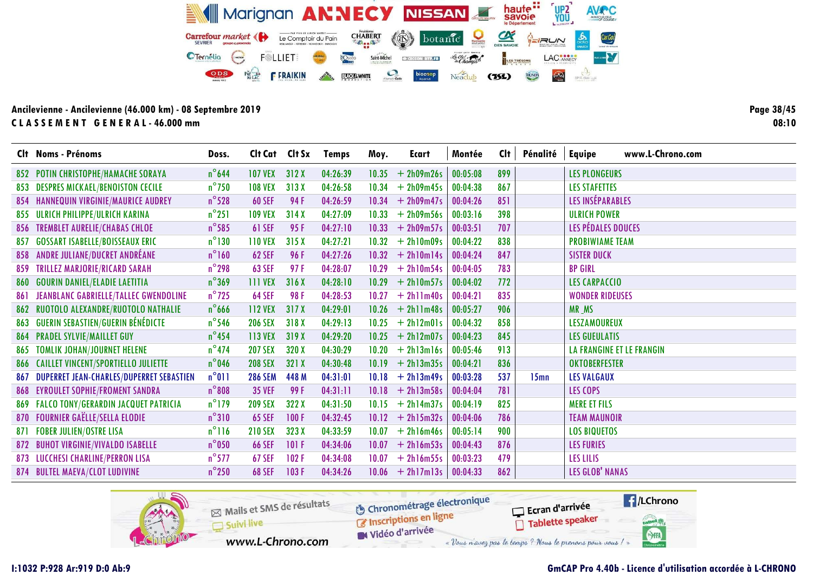Clt Noms - Prénoms Doss. Clt Cat Clt Sx Temps Moy. Ecart Montée Clt Pénalité Equipe www.L-Chrono.com 852 POTIN CHRISTOPHE/HAMACHE SORAYA n°644 107 VEX 312 X 04:26:39 10.35 + 2h09m26s 00:05:08 899 LES PLONGEURS<br>853 DESPRES MICKAEL/BENOISTON CECILE n°750 108 VEX 313 X 04:26:58 10.34 + 2h09m45s 00:04:38 867 LES STAFETTES 853 DESPRES MICKAEL/BENOISTON CECILE n°750 108 VEX 313 X 04:26:58 10.34 + 2h09m45s 00:04:38 867 LES STAFETTES<br>854 HANNEQUIN VIRGINIE/MAURICE AUDREY n°528 60 SEF 94 F 04:26:59 10.34 + 2h09m47s 00:04:26 851 LES INSÉPARABLES 854 HANNEQUIN VIRGINIE/MAURICE AUDREY n°528 60 SEF 94 F 04:26:59 10.34 + 2h09m47s 00:04:26 851 LES INSÉPARABLES 855 ULRICH PHILIPPE/ULRICH KARINA n°251 109 VEX 314 X 04:27:09 10.33 + 2h09m56s 00:03:16 398 ULRICH POWER 856 TREMBLET AURELIE/CHABAS CHLOE n°585 61 SEF 95 F 04:27:10 10.33 + 2h09m57s 00:03:51 707 LES PÉDALES DOUCES 857 GOSSART ISABELLE/BOISSEAUX ERIC n°130 110 VEX 315 X 04:27:21 10.32 + 2h10m09s 00:04:22 838 PROBIWIAME TEAM 858 ANDRE JULIANE/DUCRET ANDRÉANE n°160 62 SEF 96 F 04:27:26 10.32 + 2h10m14s 00:04:24 847 SISTER DUCK 859 TRILLEZ MARJORIE/RICARD SARAH n°298 63 SEF 97 F 04:28:07 10.29 + 2h10m54s 00:04:05 783 BP GIRL 860 GOURIN DANIEL/ELADIE LAETITIA https://www.men.com/men.com/men.com/men.com/men.com/men.com/men.com/men.com/<br>861 Jeanblanc Gabrielle/Tallec Gwendoline https://www.men.com/men.com/men.com/men.com/men.com/men.com/men/men/ 861 JEANBLANC GABRIELLE/TALLEC GWENDOLINE n°725 64 SEF 98 F 04:28:53 10.27 + 2h11m40s 00:04:21 835 WONDER RIDEUSES<br>862 RUOTOLO ALEXANDRE/RUOTOLO NATHALIE n°666 112 VEX 317 X 04:29:01 10.26 + 2h11m48s 00:05:27 906 MR MS MR 862 RUOTOLO ALEXANDRE/RUOTOLO NATHALIE n°666 112 VEX 317 X 04:29:01 10.26 + 2h11m48s 00:05:27 906 MR MS MS<br>863 GUERIN SEBASTIEN/GUERIN BÉNÉDICTE n°546 206 SEX 318 X 04:29:13 10.25 + 2h12m01s 00:04:32 858 LESZAN 863 GUERIN SEBASTIEN/GUERIN BÉNÉDICTE n°546 206 SEX 318 X 04:29:13 10.25 + 2h12m01s 00:04:32 858 LESZAMOUREUX<br>864 PRADEL SYLVIE/MAILLET GUY n°454 113 VEX 319 X 04:29:20 10.25 + 2h12m07s 00:04:23 845 LES GUEULATIS 864 PRADEL SYLVIE/MAILLET GUY n°454 113 VEX 319 X 04:29:20 10.25 + 2h12m07s 00:04:23 845 LES GUEULATIS 865 TOMLIK JOHAN/JOURNET HELENE n<sup>o</sup> 474 207 SEX 320 X 04:30:29 10.20 + 2h13m16s 00:05:46 913 LA FRANGINE ET LE FRANGIN 866 CAILLET VINCENT/SPORTIELLO JULIETTE n°046 208 SEX 321 X 04:30:48 10.19 + 2h13m35s 00:04:21 836 00:04:21 0KTOBERFESTER<br>867 DUPERRET JEAN-CHARLES/DUPERRET SEBASTIEN n°011 286 SEM 448 M 04:31:01 10.18 + 2h13m49s 00:03:28 867 DUPERRET JEAN-CHARLES/DUPERRET SEBASTIEN n°011 286 SEM 448 M 04:31:01 10.18 + 2h13m49s 00:03:28 537 15mn LES VALGAUX 868 EYROULET SOPHIE/FROMENT SANDRA n°808 35 VEF 99 F 04:31:11 10.18 + 2h13m58s 00:04:04 781 LES COPS 869 FALCO TONY/GERARDIN JACQUET PATRICIA n°179 209 SEX 322 X 04:31:50 10.15 + 2h14m37s 00:04:19 825 MERE ET FILS 870 FOURNIER GAËLLE/SELLA ELODIE n°310 65 SEF 100 F 04:32:45 10.12 + 2h15m32s 00:04:06 786 TEAM MAUNOIR 871 FOBER JULIEN/OSTRE LISA n°116 210 SEX 323 X 04:33:59 10.07 + 2h16m46s 00:05:14 900 LOS BIQUETOS 872 BUHOT VIRGINIE/VIVALDO ISABELLE nº050 66 SEF 101 F 04:34:06 10.07 + 2h16m53s 00:04:43 876 LES FURIES<br>873 LUCCHESI CHARLINE/PERRON LISA nº577 67 SEF 102 F 04:34:08 10.07 + 2h16m55s 00:03:23 479 LES LILIS 873 LUCCHESI CHARLINE/PERRON LISA n°577 67 SEF 102 F 04:34:08 10.07 + 2h16m55s 00:03:23 479 LES LILIS 874 BULTEL MAEVA/CLOT LUDIVINE n°250 68 SEF 103 F 04:34:26 10.06 + 2h17m13s 00:04:33 862 LES GLOB' NANAS



Page 38/45 08:10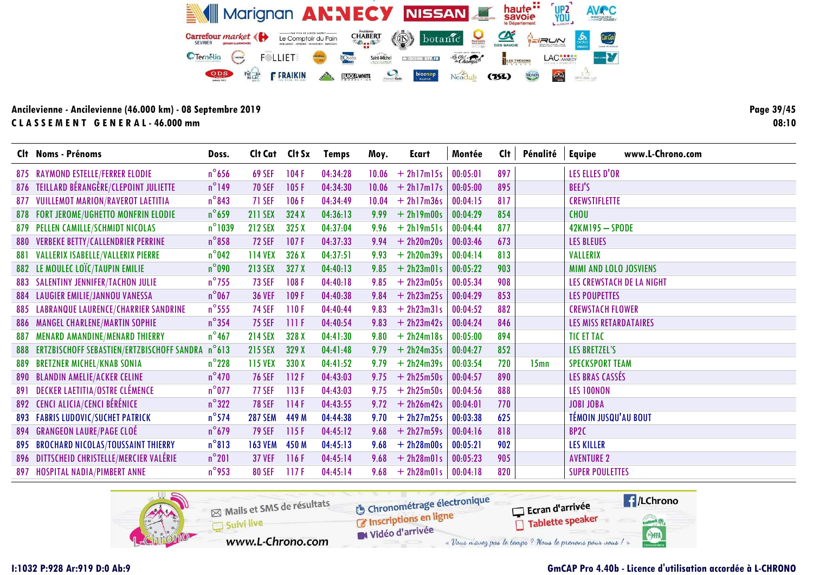|     | Clt Noms - Prénoms                             | Doss.            | Cit Cat Cit Sx |       | <b>Temps</b> | Moy.  | Ecart        | Montée   | Cl <sub>t</sub> | Pénalité         | www.L-Chrono.com<br><b>Equipe</b> |
|-----|------------------------------------------------|------------------|----------------|-------|--------------|-------|--------------|----------|-----------------|------------------|-----------------------------------|
|     | 875 RAYMOND ESTELLE/FERRER ELODIE              | $n^{\circ}$ 656  | <b>69 SEF</b>  | 104F  | 04:34:28     | 10.06 | $+ 2h17m15s$ | 00:05:01 | 897             |                  | LES ELLES D'OR                    |
|     | 876 TEILLARD BÉRANGÈRE/CLEPOINT JULIETTE       | $n^{\circ}$ 149  | <b>70 SEF</b>  | 105F  | 04:34:30     | 10.06 | $+ 2h17m17s$ | 00:05:00 | 895             |                  | <b>BEEJ'S</b>                     |
|     | 877 VUILLEMOT MARION/RAVEROT LAETITIA          | $n^{\circ}843$   | <b>71 SEF</b>  | 106F  | 04:34:49     | 10.04 | $+ 2h17m36s$ | 00:04:15 | 817             |                  | <b>CREWSTIFLETTE</b>              |
|     | 878 FORT JEROME/UGHETTO MONFRIN ELODIE         | $n^{\circ}$ 659  | <b>211 SEX</b> | 324X  | 04:36:13     | 9.99  | $+ 2h19m00s$ | 00:04:29 | 854             |                  | <b>CHOU</b>                       |
|     | 879 PELLEN CAMILLE/SCHMIDT NICOLAS             | $n^{\circ}$ 1039 | <b>212 SEX</b> | 325X  | 04:37:04     | 9.96  | $+ 2h19m51s$ | 00:04:44 | 877             |                  | 42KM195 - SPODE                   |
|     | 880 VERBEKE BETTY/CALLENDRIER PERRINE          | $n^{\circ}$ 858  | <b>72 SEF</b>  | 107F  | 04:37:33     | 9.94  | $+ 2h20m20s$ | 00:03:46 | 673             |                  | <b>LES BLEUES</b>                 |
|     | 881 VALLERIX ISABELLE/VALLERIX PIERRE          | $n^{\circ}$ 042  | 114 VEX        | 326 X | 04:37:51     | 9.93  | $+ 2h20m39s$ | 00:04:14 | 813             |                  | VALLERIX                          |
|     | 882 LE MOULEC LOÏC/TAUPIN EMILIE               | $n^{\circ}$ 090  | <b>213 SEX</b> | 327 X | 04:40:13     | 9.85  | $+ 2h23m01s$ | 00:05:22 | 903             |                  | <b>MIMI AND LOLO JOSVIENS</b>     |
|     | 883 SALENTINY JENNIFER/TACHON JULIE            | $n^{\circ}$ 755  | <b>73 SEF</b>  | 108F  | 04:40:18     | 9.85  | $+ 2h23m05s$ | 00:05:34 | 908             |                  | LES CREWSTACH DE LA NIGHT         |
|     | 884 LAUGIER EMILIE/JANNOU VANESSA              | $n^{\circ}$ 067  | <b>36 VEF</b>  | 109F  | 04:40:38     | 9.84  | $+ 2h23m25s$ | 00:04:29 | 853             |                  | <b>LES POUPETTES</b>              |
|     | 885 LABRANQUE LAURENCE/CHARRIER SANDRINE       | $n^{\circ}$ 555  | <b>74 SEF</b>  | 110F  | 04:40:44     | 9.83  | $+ 2h23m31s$ | 00:04:52 | 882             |                  | <b>CREWSTACH FLOWER</b>           |
|     | 886 MANGEL CHARLENE/MARTIN SOPHIE              | $n^{\circ}$ 354  | <b>75 SEF</b>  | 111F  | 04:40:54     | 9.83  | $+ 2h23m42s$ | 00:04:24 | 846             |                  | <b>LES MISS RETARDATAIRES</b>     |
| 887 | <b>MENARD AMANDINE/MENARD THIERRY</b>          | $n^{\circ}$ 467  | <b>214 SEX</b> | 328 X | 04:41:30     | 9.80  | $+ 2h24m18s$ | 00:05:00 | 894             |                  | TIC ET TAC                        |
|     | 888 ERTZBISCHOFF SEBASTIEN/ERTZBISCHOFF SANDRA | $n^{\circ}613$   | <b>215 SEX</b> | 329 X | 04:41:48     | 9.79  | $+ 2h24m35s$ | 00:04:27 | 852             |                  | LES BRETZEL'S                     |
|     | 889 BRETZNER MICHEL/KNAB SONIA                 | $n^{\circ}$ 228  | <b>115 VEX</b> | 330 X | 04:41:52     | 9.79  | $+ 2h24m39s$ | 00:03:54 | 720             | 15 <sub>mn</sub> | <b>SPECKSPORT TEAM</b>            |
|     | 890 BLANDIN AMELIE/ACKER CELINE                | $n^{\circ}$ 470  | <b>76 SEF</b>  | 112F  | 04:43:03     | 9.75  | $+ 2h25m50s$ | 00:04:57 | 890             |                  | LES BRAS CASSÉS                   |
| 891 | <b>DECKER LAETITIA/OSTRE CLÉMENCE</b>          | $n^{\circ}$ 077  | <b>77 SEF</b>  | 113F  | 04:43:03     | 9.75  | $+ 2h25m50s$ | 00:04:56 | 888             |                  | LES 100NON                        |
|     | 892 CENCI ALICIA/CENCI BÉRÉNICE                | $n^{\circ}322$   | <b>78 SEF</b>  | 114F  | 04:43:55     | 9.72  | $+ 2h26m42s$ | 00:04:01 | 770             |                  | <b>JOBI JOBA</b>                  |
|     | <b>893 FABRIS LUDOVIC/SUCHET PATRICK</b>       | $n^{\circ}$ 574  | <b>287 SEM</b> | 449 M | 04:44:38     | 9.70  | $+ 2h27m25s$ | 00:03:38 | 625             |                  | TÉMOIN JUSQU'AU BOUT              |
|     | 894 GRANGEON LAURE/PAGE CLOÉ                   | $n^{\circ}$ 679  | <b>79 SEF</b>  | 115F  | 04:45:12     | 9.68  | $+ 2h27m59s$ | 00:04:16 | 818             |                  | BP <sub>2C</sub>                  |
|     | 895 BROCHARD NICOLAS/TOUSSAINT THIERRY         | $n^{\circ}813$   | <b>163 VEM</b> | 450 M | 04:45:13     | 9.68  | $+ 2h28m00s$ | 00:05:21 | 902             |                  | <b>LES KILLER</b>                 |
|     | 896 DITTSCHEID CHRISTELLE/MERCIER VALÉRIE      | $n^{\circ}201$   | <b>37 VEF</b>  | 116F  | 04:45:14     | 9.68  | $+ 2h28m01s$ | 00:05:23 | 905             |                  | <b>AVENTURE 2</b>                 |
|     | 897 HOSPITAL NADIA/PIMBERT ANNE                | $n^{\circ}$ 953  | <b>80 SEF</b>  | 117F  | 04:45:14     | 9.68  | $+ 2h28m01s$ | 00:04:18 | 820             |                  | <b>SUPER POULETTES</b>            |

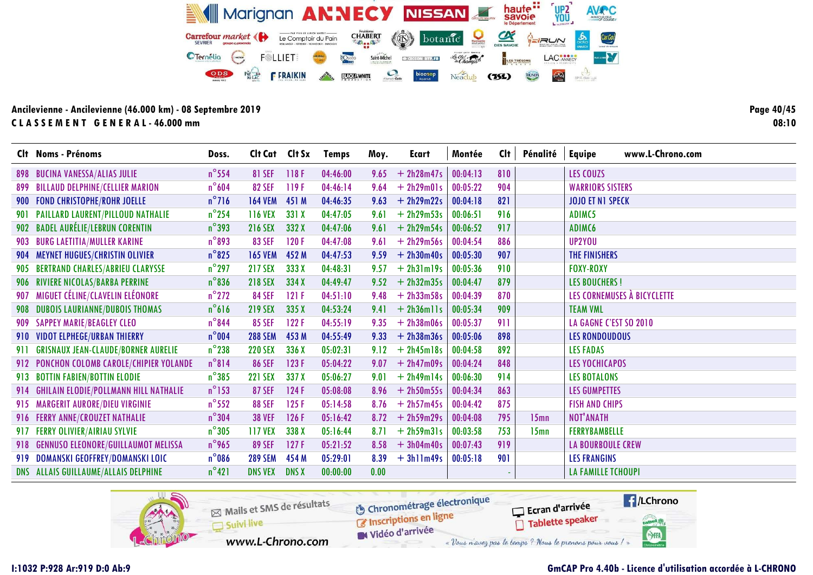|     | Clt Noms - Prénoms                        | Doss.           | Clt Cat Clt Sx |              | <b>Temps</b> | Moy. | Ecart        | Montée   | Clt | Pénalité         | <b>Equipe</b><br>www.L-Chrono.com |
|-----|-------------------------------------------|-----------------|----------------|--------------|--------------|------|--------------|----------|-----|------------------|-----------------------------------|
|     | 898 BUCINA VANESSA/ALIAS JULIE            | $n^{\circ}$ 554 | <b>81 SEF</b>  | 118F         | 04:46:00     | 9.65 | $+ 2h28m47s$ | 00:04:13 | 810 |                  | LES COUZS                         |
|     | 899 BILLAUD DELPHINE/CELLIER MARION       | $n^{\circ}604$  | <b>82 SEF</b>  | 119F         | 04:46:14     | 9.64 | $+ 2h29m01s$ | 00:05:22 | 904 |                  | <b>WARRIORS SISTERS</b>           |
|     | 900 FOND CHRISTOPHE/ROHR JOELLE           | $n^{\circ}$ 716 | <b>164 VEM</b> | 451 M        | 04:46:35     | 9.63 | $+ 2h29m22s$ | 00:04:18 | 821 |                  | <b>JOJO ET N1 SPECK</b>           |
|     | 901 PAILLARD LAURENT/PILLOUD NATHALIE     | $n^{\circ}$ 254 | <b>116 VEX</b> | 331 X        | 04:47:05     | 9.61 | $+ 2h29m53s$ | 00:06:51 | 916 |                  | ADIMC5                            |
|     | 902 BADEL AURÉLIE/LEBRUN CORENTIN         | $n^{\circ}$ 393 | <b>216 SEX</b> | 332 X        | 04:47:06     | 9.61 | $+ 2h29m54s$ | 00:06:52 | 917 |                  | ADIMC6                            |
|     | 903 BURG LAETITIA/MULLER KARINE           | $n^{\circ}893$  | <b>83 SEF</b>  | 120F         | 04:47:08     | 9.61 | $+ 2h29m56s$ | 00:04:54 | 886 |                  | UP2YOU                            |
|     | 904 MEYNET HUGUES/CHRISTIN OLIVIER        | $n^{\circ}825$  | <b>165 VEM</b> | 452 M        | 04:47:53     | 9.59 | $+ 2h30m40s$ | 00:05:30 | 907 |                  | THE FINISHERS                     |
|     | 905 BERTRAND CHARLES/ABRIEU CLARYSSE      | $n^{\circ}$ 297 | <b>217 SEX</b> | 333 X        | 04:48:31     | 9.57 | $+ 2h3lm19s$ | 00:05:36 | 910 |                  | <b>FOXY-ROXY</b>                  |
|     | 906 RIVIERE NICOLAS/BARBA PERRINE         | $n^{\circ}$ 836 | <b>218 SEX</b> | 334 X        | 04:49:47     | 9.52 | $+ 2h32m35s$ | 00:04:47 | 879 |                  | <b>LES BOUCHERS!</b>              |
| 907 | MIGUET CÉLINE/CLAVELIN ELÉONORE           | $n^{\circ}$ 272 | <b>84 SEF</b>  | 121F         | 04:51:10     | 9.48 | $+ 2h33m58s$ | 00:04:39 | 870 |                  | LES CORNEMUSES À BICYCLETTE       |
| 908 | <b>DUBOIS LAURIANNE/DUBOIS THOMAS</b>     | $n^{\circ}616$  | <b>219 SEX</b> | 335 X        | 04:53:24     | 9.41 | $+ 2h36m11s$ | 00:05:34 | 909 |                  | <b>TEAM VML</b>                   |
| 909 | <b>SAPPEY MARIE/BEAGLEY CLEO</b>          | $n^{\circ}$ 844 | <b>85 SEF</b>  | 122F         | 04:55:19     | 9.35 | $+ 2h38m06s$ | 00:05:37 | 911 |                  | LA GAGNE C'EST SO 2010            |
|     | 910 VIDOT ELPHEGE/URBAN THIERRY           | $n^{\circ}$ 004 | <b>288 SEM</b> | 453 M        | 04:55:49     | 9.33 | $+ 2h38m36s$ | 00:05:06 | 898 |                  | <b>LES RONDOUDOUS</b>             |
|     | 911 GRISNAUX JEAN-CLAUDE/BORNER AURELIE   | $n^{\circ}$ 238 | <b>220 SEX</b> | 336 X        | 05:02:31     | 9.12 | $+ 2h45m18s$ | 00:04:58 | 892 |                  | <b>LES FADAS</b>                  |
|     | 912 PONCHON COLOMB CAROLE/CHIPIER YOLANDE | $n^{\circ}814$  | <b>86 SEF</b>  | 123F         | 05:04:22     | 9.07 | $+ 2h47m09s$ | 00:04:24 | 848 |                  | <b>LES YOCHICAPOS</b>             |
|     | 913 BOTTIN FABIEN/BOTTIN ELODIE           | $n^{\circ}385$  | <b>221 SEX</b> | 337 X        | 05:06:27     | 9.01 | $+ 2h49m14s$ | 00:06:30 | 914 |                  | <b>LES BOTALONS</b>               |
|     | 914 GHILAIN ELODIE/POLLMANN HILL NATHALIE | $n^{\circ}$ 153 | <b>87 SEF</b>  | 124 F        | 05:08:08     | 8.96 | $+ 2h50m55s$ | 00:04:34 | 863 |                  | <b>LES GUMPETTES</b>              |
|     | 915 MARGERIT AURORE/DIEU VIRGINIE         | $n^{\circ}$ 552 | <b>88 SEF</b>  | 125F         | 05:14:58     | 8.76 | $+ 2h57m45s$ | 00:04:42 | 875 |                  | <b>FISH AND CHIPS</b>             |
|     | 916 FERRY ANNE/CROUZET NATHALIE           | $n^{\circ}304$  | <b>38 VEF</b>  | 126 F        | 05:16:42     | 8.72 | $+ 2h59m29s$ | 00:04:08 | 795 | 15 <sub>mn</sub> | <b>NOT'ANATH</b>                  |
|     | 917 FERRY OLIVIER/AIRIAU SYLVIE           | $n^{\circ}305$  | <b>117 VEX</b> | 338 X        | 05:16:44     | 8.71 | $+ 2h59m31s$ | 00:03:58 | 753 | 15 <sub>mn</sub> | <b>FERRYBAMBELLE</b>              |
|     | 918 GENNUSO ELEONORE/GUILLAUMOT MELISSA   | $n^{\circ}$ 965 | <b>89 SEF</b>  | 127F         | 05:21:52     | 8.58 | $+3h04m40s$  | 00:07:43 | 919 |                  | <b>LA BOURBOULE CREW</b>          |
|     | 919 DOMANSKI GEOFFREY/DOMANSKI LOIC       | $n^{\circ}$ 086 | <b>289 SEM</b> | 454 M        | 05:29:01     | 8.39 | $+3h11m49s$  | 00:05:18 | 901 |                  | <b>LES FRANGINS</b>               |
|     | DNS ALLAIS GUILLAUME/ALLAIS DELPHINE      | $n^{\circ}421$  | <b>DNS VEX</b> | <b>DNS X</b> | 00:00:00     | 0.00 |              |          |     |                  | LA FAMILLE TCHOUPI                |



# I:1032 P:928 Ar:919 D:0 Ab:9 GmCAP Pro 4.40b - Licence d'utilisation accordée à L-CHRONO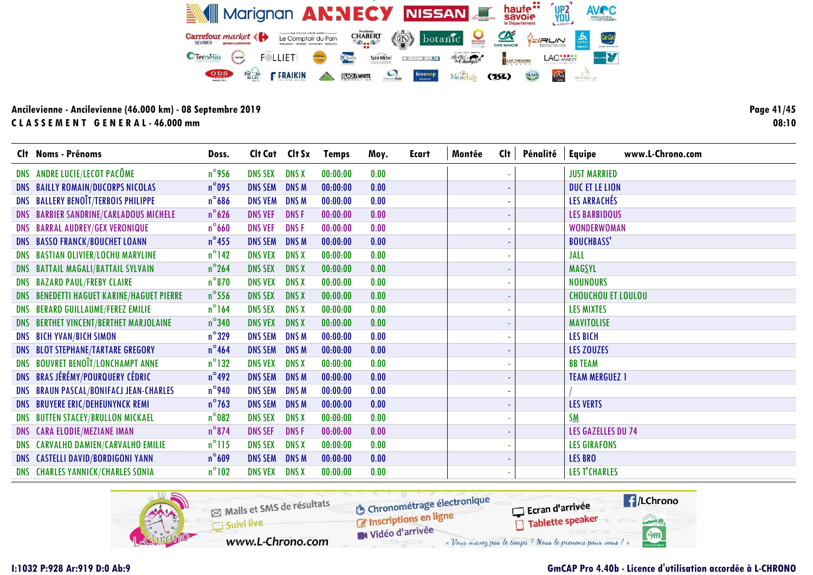| Clt Noms - Prénoms                         | Doss.           | Cit Cat Cit Sx |              | <b>Temps</b> | Moy. | Ecart | Montée | Clt | Pénalité | www.L-Chrono.com<br><b>Equipe</b> |  |
|--------------------------------------------|-----------------|----------------|--------------|--------------|------|-------|--------|-----|----------|-----------------------------------|--|
| DNS ANDRE LUCIE/LECOT PACÔME               | $n^{\circ}$ 956 | <b>DNS SEX</b> | <b>DNS X</b> | 00:00:00     | 0.00 |       |        |     |          | <b>JUST MARRIED</b>               |  |
| DNS BAILLY ROMAIN/DUCORPS NICOLAS          | $n^{\circ}$ 095 | <b>DNS SEM</b> | <b>DNSM</b>  | 00:00:00     | 0.00 |       |        |     |          | DUC ET LE LION                    |  |
| <b>DNS BALLERY BENOÎT/TERBOIS PHILIPPE</b> | $n^{\circ}$ 686 | <b>DNS VEM</b> | <b>DNS M</b> | 00:00:00     | 0.00 |       |        |     |          | LES ARRACHÉS                      |  |
| DNS BARBIER SANDRINE/CARLADOUS MICHELE     | $n^{\circ}$ 626 | <b>DNS VEF</b> | <b>DNSF</b>  | 00:00:00     | 0.00 |       |        |     |          | <b>LES BARBIDOUS</b>              |  |
| <b>DNS BARRAL AUDREY/GEX VERONIQUE</b>     | $n^{\circ}$ 660 | <b>DNS VEF</b> | <b>DNSF</b>  | 00:00:00     | 0.00 |       |        |     |          | <b>WONDERWOMAN</b>                |  |
| <b>DNS BASSO FRANCK/BOUCHET LOANN</b>      | $n^{\circ}$ 455 | <b>DNS SEM</b> | <b>DNS M</b> | 00:00:00     | 0.00 |       |        |     |          | <b>BOUCHBASS'</b>                 |  |
| DNS BASTIAN OLIVIER/LOCHU MARYLINE         | $n^{\circ}$ 142 | <b>DNS VEX</b> | <b>DNS X</b> | 00:00:00     | 0.00 |       |        |     |          | JALL                              |  |
| DNS BATTAIL MAGALI/BATTAIL SYLVAIN         | $n^{\circ}$ 264 | <b>DNS SEX</b> | <b>DNS X</b> | 00:00:00     | 0.00 |       |        |     |          | MAGSYL                            |  |
| <b>DNS BAZARD PAUL/FREBY CLAIRE</b>        | $n^{\circ}$ 870 | <b>DNS VEX</b> | <b>DNS X</b> | 00:00:00     | 0.00 |       |        |     |          | <b>NOUNOURS</b>                   |  |
| DNS BENEDETTI HAGUET KARINE/HAGUET PIERRE  | $n^{\circ}$ 556 | <b>DNS SEX</b> | <b>DNS X</b> | 00:00:00     | 0.00 |       |        |     |          | <b>CHOUCHOU ET LOULOU</b>         |  |
| DNS BERARD GUILLAUME/FEREZ EMILIE          | $n^{\circ}$ 164 | <b>DNS SEX</b> | <b>DNS X</b> | 00:00:00     | 0.00 |       |        |     |          | <b>LES MIXTES</b>                 |  |
| DNS BERTHET VINCENT/BERTHET MARJOLAINE     | $n^{\circ}$ 340 | <b>DNS VEX</b> | <b>DNS X</b> | 00:00:00     | 0.00 |       |        |     |          | <b>MAVITOLISE</b>                 |  |
| <b>DNS BICH YVAN/BICH SIMON</b>            | $n^{\circ}329$  | <b>DNS SEM</b> | <b>DNSM</b>  | 00:00:00     | 0.00 |       |        |     |          | <b>LES BICH</b>                   |  |
| DNS BLOT STEPHANE/TARTARE GREGORY          | $n^{\circ}$ 464 | <b>DNS SEM</b> | <b>DNS M</b> | 00:00:00     | 0.00 |       |        |     |          | <b>LES ZOUZES</b>                 |  |
| DNS BOUVRET BENOIT/LONCHAMPT ANNE          | $n^{\circ}$ 132 | <b>DNS VEX</b> | <b>DNS X</b> | 00:00:00     | 0.00 |       |        |     |          | <b>BB TEAM</b>                    |  |
| DNS BRAS JÉRÉMY/POURQUERY CÉDRIC           | $n^{\circ}$ 492 | <b>DNS SEM</b> | <b>DNS M</b> | 00:00:00     | 0.00 |       |        |     |          | <b>TEAM MERGUEZ 1</b>             |  |
| DNS BRAUN PASCAL/BONIFACJ JEAN-CHARLES     | $n^{\circ}$ 940 | <b>DNS SEM</b> | <b>DNSM</b>  | 00:00:00     | 0.00 |       |        |     |          |                                   |  |
| DNS BRUYERE ERIC/DEHEUNYNCK REMI           | $n^{\circ}$ 763 | <b>DNS SEM</b> | <b>DNSM</b>  | 00:00:00     | 0.00 |       |        |     |          | <b>LES VERTS</b>                  |  |
| DNS BUTTEN STACEY/BRULLON MICKAEL          | $n^{\circ}082$  | <b>DNS SEX</b> | <b>DNS X</b> | 00:00:00     | 0.00 |       |        |     |          | <b>SM</b>                         |  |
| DNS CARA ELODIE/MEZIANE IMAN               | $n^{\circ}$ 874 | <b>DNS SEF</b> | <b>DNSF</b>  | 00:00:00     | 0.00 |       |        |     |          | <b>LES GAZELLES DU 74</b>         |  |
| DNS CARVALHO DAMIEN/CARVALHO EMILIE        | $n^{\circ}115$  | <b>DNS SEX</b> | <b>DNS X</b> | 00:00:00     | 0.00 |       |        |     |          | <b>LES GIRAFONS</b>               |  |
| DNS CASTELLI DAVID/BORDIGONI YANN          | $n^{\circ}609$  | <b>DNS SEM</b> | <b>DNSM</b>  | 00:00:00     | 0.00 |       |        |     |          | <b>LES BRO</b>                    |  |
| <b>DNS CHARLES YANNICK/CHARLES SONIA</b>   | $n^{\circ}102$  | <b>DNS VEX</b> | <b>DNS X</b> | 00:00:00     | 0.00 |       |        |     |          | <b>LES T'CHARLES</b>              |  |

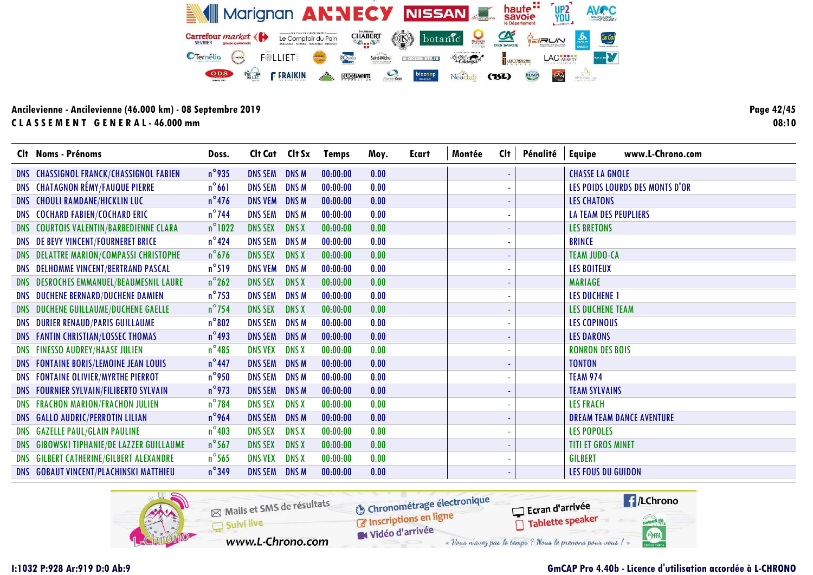| Clt Noms - Prénoms                            | Doss.            | Clt Cat Clt Sx |              | <b>Temps</b> | Moy. | <b>Ecart</b> | <b>Clt</b><br>Montée | Pénalité | <b>Equipe</b><br>www.L-Chrono.com |
|-----------------------------------------------|------------------|----------------|--------------|--------------|------|--------------|----------------------|----------|-----------------------------------|
| DNS CHASSIGNOL FRANCK/CHASSIGNOL FABIEN       | $n^{\circ}$ 935  | <b>DNS SEM</b> | <b>DNSM</b>  | 00:00:00     | 0.00 |              |                      |          | <b>CHASSE LA GNOLE</b>            |
| <b>DNS CHATAGNON RÉMY/FAUQUE PIERRE</b>       | $n^{\circ}661$   | <b>DNS SEM</b> | <b>DNSM</b>  | 00:00:00     | 0.00 |              |                      |          | LES POIDS LOURDS DES MONTS D'OR   |
| DNS CHOULI RAMDANE/HICKLIN LUC                | $n^{\circ}$ 476  | <b>DNS VEM</b> | <b>DNSM</b>  | 00:00:00     | 0.00 |              |                      |          | <b>LES CHATONS</b>                |
| DNS COCHARD FABIEN/COCHARD ERIC               | $n^{\circ}$ 744  | <b>DNS SEM</b> | <b>DNSM</b>  | 00:00:00     | 0.00 |              |                      |          | LA TEAM DES PEUPLIERS             |
| DNS COURTOIS VALENTIN/BARBEDIENNE CLARA       | $n^{\circ}$ 1022 | <b>DNS SEX</b> | <b>DNS X</b> | 00:00:00     | 0.00 |              |                      |          | <b>LES BRETONS</b>                |
| DNS DE BEVY VINCENT/FOURNERET BRICE           | $n^{\circ}$ 424  | <b>DNS SEM</b> | <b>DNSM</b>  | 00:00:00     | 0.00 |              |                      |          | <b>BRINCE</b>                     |
| DNS DELATTRE MARION/COMPASSI CHRISTOPHE       | $n^{\circ}$ 676  | <b>DNS SEX</b> | <b>DNS X</b> | 00:00:00     | 0.00 |              |                      |          | <b>TEAM JUDO-CA</b>               |
| DNS DELHOMME VINCENT/BERTRAND PASCAL          | $n^{\circ}519$   | <b>DNS VEM</b> | <b>DNSM</b>  | 00:00:00     | 0.00 |              |                      |          | <b>LES BOITEUX</b>                |
| DNS DESROCHES EMMANUEL/BEAUMESNIL LAURE       | $n^{\circ}262$   | <b>DNS SEX</b> | <b>DNS X</b> | 00:00:00     | 0.00 |              |                      |          | <b>MARIAGE</b>                    |
| DNS DUCHENE BERNARD/DUCHENE DAMIEN            | $n^{\circ}$ 753  | <b>DNS SEM</b> | <b>DNSM</b>  | 00:00:00     | 0.00 |              |                      |          | <b>LES DUCHENE 1</b>              |
| DNS DUCHENE GUILLAUME/DUCHENE GAELLE          | $n^{\circ}$ 754  | <b>DNS SEX</b> | <b>DNS X</b> | 00:00:00     | 0.00 |              |                      |          | <b>LES DUCHENE TEAM</b>           |
| DNS DURIER RENAUD/PARIS GUILLAUME             | $n^{\circ}802$   | <b>DNS SEM</b> | <b>DNSM</b>  | 00:00:00     | 0.00 |              |                      |          | <b>LES COPINOUS</b>               |
| DNS FANTIN CHRISTIAN/LOSSEC THOMAS            | $n^{\circ}$ 493  | <b>DNS SEM</b> | <b>DNSM</b>  | 00:00:00     | 0.00 |              |                      |          | <b>LES DARONS</b>                 |
| DNS FINESSO AUDREY/HAASE JULIEN               | $n^{\circ}$ 485  | <b>DNS VEX</b> | <b>DNS X</b> | 00:00:00     | 0.00 |              |                      |          | <b>RONRON DES BOIS</b>            |
| DNS FONTAINE BORIS/LEMOINE JEAN LOUIS         | $n^{\circ}$ 447  | <b>DNS SEM</b> | <b>DNSM</b>  | 00:00:00     | 0.00 |              |                      |          | <b>TONTON</b>                     |
| DNS FONTAINE OLIVIER/MYRTHE PIERROT           | $n^{\circ}$ 950  | <b>DNS SEM</b> | <b>DNSM</b>  | 00:00:00     | 0.00 |              |                      |          | <b>TEAM 974</b>                   |
| <b>DNS FOURNIER SYLVAIN/FILIBERTO SYLVAIN</b> | $n^{\circ}$ 973  | <b>DNS SEM</b> | <b>DNSM</b>  | 00:00:00     | 0.00 |              |                      |          | <b>TEAM SYLVAINS</b>              |
| <b>DNS FRACHON MARION/FRACHON JULIEN</b>      | $n^{\circ}$ 784  | <b>DNS SEX</b> | <b>DNS X</b> | 00:00:00     | 0.00 |              |                      |          | <b>LES FRACH</b>                  |
| DNS GALLO AUDRIC/PERROTIN LILIAN              | $n^{\circ}$ 964  | <b>DNS SEM</b> | <b>DNSM</b>  | 00:00:00     | 0.00 |              |                      |          | <b>DREAM TEAM DANCE AVENTURE</b>  |
| DNS GAZELLE PAUL/GLAIN PAULINE                | $n^{\circ}$ 403  | <b>DNS SEX</b> | <b>DNS X</b> | 00:00:00     | 0.00 |              |                      |          | <b>LES POPOLES</b>                |
| DNS GIBOWSKI TIPHANIE/DE LAZZER GUILLAUME     | $n^{\circ}$ 567  | <b>DNS SEX</b> | <b>DNS X</b> | 00:00:00     | 0.00 |              |                      |          | <b>TITI ET GROS MINET</b>         |
| DNS GILBERT CATHERINE/GILBERT ALEXANDRE       | $n^{\circ}$ 565  | <b>DNS VEX</b> | <b>DNS X</b> | 00:00:00     | 0.00 |              |                      |          | <b>GILBERT</b>                    |
| DNS GOBAUT VINCENT/PLACHINSKI MATTHIEU        | $n^{\circ}$ 349  | <b>DNS SEM</b> | <b>DNS M</b> | 00:00:00     | 0.00 |              |                      |          | <b>LES FOUS DU GUIDON</b>         |



Page 42/45 08:10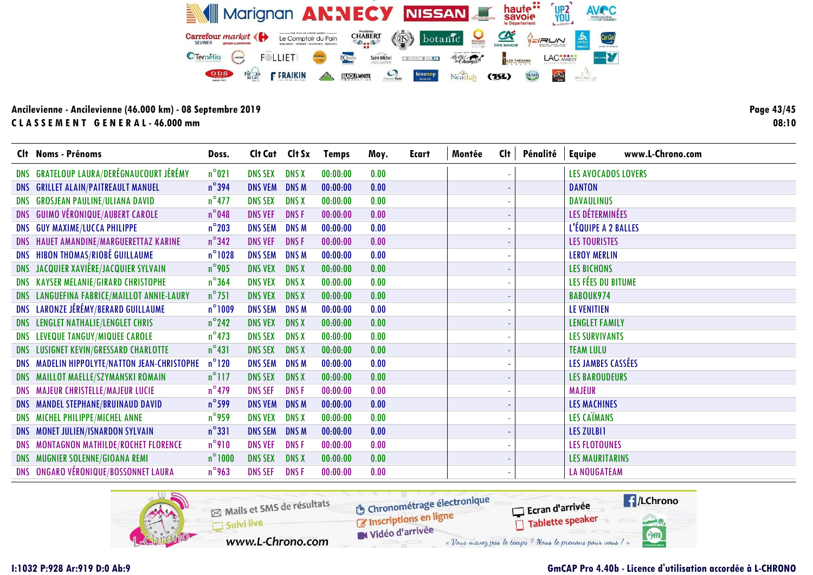Clt Noms - Prénoms Doss. Clt Cat Clt Sx Temps Moy. Ecart Montée Clt Pénalité Equipe www.L-Chrono.com

## Ancilevienne - Ancilevienne (46.000 km) - 08 Septembre 2019 C L A S S E M E N T G E N E R A L - 46.000 mm

| DNS GRATELOUP LAURA/DERÉGNAUCOURT JÉRÉMY     | $n^{\circ}021$   | <b>DNS SEX</b> | <b>DNS X</b> | 00:00:00 | 0.00 |        | <b>LES AVOCADOS LOVERS</b> |
|----------------------------------------------|------------------|----------------|--------------|----------|------|--------|----------------------------|
| DNS GRILLET ALAIN/PAITREAULT MANUEL          | $n^{\circ}$ 394  | <b>DNS VEM</b> | <b>DNS M</b> | 00:00:00 | 0.00 |        | <b>DANTON</b>              |
| DNS GROSJEAN PAULINE/ULIANA DAVID            | $n^{\circ}477$   | <b>DNS SEX</b> | <b>DNS X</b> | 00:00:00 | 0.00 |        | <b>DAVAULINUS</b>          |
| DNS GUIMO VÉRONIQUE/AUBERT CAROLE            | $n^{\circ}$ 048  | <b>DNS VEF</b> | <b>DNSF</b>  | 00:00:00 | 0.00 |        | LES DÉTERMINÉES            |
| DNS GUY MAXIME/LUCCA PHILIPPE                | $n^{\circ}$ 203  | <b>DNS SEM</b> | <b>DNSM</b>  | 00:00:00 | 0.00 |        | L'ÉQUIPE A 2 BALLES        |
| DNS HAUET AMANDINE/MARGUERETTAZ KARINE       | $n^{\circ}342$   | <b>DNS VEF</b> | <b>DNSF</b>  | 00:00:00 | 0.00 |        | <b>LES TOURISTES</b>       |
| DNS HIBON THOMAS/RIOBÉ GUILLAUME             | $n^{\circ}$ 1028 | <b>DNS SEM</b> | <b>DNSM</b>  | 00:00:00 | 0.00 |        | <b>LEROY MERLIN</b>        |
| DNS JACQUIER XAVIÈRE/JACQUIER SYLVAIN        | $n^{\circ}$ 905  | <b>DNS VEX</b> | <b>DNS X</b> | 00:00:00 | 0.00 |        | <b>LES BICHONS</b>         |
| DNS KAYSER MELANIE/GIRARD CHRISTOPHE         | $n^{\circ}364$   | <b>DNS VEX</b> | <b>DNS X</b> | 00:00:00 | 0.00 |        | LES FÉES DU BITUME         |
| DNS LANGUEFINA FABRICE/MAILLOT ANNIE-LAURY   | $n^{\circ}$ 751  | <b>DNS VEX</b> | <b>DNS X</b> | 00:00:00 | 0.00 |        | BABOUK974                  |
| DNS LARONZE JÉRÉMY/BERARD GUILLAUME          | $n^{\circ}1009$  | <b>DNS SEM</b> | <b>DNSM</b>  | 00:00:00 | 0.00 |        | <b>LE VENITIEN</b>         |
| DNS LENGLET NATHALIE/LENGLET CHRIS           | $n^{\circ}$ 242  | <b>DNS VEX</b> | <b>DNS X</b> | 00:00:00 | 0.00 |        | <b>LENGLET FAMILY</b>      |
| DNS LEVEQUE TANGUY/MIQUEE CAROLE             | $n^{\circ}$ 473  | <b>DNS SEX</b> | <b>DNS X</b> | 00:00:00 | 0.00 |        | <b>LES SURVIVANTS</b>      |
| DNS LUSIGNET KEVIN/GRESSARD CHARLOTTE        | $n^{\circ}431$   | <b>DNS SEX</b> | <b>DNS X</b> | 00:00:00 | 0.00 |        | <b>TEAM LULU</b>           |
| DNS MADELIN HIPPOLYTE/NATTON JEAN-CHRISTOPHE | $n^{\circ}120$   | <b>DNS SEM</b> | <b>DNSM</b>  | 00:00:00 | 0.00 |        | LES JAMBES CASSÉES         |
| DNS MAILLOT MAELLE/SZYMANSKI ROMAIN          | $n^{\circ}$ 117  | <b>DNS SEX</b> | <b>DNS X</b> | 00:00:00 | 0.00 |        | <b>LES BAROUDEURS</b>      |
| DNS MAJEUR CHRISTELLE/MAJEUR LUCIE           | $n^{\circ}$ 479  | <b>DNS SEF</b> | <b>DNSF</b>  | 00:00:00 | 0.00 |        | <b>MAJEUR</b>              |
| DNS MANDEL STEPHANE/BRUINAUD DAVID           | $n^{\circ}$ 599  | <b>DNS VEM</b> | <b>DNS M</b> | 00:00:00 | 0.00 | $\sim$ | <b>LES MACHINES</b>        |
| DNS MICHEL PHILIPPE/MICHEL ANNE              | $n^{\circ}$ 959  | <b>DNS VEX</b> | <b>DNS X</b> | 00:00:00 | 0.00 |        | <b>LES CAÏMANS</b>         |
| DNS MONET JULIEN/ISNARDON SYLVAIN            | $n^{\circ}331$   | <b>DNS SEM</b> | <b>DNSM</b>  | 00:00:00 | 0.00 |        | <b>LES ZULBI1</b>          |
| DNS MONTAGNON MATHILDE/ROCHET FLORENCE       | $n^{\circ}$ 910  | <b>DNS VEF</b> | <b>DNSF</b>  | 00:00:00 | 0.00 |        | <b>LES FLOTOUNES</b>       |
| DNS MUGNIER SOLENNE/GIOANA REMI              | $n^{\circ}1000$  | <b>DNS SEX</b> | <b>DNS X</b> | 00:00:00 | 0.00 |        | <b>LES MAURITARINS</b>     |
| DNS ONGARO VÉRONIQUE/BOSSONNET LAURA         | $n^{\circ}$ 963  | <b>DNS SEF</b> | DNS F        | 00:00:00 | 0.00 |        | <b>LA NOUGATEAM</b>        |



Page 43/45 08:10

#### I:1032 P:928 Ar:919 D:0 Ab:9 GmCAP Pro 4.40b - Licence d'utilisation accordée à L-CHRONO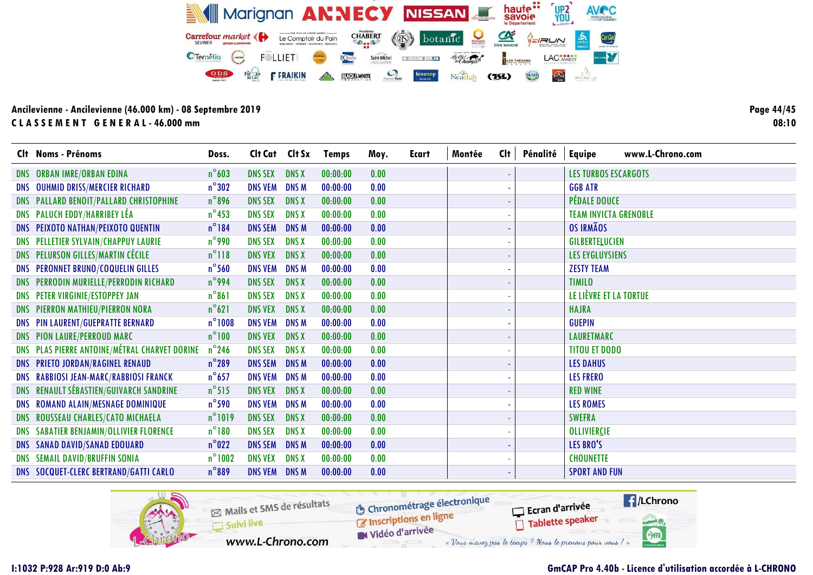| Clt Noms - Prénoms                            | Doss.            | Cit Cat Cit Sx |              | <b>Temps</b> | Moy. | Ecart | Montée | Clt | Pénalité | <b>Equipe</b>                | www.L-Chrono.com |  |
|-----------------------------------------------|------------------|----------------|--------------|--------------|------|-------|--------|-----|----------|------------------------------|------------------|--|
| DNS ORBAN IMRE/ORBAN EDINA                    | $n^{\circ}603$   | <b>DNS SEX</b> | <b>DNS X</b> | 00:00:00     | 0.00 |       |        |     |          | <b>LES TURBOS ESCARGOTS</b>  |                  |  |
| DNS OUHMID DRISS/MERCIER RICHARD              | $n^{\circ}302$   | <b>DNS VEM</b> | <b>DNS M</b> | 00:00:00     | 0.00 |       |        |     |          | <b>GGB ATR</b>               |                  |  |
| DNS PALLARD BENOIT/PALLARD CHRISTOPHINE       | $n^{\circ}$ 896  | <b>DNS SEX</b> | <b>DNS X</b> | 00:00:00     | 0.00 |       |        |     |          | PÉDALE DOUCE                 |                  |  |
| DNS PALUCH EDDY/HARRIBEY LÉA                  | $n^{\circ}$ 453  | <b>DNS SEX</b> | <b>DNS X</b> | 00:00:00     | 0.00 |       |        |     |          | <b>TEAM INVICTA GRENOBLE</b> |                  |  |
| DNS PEIXOTO NATHAN/PEIXOTO QUENTIN            | $n^{\circ}184$   | <b>DNS SEM</b> | <b>DNSM</b>  | 00:00:00     | 0.00 |       |        |     |          | <b>OS IRMÃOS</b>             |                  |  |
| DNS PELLETIER SYLVAIN/CHAPPUY LAURIE          | $n^{\circ}$ 990  | <b>DNS SEX</b> | <b>DNS X</b> | 00:00:00     | 0.00 |       |        |     |          | GILBERTELUCIEN               |                  |  |
| DNS PELURSON GILLES/MARTIN CÉCILE             | $n^{\circ}118$   | <b>DNS VEX</b> | <b>DNS X</b> | 00:00:00     | 0.00 |       |        |     |          | <b>LES EYGLUYSIENS</b>       |                  |  |
| DNS PERONNET BRUNO/COQUELIN GILLES            | $n^{\circ}$ 560  | <b>DNS VEM</b> | <b>DNS M</b> | 00:00:00     | 0.00 |       |        |     |          | <b>ZESTY TEAM</b>            |                  |  |
| DNS PERRODIN MURIELLE/PERRODIN RICHARD        | $n^{\circ}$ 994  | <b>DNS SEX</b> | <b>DNS X</b> | 00:00:00     | 0.00 |       |        |     |          | <b>TIMILO</b>                |                  |  |
| DNS PETER VIRGINIE/ESTOPPEY JAN               | $n^{\circ}861$   | <b>DNS SEX</b> | <b>DNS X</b> | 00:00:00     | 0.00 |       |        |     |          | LE LIÈVRE ET LA TORTUE       |                  |  |
| DNS PIERRON MATHIEU/PIERRON NORA              | $n^{\circ}621$   | <b>DNS VEX</b> | <b>DNS X</b> | 00:00:00     | 0.00 |       |        |     |          | <b>HAJRA</b>                 |                  |  |
| DNS PIN LAURENT/GUEPRATTE BERNARD             | $n^{\circ}$ 1008 | <b>DNS VEM</b> | <b>DNS M</b> | 00:00:00     | 0.00 |       |        |     |          | <b>GUEPIN</b>                |                  |  |
| DNS PION LAURE/PERROUD MARC                   | $n^{\circ}100$   | <b>DNS VEX</b> | <b>DNS X</b> | 00:00:00     | 0.00 |       |        |     |          | <b>LAURETMARC</b>            |                  |  |
| DNS PLAS PIERRE ANTOINE/MÉTRAL CHARVET DORINE | $n^{\circ}$ 246  | <b>DNS SEX</b> | <b>DNS X</b> | 00:00:00     | 0.00 |       |        |     |          | <b>TITOU ET DODO</b>         |                  |  |
| DNS PRIETO JORDAN/RAGINEL RENAUD              | $n^{\circ}289$   | <b>DNS SEM</b> | <b>DNS M</b> | 00:00:00     | 0.00 |       |        |     |          | <b>LES DAHUS</b>             |                  |  |
| DNS RABBIOSI JEAN-MARC/RABBIOSI FRANCK        | $n^{\circ}$ 657  | <b>DNS VEM</b> | <b>DNS M</b> | 00:00:00     | 0.00 |       |        |     |          | <b>LES FRERO</b>             |                  |  |
| DNS RENAULT SÉBASTIEN/GUIVARCH SANDRINE       | $n^{\circ}515$   | <b>DNS VEX</b> | <b>DNS X</b> | 00:00:00     | 0.00 |       |        |     |          | <b>RED WINE</b>              |                  |  |
| DNS ROMAND ALAIN/MESNAGE DOMINIQUE            | $n^{\circ}$ 590  | <b>DNS VEM</b> | <b>DNS M</b> | 00:00:00     | 0.00 |       |        |     |          | <b>LES ROMES</b>             |                  |  |
| DNS ROUSSEAU CHARLES/CATO MICHAELA            | $n^{\circ}1019$  | <b>DNS SEX</b> | <b>DNS X</b> | 00:00:00     | 0.00 |       |        |     |          | <b>SWEFRA</b>                |                  |  |
| DNS SABATIER BENJAMIN/OLLIVIER FLORENCE       | $n^{\circ}180$   | <b>DNS SEX</b> | <b>DNS X</b> | 00:00:00     | 0.00 |       |        |     |          | OLLIVIERCIE                  |                  |  |
| <b>DNS SANAD DAVID/SANAD EDOUARD</b>          | $n^{\circ}$ 022  | <b>DNS SEM</b> | <b>DNS M</b> | 00:00:00     | 0.00 |       |        |     |          | LES BRO'S                    |                  |  |
| <b>DNS SEMAIL DAVID/BRUFFIN SONIA</b>         | $n^{\circ}$ 1002 | <b>DNS VEX</b> | <b>DNS X</b> | 00:00:00     | 0.00 |       |        |     |          | <b>CHOUNETTE</b>             |                  |  |
| DNS SOCQUET-CLERC BERTRAND/GATTI CARLO        | $n^{\circ}889$   | <b>DNS VEM</b> | <b>DNS M</b> | 00:00:00     | 0.00 |       |        |     |          | <b>SPORT AND FUN</b>         |                  |  |



Page 44/45 08:10